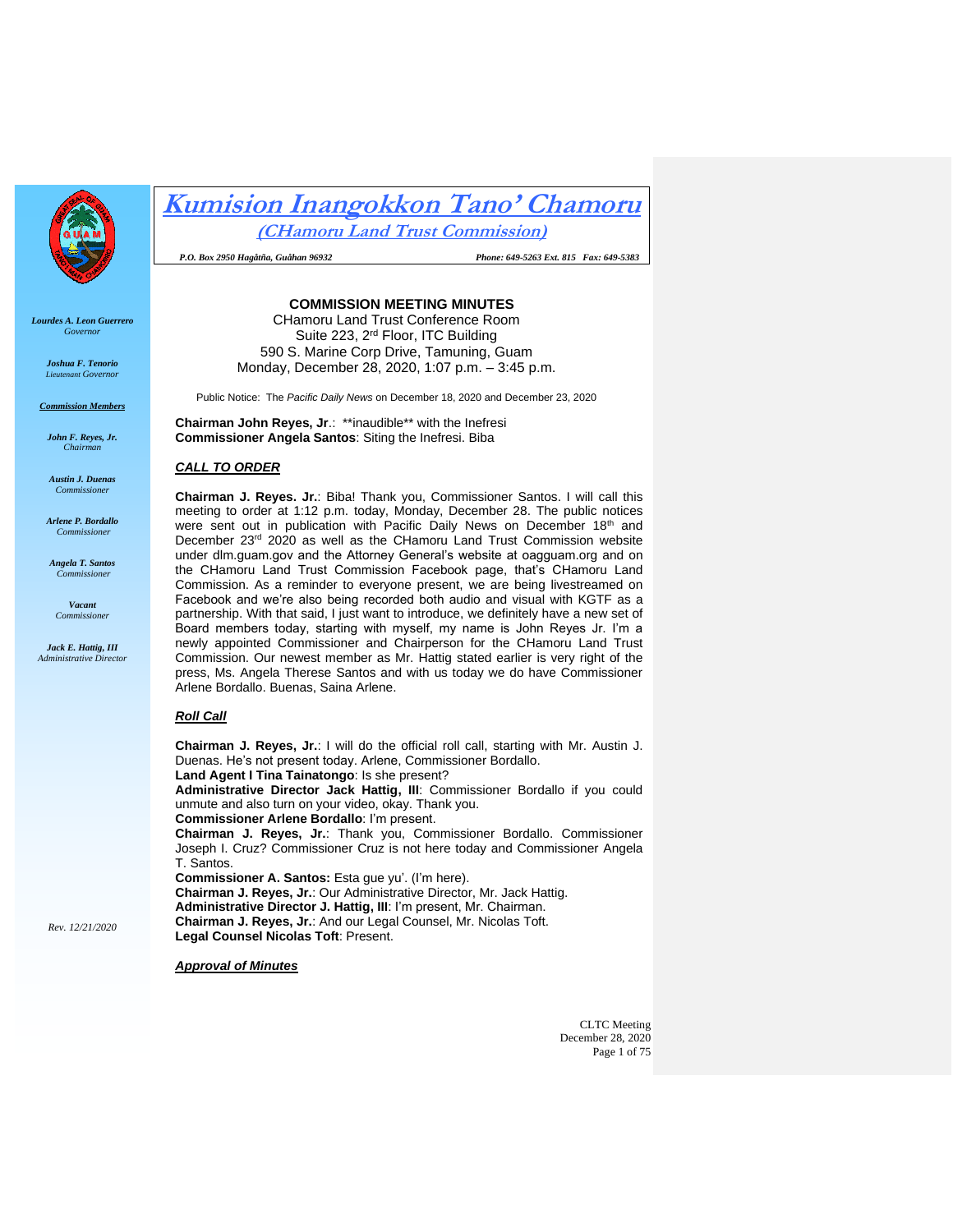

*Lourdes A. Leon Guerrero Governor* 

> *Joshua F. Tenorio Lieutenant Governor*

*Commission Members*

*John F. Reyes, Jr. Chairman*

*Austin J. Duenas Commissioner*

*Arlene P. Bordallo Commissioner*

*Angela T. Santos Commissioner*

*Vacant Commissioner*

*Jack E. Hattig, III Administrative Director* **Kumision Inangokkon Tano' Chamoru**

**(CHamoru Land Trust Commission)**

 *P.O. Box 2950 Hagåtña, Guåhan 96932 Phone: 649-5263 Ext. 815 Fax: 649-5383*

# **COMMISSION MEETING MINUTES**

CHamoru Land Trust Conference Room Suite 223, 2rd Floor, ITC Building 590 S. Marine Corp Drive, Tamuning, Guam Monday, December 28, 2020, 1:07 p.m. – 3:45 p.m.

Public Notice: The *Pacific Daily News* on December 18, 2020 and December 23, 2020

**Chairman John Reyes, Jr**.: \*\*inaudible\*\* with the Inefresi **Commissioner Angela Santos**: Siting the Inefresi. Biba

# *CALL TO ORDER*

**Chairman J. Reyes. Jr.**: Biba! Thank you, Commissioner Santos. I will call this meeting to order at 1:12 p.m. today, Monday, December 28. The public notices were sent out in publication with Pacific Daily News on December 18th and December 23rd 2020 as well as the CHamoru Land Trust Commission website under dlm.guam.gov and the Attorney General's website at oagguam.org and on the CHamoru Land Trust Commission Facebook page, that's CHamoru Land Commission. As a reminder to everyone present, we are being livestreamed on Facebook and we're also being recorded both audio and visual with KGTF as a partnership. With that said, I just want to introduce, we definitely have a new set of Board members today, starting with myself, my name is John Reyes Jr. I'm a newly appointed Commissioner and Chairperson for the CHamoru Land Trust Commission. Our newest member as Mr. Hattig stated earlier is very right of the press, Ms. Angela Therese Santos and with us today we do have Commissioner Arlene Bordallo. Buenas, Saina Arlene.

# *Roll Call*

*Approval of Minutes*

**Chairman J. Reyes, Jr.**: I will do the official roll call, starting with Mr. Austin J. Duenas. He's not present today. Arlene, Commissioner Bordallo. **Land Agent I Tina Tainatongo**: Is she present? **Administrative Director Jack Hattig, III**: Commissioner Bordallo if you could unmute and also turn on your video, okay. Thank you. **Commissioner Arlene Bordallo**: I'm present. **Chairman J. Reyes, Jr.**: Thank you, Commissioner Bordallo. Commissioner Joseph I. Cruz? Commissioner Cruz is not here today and Commissioner Angela T. Santos. **Commissioner A. Santos:** Esta gue yu'. (I'm here). **Chairman J. Reyes, Jr.**: Our Administrative Director, Mr. Jack Hattig. **Administrative Director J. Hattig, III**: I'm present, Mr. Chairman. **Chairman J. Reyes, Jr.**: And our Legal Counsel, Mr. Nicolas Toft. **Legal Counsel Nicolas Toft**: Present.

*Rev. 12/21/2020*

CLTC Meeting December 28, 2020 Page 1 of 75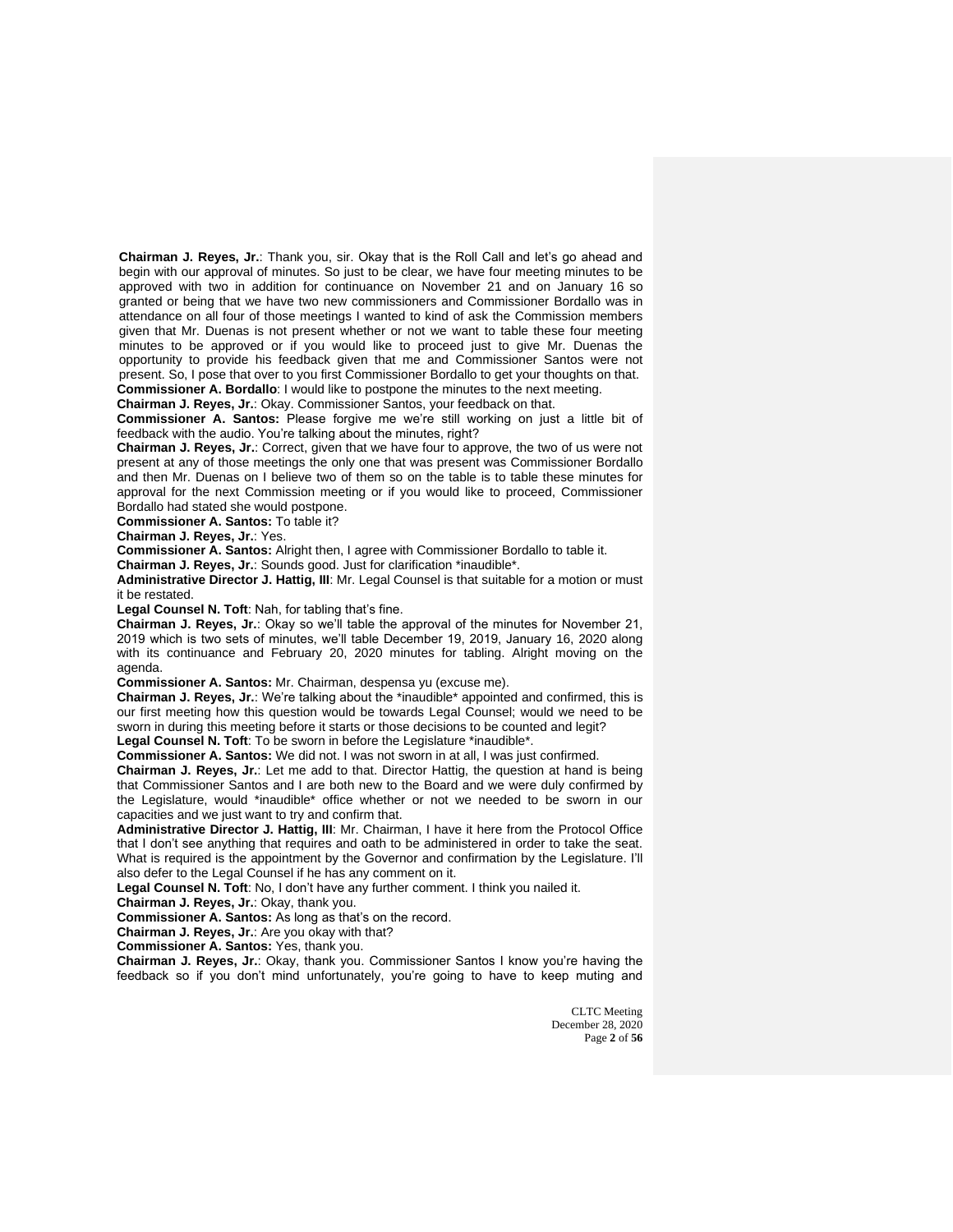**Chairman J. Reyes, Jr.**: Thank you, sir. Okay that is the Roll Call and let's go ahead and begin with our approval of minutes. So just to be clear, we have four meeting minutes to be approved with two in addition for continuance on November 21 and on January 16 so granted or being that we have two new commissioners and Commissioner Bordallo was in attendance on all four of those meetings I wanted to kind of ask the Commission members given that Mr. Duenas is not present whether or not we want to table these four meeting minutes to be approved or if you would like to proceed just to give Mr. Duenas the opportunity to provide his feedback given that me and Commissioner Santos were not present. So, I pose that over to you first Commissioner Bordallo to get your thoughts on that. **Commissioner A. Bordallo**: I would like to postpone the minutes to the next meeting.

**Chairman J. Reyes, Jr.**: Okay. Commissioner Santos, your feedback on that.

**Commissioner A. Santos:** Please forgive me we're still working on just a little bit of feedback with the audio. You're talking about the minutes, right?

**Chairman J. Reyes, Jr.**: Correct, given that we have four to approve, the two of us were not present at any of those meetings the only one that was present was Commissioner Bordallo and then Mr. Duenas on I believe two of them so on the table is to table these minutes for approval for the next Commission meeting or if you would like to proceed, Commissioner Bordallo had stated she would postpone.

**Commissioner A. Santos:** To table it?

**Chairman J. Reyes, Jr.**: Yes.

**Commissioner A. Santos:** Alright then, I agree with Commissioner Bordallo to table it.

**Chairman J. Reyes, Jr.**: Sounds good. Just for clarification \*inaudible\*.

**Administrative Director J. Hattig, III**: Mr. Legal Counsel is that suitable for a motion or must it be restated.

**Legal Counsel N. Toft**: Nah, for tabling that's fine.

**Chairman J. Reyes, Jr.**: Okay so we'll table the approval of the minutes for November 21, 2019 which is two sets of minutes, we'll table December 19, 2019, January 16, 2020 along with its continuance and February 20, 2020 minutes for tabling. Alright moving on the agenda.

**Commissioner A. Santos:** Mr. Chairman, despensa yu (excuse me).

**Chairman J. Reyes, Jr.**: We're talking about the \*inaudible\* appointed and confirmed, this is our first meeting how this question would be towards Legal Counsel; would we need to be sworn in during this meeting before it starts or those decisions to be counted and legit?

**Legal Counsel N. Toft**: To be sworn in before the Legislature \*inaudible\*.

**Commissioner A. Santos:** We did not. I was not sworn in at all, I was just confirmed. **Chairman J. Reyes, Jr.**: Let me add to that. Director Hattig, the question at hand is being that Commissioner Santos and I are both new to the Board and we were duly confirmed by the Legislature, would \*inaudible\* office whether or not we needed to be sworn in our capacities and we just want to try and confirm that.

**Administrative Director J. Hattig, III**: Mr. Chairman, I have it here from the Protocol Office that I don't see anything that requires and oath to be administered in order to take the seat. What is required is the appointment by the Governor and confirmation by the Legislature. I'll also defer to the Legal Counsel if he has any comment on it.

**Legal Counsel N. Toft**: No, I don't have any further comment. I think you nailed it.

**Chairman J. Reyes, Jr.**: Okay, thank you.

**Commissioner A. Santos:** As long as that's on the record.

**Chairman J. Reyes, Jr.**: Are you okay with that?

**Commissioner A. Santos:** Yes, thank you.

**Chairman J. Reyes, Jr.**: Okay, thank you. Commissioner Santos I know you're having the feedback so if you don't mind unfortunately, you're going to have to keep muting and

> CLTC Meeting December 28, 2020 Page **2** of **56**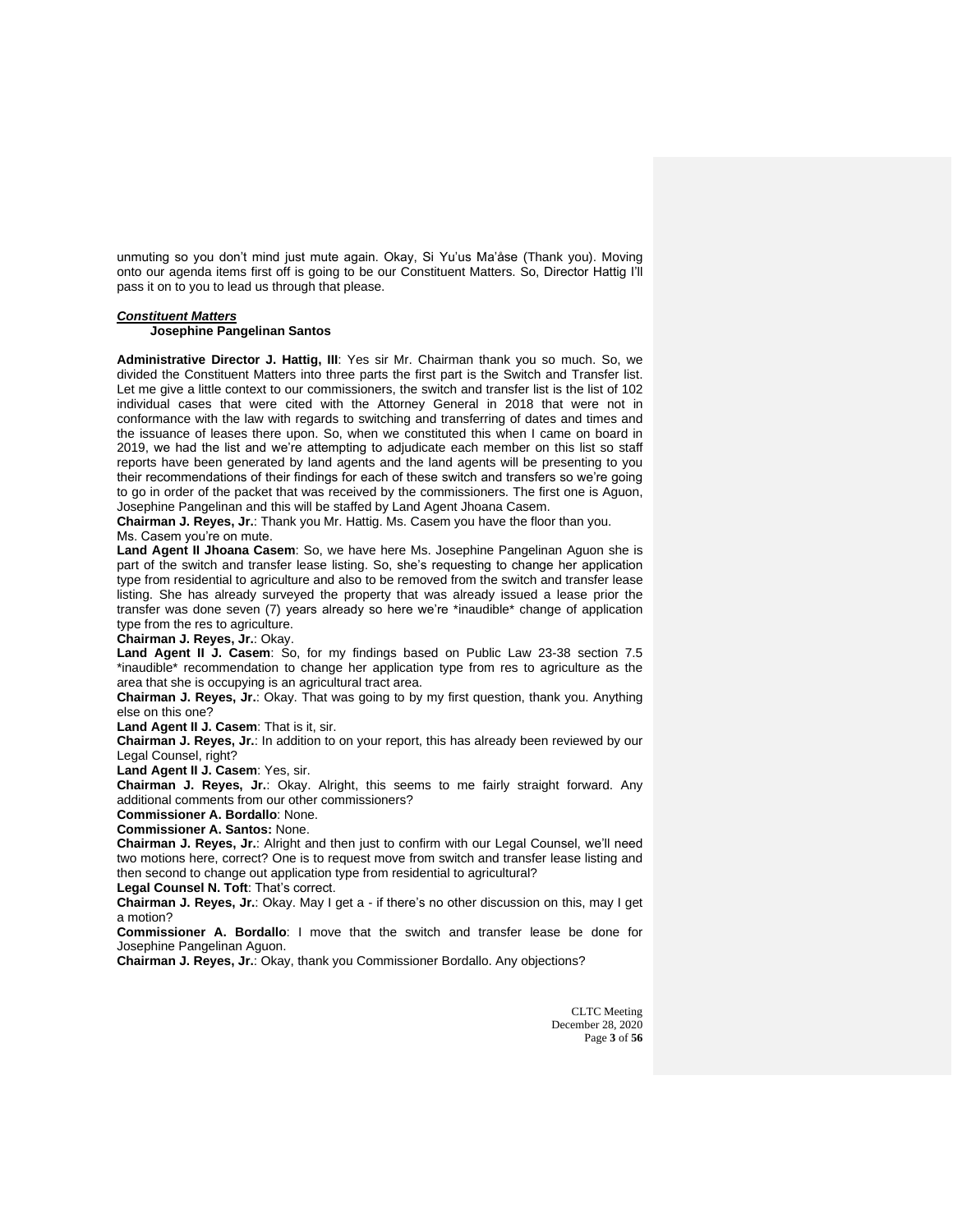unmuting so you don't mind just mute again. Okay, Si Yu'us Ma'åse (Thank you). Moving onto our agenda items first off is going to be our Constituent Matters. So, Director Hattig I'll pass it on to you to lead us through that please.

#### *Constituent Matters*

#### **Josephine Pangelinan Santos**

**Administrative Director J. Hattig, III**: Yes sir Mr. Chairman thank you so much. So, we divided the Constituent Matters into three parts the first part is the Switch and Transfer list. Let me give a little context to our commissioners, the switch and transfer list is the list of 102 individual cases that were cited with the Attorney General in 2018 that were not in conformance with the law with regards to switching and transferring of dates and times and the issuance of leases there upon. So, when we constituted this when I came on board in 2019, we had the list and we're attempting to adjudicate each member on this list so staff reports have been generated by land agents and the land agents will be presenting to you their recommendations of their findings for each of these switch and transfers so we're going to go in order of the packet that was received by the commissioners. The first one is Aguon, Josephine Pangelinan and this will be staffed by Land Agent Jhoana Casem.

**Chairman J. Reyes, Jr.**: Thank you Mr. Hattig. Ms. Casem you have the floor than you. Ms. Casem you're on mute.

**Land Agent II Jhoana Casem**: So, we have here Ms. Josephine Pangelinan Aguon she is part of the switch and transfer lease listing. So, she's requesting to change her application type from residential to agriculture and also to be removed from the switch and transfer lease listing. She has already surveyed the property that was already issued a lease prior the transfer was done seven (7) years already so here we're \*inaudible\* change of application type from the res to agriculture.

**Chairman J. Reyes, Jr.**: Okay.

**Land Agent II J. Casem**: So, for my findings based on Public Law 23-38 section 7.5 \*inaudible\* recommendation to change her application type from res to agriculture as the area that she is occupying is an agricultural tract area.

**Chairman J. Reyes, Jr.**: Okay. That was going to by my first question, thank you. Anything else on this one?

**Land Agent II J. Casem**: That is it, sir.

**Chairman J. Reyes, Jr.**: In addition to on your report, this has already been reviewed by our Legal Counsel, right?

**Land Agent II J. Casem**: Yes, sir.

**Chairman J. Reyes, Jr.**: Okay. Alright, this seems to me fairly straight forward. Any additional comments from our other commissioners? **Commissioner A. Bordallo**: None.

**Commissioner A. Santos:** None.

**Chairman J. Reyes, Jr.**: Alright and then just to confirm with our Legal Counsel, we'll need two motions here, correct? One is to request move from switch and transfer lease listing and then second to change out application type from residential to agricultural?

**Legal Counsel N. Toft**: That's correct.

**Chairman J. Reyes, Jr.**: Okay. May I get a - if there's no other discussion on this, may I get a motion?

**Commissioner A. Bordallo**: I move that the switch and transfer lease be done for Josephine Pangelinan Aguon.

**Chairman J. Reyes, Jr.**: Okay, thank you Commissioner Bordallo. Any objections?

CLTC Meeting December 28, 2020 Page **3** of **56**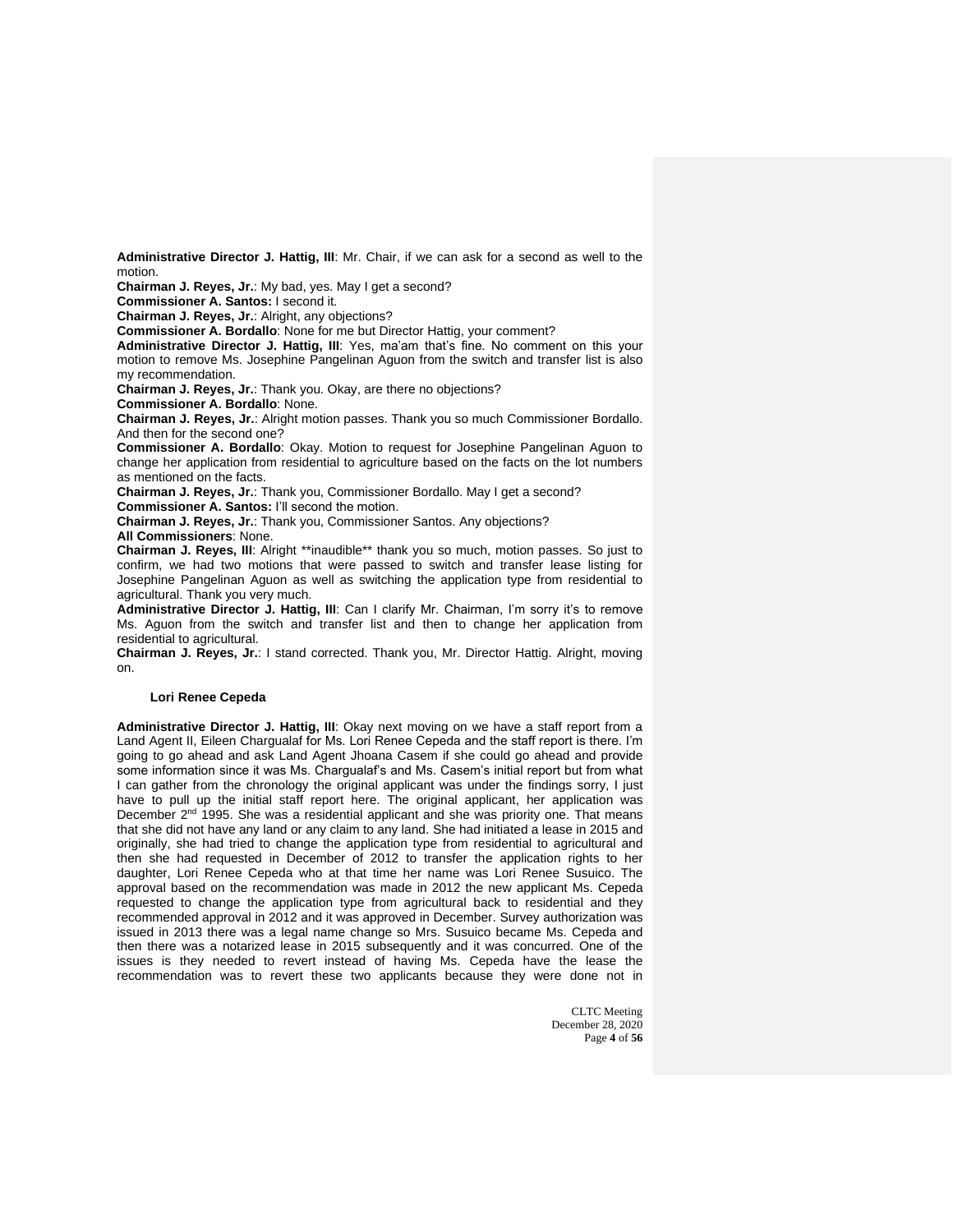**Administrative Director J. Hattig, III**: Mr. Chair, if we can ask for a second as well to the motion.

**Chairman J. Reyes, Jr.**: My bad, yes. May I get a second?

**Commissioner A. Santos:** I second it.

**Chairman J. Reyes, Jr.**: Alright, any objections?

**Commissioner A. Bordallo**: None for me but Director Hattig, your comment?

**Administrative Director J. Hattig, III**: Yes, ma'am that's fine. No comment on this your motion to remove Ms. Josephine Pangelinan Aguon from the switch and transfer list is also my recommendation.

**Chairman J. Reyes, Jr.**: Thank you. Okay, are there no objections?

**Commissioner A. Bordallo**: None.

**Chairman J. Reyes, Jr.**: Alright motion passes. Thank you so much Commissioner Bordallo. And then for the second one?

**Commissioner A. Bordallo**: Okay. Motion to request for Josephine Pangelinan Aguon to change her application from residential to agriculture based on the facts on the lot numbers as mentioned on the facts.

**Chairman J. Reyes, Jr.**: Thank you, Commissioner Bordallo. May I get a second?

**Commissioner A. Santos:** I'll second the motion.

**Chairman J. Reyes, Jr.**: Thank you, Commissioner Santos. Any objections? **All Commissioners**: None.

**Chairman J. Reyes, III**: Alright \*\*inaudible\*\* thank you so much, motion passes. So just to confirm, we had two motions that were passed to switch and transfer lease listing for Josephine Pangelinan Aguon as well as switching the application type from residential to agricultural. Thank you very much.

Administrative Director J. Hattig, III: Can I clarify Mr. Chairman, I'm sorry it's to remove Ms. Aguon from the switch and transfer list and then to change her application from residential to agricultural.

**Chairman J. Reyes, Jr.**: I stand corrected. Thank you, Mr. Director Hattig. Alright, moving on.

### **Lori Renee Cepeda**

**Administrative Director J. Hattig, III**: Okay next moving on we have a staff report from a Land Agent II, Eileen Chargualaf for Ms. Lori Renee Cepeda and the staff report is there. I'm going to go ahead and ask Land Agent Jhoana Casem if she could go ahead and provide some information since it was Ms. Chargualaf's and Ms. Casem's initial report but from what I can gather from the chronology the original applicant was under the findings sorry, I just have to pull up the initial staff report here. The original applicant, her application was December 2<sup>nd</sup> 1995. She was a residential applicant and she was priority one. That means that she did not have any land or any claim to any land. She had initiated a lease in 2015 and originally, she had tried to change the application type from residential to agricultural and then she had requested in December of 2012 to transfer the application rights to her daughter, Lori Renee Cepeda who at that time her name was Lori Renee Susuico. The approval based on the recommendation was made in 2012 the new applicant Ms. Cepeda requested to change the application type from agricultural back to residential and they recommended approval in 2012 and it was approved in December. Survey authorization was issued in 2013 there was a legal name change so Mrs. Susuico became Ms. Cepeda and then there was a notarized lease in 2015 subsequently and it was concurred. One of the issues is they needed to revert instead of having Ms. Cepeda have the lease the recommendation was to revert these two applicants because they were done not in

> CLTC Meeting December 28, 2020 Page **4** of **56**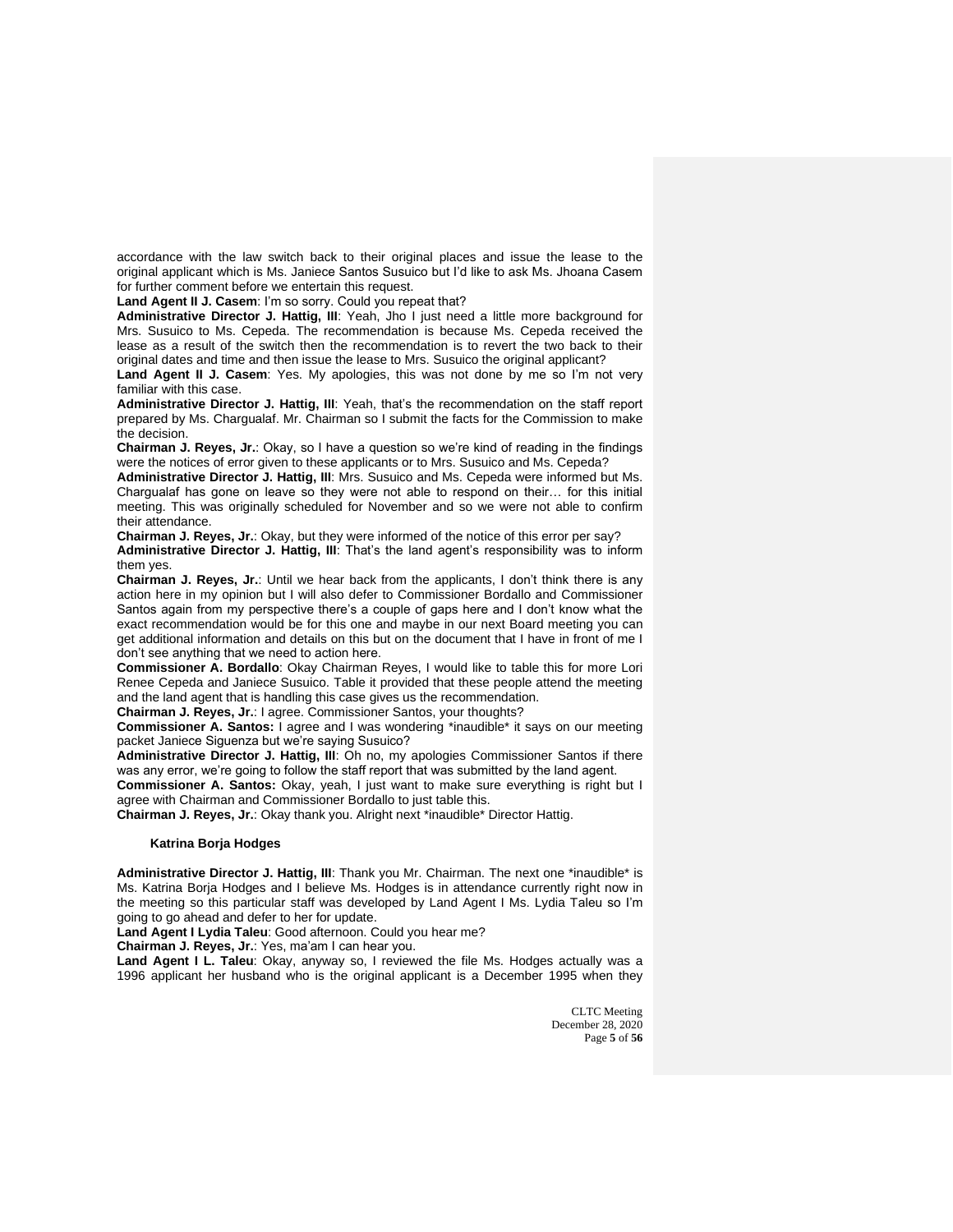accordance with the law switch back to their original places and issue the lease to the original applicant which is Ms. Janiece Santos Susuico but I'd like to ask Ms. Jhoana Casem for further comment before we entertain this request.

**Land Agent II J. Casem**: I'm so sorry. Could you repeat that?

**Administrative Director J. Hattig, III**: Yeah, Jho I just need a little more background for Mrs. Susuico to Ms. Cepeda. The recommendation is because Ms. Cepeda received the lease as a result of the switch then the recommendation is to revert the two back to their original dates and time and then issue the lease to Mrs. Susuico the original applicant?

**Land Agent II J. Casem**: Yes. My apologies, this was not done by me so I'm not very familiar with this case.

**Administrative Director J. Hattig, III**: Yeah, that's the recommendation on the staff report prepared by Ms. Chargualaf. Mr. Chairman so I submit the facts for the Commission to make the decision.

**Chairman J. Reyes, Jr.**: Okay, so I have a question so we're kind of reading in the findings were the notices of error given to these applicants or to Mrs. Susuico and Ms. Cepeda?

**Administrative Director J. Hattig, III**: Mrs. Susuico and Ms. Cepeda were informed but Ms. Chargualaf has gone on leave so they were not able to respond on their… for this initial meeting. This was originally scheduled for November and so we were not able to confirm their attendance.

**Chairman J. Reyes, Jr.**: Okay, but they were informed of the notice of this error per say?

**Administrative Director J. Hattig, III**: That's the land agent's responsibility was to inform them yes.

**Chairman J. Reyes, Jr.**: Until we hear back from the applicants, I don't think there is any action here in my opinion but I will also defer to Commissioner Bordallo and Commissioner Santos again from my perspective there's a couple of gaps here and I don't know what the exact recommendation would be for this one and maybe in our next Board meeting you can get additional information and details on this but on the document that I have in front of me I don't see anything that we need to action here.

**Commissioner A. Bordallo**: Okay Chairman Reyes, I would like to table this for more Lori Renee Cepeda and Janiece Susuico. Table it provided that these people attend the meeting and the land agent that is handling this case gives us the recommendation.

**Chairman J. Reyes, Jr.**: I agree. Commissioner Santos, your thoughts?

**Commissioner A. Santos:** I agree and I was wondering \*inaudible\* it says on our meeting packet Janiece Siguenza but we're saying Susuico?

**Administrative Director J. Hattig, III**: Oh no, my apologies Commissioner Santos if there was any error, we're going to follow the staff report that was submitted by the land agent.

**Commissioner A. Santos:** Okay, yeah, I just want to make sure everything is right but I agree with Chairman and Commissioner Bordallo to just table this.

**Chairman J. Reyes, Jr.**: Okay thank you. Alright next \*inaudible\* Director Hattig.

### **Katrina Borja Hodges**

Administrative Director J. Hattig, III: Thank you Mr. Chairman. The next one \*inaudible\* is Ms. Katrina Borja Hodges and I believe Ms. Hodges is in attendance currently right now in the meeting so this particular staff was developed by Land Agent I Ms. Lydia Taleu so I'm going to go ahead and defer to her for update.

**Land Agent I Lydia Taleu**: Good afternoon. Could you hear me?

**Chairman J. Reyes, Jr.**: Yes, ma'am I can hear you.

**Land Agent I L. Taleu**: Okay, anyway so, I reviewed the file Ms. Hodges actually was a 1996 applicant her husband who is the original applicant is a December 1995 when they

> CLTC Meeting December 28, 2020 Page **5** of **56**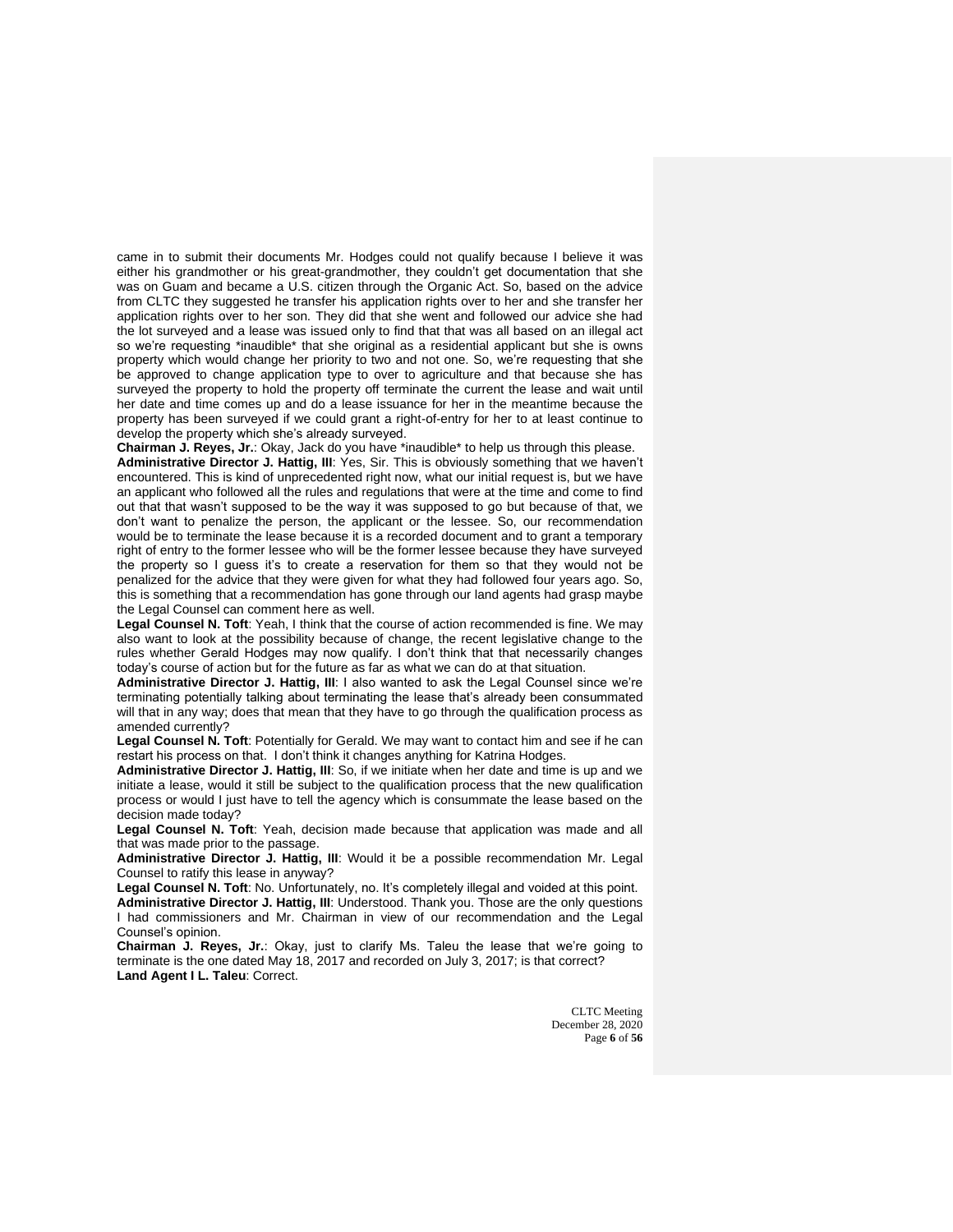came in to submit their documents Mr. Hodges could not qualify because I believe it was either his grandmother or his great-grandmother, they couldn't get documentation that she was on Guam and became a U.S. citizen through the Organic Act. So, based on the advice from CLTC they suggested he transfer his application rights over to her and she transfer her application rights over to her son. They did that she went and followed our advice she had the lot surveyed and a lease was issued only to find that that was all based on an illegal act so we're requesting \*inaudible\* that she original as a residential applicant but she is owns property which would change her priority to two and not one. So, we're requesting that she be approved to change application type to over to agriculture and that because she has surveyed the property to hold the property off terminate the current the lease and wait until her date and time comes up and do a lease issuance for her in the meantime because the property has been surveyed if we could grant a right-of-entry for her to at least continue to develop the property which she's already surveyed.

**Chairman J. Reyes, Jr.**: Okay, Jack do you have \*inaudible\* to help us through this please. **Administrative Director J. Hattig, III**: Yes, Sir. This is obviously something that we haven't encountered. This is kind of unprecedented right now, what our initial request is, but we have an applicant who followed all the rules and regulations that were at the time and come to find out that that wasn't supposed to be the way it was supposed to go but because of that, we don't want to penalize the person, the applicant or the lessee. So, our recommendation would be to terminate the lease because it is a recorded document and to grant a temporary right of entry to the former lessee who will be the former lessee because they have surveyed the property so I guess it's to create a reservation for them so that they would not be penalized for the advice that they were given for what they had followed four years ago. So, this is something that a recommendation has gone through our land agents had grasp maybe the Legal Counsel can comment here as well.

**Legal Counsel N. Toft**: Yeah, I think that the course of action recommended is fine. We may also want to look at the possibility because of change, the recent legislative change to the rules whether Gerald Hodges may now qualify. I don't think that that necessarily changes today's course of action but for the future as far as what we can do at that situation.

**Administrative Director J. Hattig, III**: I also wanted to ask the Legal Counsel since we're terminating potentially talking about terminating the lease that's already been consummated will that in any way; does that mean that they have to go through the qualification process as amended currently?

**Legal Counsel N. Toft**: Potentially for Gerald. We may want to contact him and see if he can restart his process on that. I don't think it changes anything for Katrina Hodges.

**Administrative Director J. Hattig, III**: So, if we initiate when her date and time is up and we initiate a lease, would it still be subject to the qualification process that the new qualification process or would I just have to tell the agency which is consummate the lease based on the decision made today?

**Legal Counsel N. Toft**: Yeah, decision made because that application was made and all that was made prior to the passage.

**Administrative Director J. Hattig, III**: Would it be a possible recommendation Mr. Legal Counsel to ratify this lease in anyway?

**Legal Counsel N. Toft**: No. Unfortunately, no. It's completely illegal and voided at this point. **Administrative Director J. Hattig, III**: Understood. Thank you. Those are the only questions

I had commissioners and Mr. Chairman in view of our recommendation and the Legal Counsel's opinion.

**Chairman J. Reyes, Jr.**: Okay, just to clarify Ms. Taleu the lease that we're going to terminate is the one dated May 18, 2017 and recorded on July 3, 2017; is that correct? **Land Agent I L. Taleu**: Correct.

> CLTC Meeting December 28, 2020 Page **6** of **56**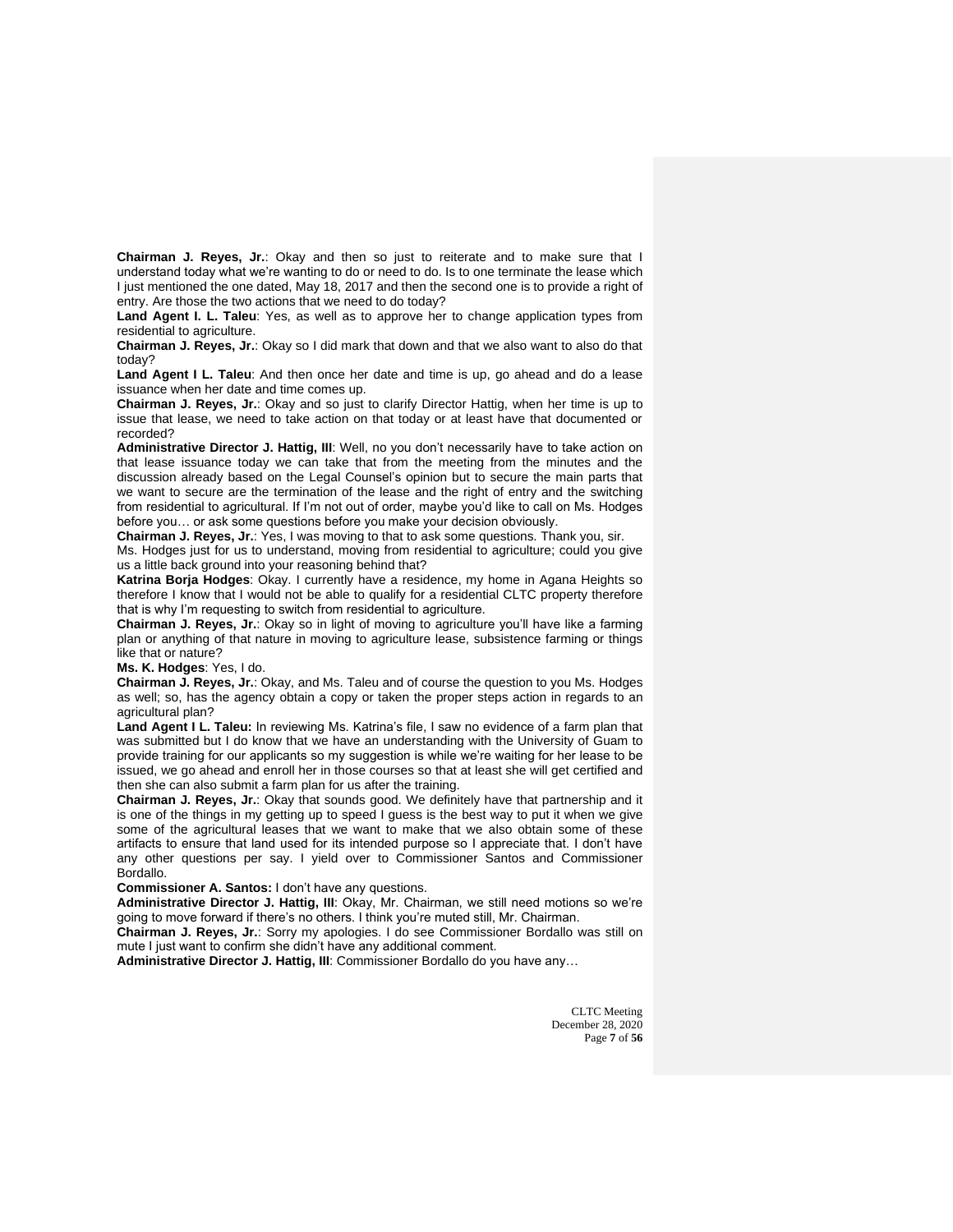**Chairman J. Reyes, Jr.**: Okay and then so just to reiterate and to make sure that I understand today what we're wanting to do or need to do. Is to one terminate the lease which I just mentioned the one dated, May 18, 2017 and then the second one is to provide a right of entry. Are those the two actions that we need to do today?

**Land Agent I. L. Taleu**: Yes, as well as to approve her to change application types from residential to agriculture.

**Chairman J. Reyes, Jr.**: Okay so I did mark that down and that we also want to also do that today?

**Land Agent I L. Taleu**: And then once her date and time is up, go ahead and do a lease issuance when her date and time comes up.

**Chairman J. Reyes, Jr.**: Okay and so just to clarify Director Hattig, when her time is up to issue that lease, we need to take action on that today or at least have that documented or recorded?

**Administrative Director J. Hattig, III**: Well, no you don't necessarily have to take action on that lease issuance today we can take that from the meeting from the minutes and the discussion already based on the Legal Counsel's opinion but to secure the main parts that we want to secure are the termination of the lease and the right of entry and the switching from residential to agricultural. If I'm not out of order, maybe you'd like to call on Ms. Hodges before you… or ask some questions before you make your decision obviously.

**Chairman J. Reyes, Jr.**: Yes, I was moving to that to ask some questions. Thank you, sir.

Ms. Hodges just for us to understand, moving from residential to agriculture; could you give us a little back ground into your reasoning behind that?

**Katrina Borja Hodges**: Okay. I currently have a residence, my home in Agana Heights so therefore I know that I would not be able to qualify for a residential CLTC property therefore that is why I'm requesting to switch from residential to agriculture.

**Chairman J. Reyes, Jr.**: Okay so in light of moving to agriculture you'll have like a farming plan or anything of that nature in moving to agriculture lease, subsistence farming or things like that or nature?

**Ms. K. Hodges**: Yes, I do.

**Chairman J. Reyes, Jr.**: Okay, and Ms. Taleu and of course the question to you Ms. Hodges as well; so, has the agency obtain a copy or taken the proper steps action in regards to an agricultural plan?

**Land Agent I L. Taleu:** In reviewing Ms. Katrina's file, I saw no evidence of a farm plan that was submitted but I do know that we have an understanding with the University of Guam to provide training for our applicants so my suggestion is while we're waiting for her lease to be issued, we go ahead and enroll her in those courses so that at least she will get certified and then she can also submit a farm plan for us after the training.

**Chairman J. Reyes, Jr.**: Okay that sounds good. We definitely have that partnership and it is one of the things in my getting up to speed I guess is the best way to put it when we give some of the agricultural leases that we want to make that we also obtain some of these artifacts to ensure that land used for its intended purpose so I appreciate that. I don't have any other questions per say. I yield over to Commissioner Santos and Commissioner Bordallo.

**Commissioner A. Santos:** I don't have any questions.

**Administrative Director J. Hattig, III**: Okay, Mr. Chairman, we still need motions so we're going to move forward if there's no others. I think you're muted still, Mr. Chairman.

**Chairman J. Reyes, Jr.**: Sorry my apologies. I do see Commissioner Bordallo was still on mute I just want to confirm she didn't have any additional comment.

**Administrative Director J. Hattig, III**: Commissioner Bordallo do you have any…

CLTC Meeting December 28, 2020 Page **7** of **56**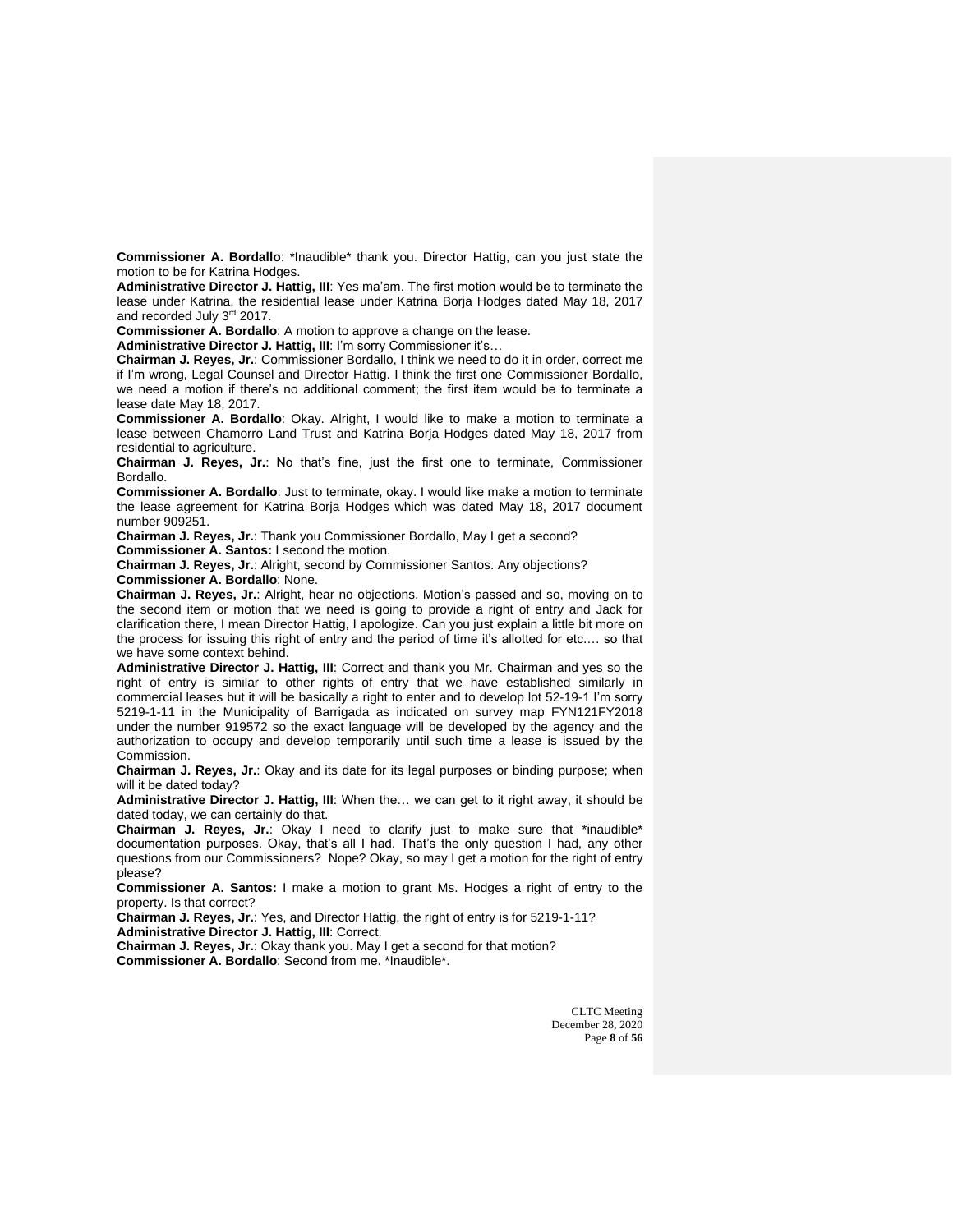**Commissioner A. Bordallo**: \*Inaudible\* thank you. Director Hattig, can you just state the motion to be for Katrina Hodges.

**Administrative Director J. Hattig, III**: Yes ma'am. The first motion would be to terminate the lease under Katrina, the residential lease under Katrina Borja Hodges dated May 18, 2017 and recorded July 3rd 2017.

**Commissioner A. Bordallo**: A motion to approve a change on the lease.

**Administrative Director J. Hattig, III**: I'm sorry Commissioner it's…

**Chairman J. Reyes, Jr.**: Commissioner Bordallo, I think we need to do it in order, correct me if I'm wrong, Legal Counsel and Director Hattig. I think the first one Commissioner Bordallo, we need a motion if there's no additional comment; the first item would be to terminate a lease date May 18, 2017.

**Commissioner A. Bordallo**: Okay. Alright, I would like to make a motion to terminate a lease between Chamorro Land Trust and Katrina Borja Hodges dated May 18, 2017 from residential to agriculture.

**Chairman J. Reyes, Jr.**: No that's fine, just the first one to terminate, Commissioner Bordallo.

**Commissioner A. Bordallo**: Just to terminate, okay. I would like make a motion to terminate the lease agreement for Katrina Borja Hodges which was dated May 18, 2017 document number 909251.

**Chairman J. Reyes, Jr.**: Thank you Commissioner Bordallo, May I get a second? **Commissioner A. Santos:** I second the motion.

**Chairman J. Reyes, Jr.**: Alright, second by Commissioner Santos. Any objections? **Commissioner A. Bordallo**: None.

**Chairman J. Reyes, Jr.**: Alright, hear no objections. Motion's passed and so, moving on to the second item or motion that we need is going to provide a right of entry and Jack for clarification there, I mean Director Hattig, I apologize. Can you just explain a little bit more on the process for issuing this right of entry and the period of time it's allotted for etc.… so that we have some context behind.

**Administrative Director J. Hattig, III**: Correct and thank you Mr. Chairman and yes so the right of entry is similar to other rights of entry that we have established similarly in commercial leases but it will be basically a right to enter and to develop lot 52-19-1 I'm sorry 5219-1-11 in the Municipality of Barrigada as indicated on survey map FYN121FY2018 under the number 919572 so the exact language will be developed by the agency and the authorization to occupy and develop temporarily until such time a lease is issued by the Commission.

**Chairman J. Reyes, Jr.**: Okay and its date for its legal purposes or binding purpose; when will it be dated today?

**Administrative Director J. Hattig, III**: When the… we can get to it right away, it should be dated today, we can certainly do that.

**Chairman J. Reyes, Jr.**: Okay I need to clarify just to make sure that \*inaudible\* documentation purposes. Okay, that's all I had. That's the only question I had, any other questions from our Commissioners? Nope? Okay, so may I get a motion for the right of entry please?

**Commissioner A. Santos:** I make a motion to grant Ms. Hodges a right of entry to the property. Is that correct?

**Chairman J. Reyes, Jr.**: Yes, and Director Hattig, the right of entry is for 5219-1-11? **Administrative Director J. Hattig, III**: Correct.

**Chairman J. Reyes, Jr.**: Okay thank you. May I get a second for that motion? **Commissioner A. Bordallo**: Second from me. \*Inaudible\*.

> CLTC Meeting December 28, 2020 Page **8** of **56**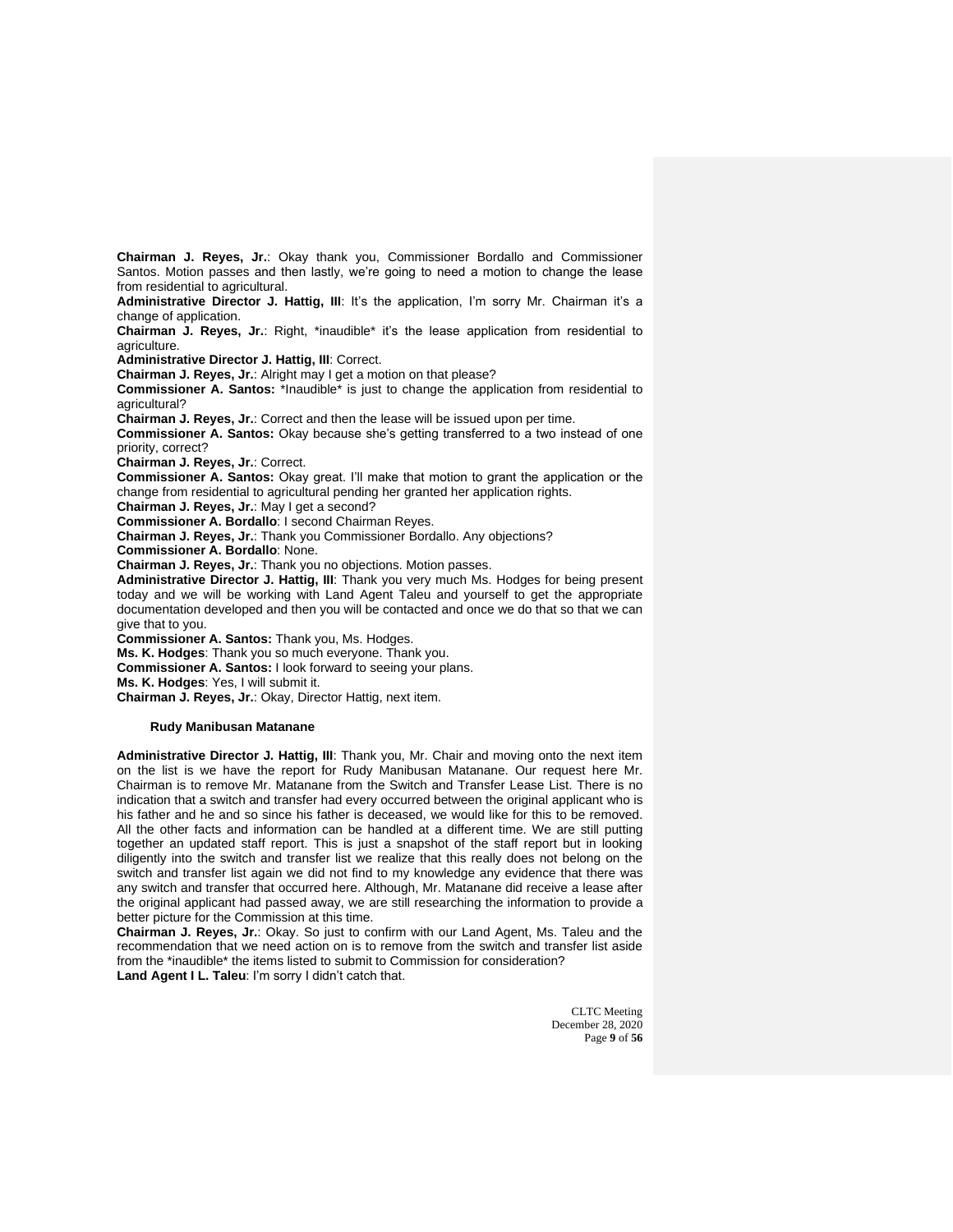**Chairman J. Reyes, Jr.**: Okay thank you, Commissioner Bordallo and Commissioner Santos. Motion passes and then lastly, we're going to need a motion to change the lease from residential to agricultural.

Administrative Director J. Hattig, III: It's the application, I'm sorry Mr. Chairman it's a change of application.

**Chairman J. Reyes, Jr.**: Right, \*inaudible\* it's the lease application from residential to agriculture.

**Administrative Director J. Hattig, III**: Correct.

**Chairman J. Reyes, Jr.**: Alright may I get a motion on that please?

**Commissioner A. Santos:** \*Inaudible\* is just to change the application from residential to agricultural?

**Chairman J. Reyes, Jr.**: Correct and then the lease will be issued upon per time.

**Commissioner A. Santos:** Okay because she's getting transferred to a two instead of one priority, correct?

**Chairman J. Reyes, Jr.**: Correct.

**Commissioner A. Santos:** Okay great. I'll make that motion to grant the application or the change from residential to agricultural pending her granted her application rights.

**Chairman J. Reyes, Jr.**: May I get a second?

**Commissioner A. Bordallo**: I second Chairman Reyes.

**Chairman J. Reyes, Jr.**: Thank you Commissioner Bordallo. Any objections?

**Commissioner A. Bordallo**: None.

**Chairman J. Reyes, Jr.**: Thank you no objections. Motion passes.

**Administrative Director J. Hattig, III**: Thank you very much Ms. Hodges for being present today and we will be working with Land Agent Taleu and yourself to get the appropriate documentation developed and then you will be contacted and once we do that so that we can give that to you.

**Commissioner A. Santos:** Thank you, Ms. Hodges.

**Ms. K. Hodges**: Thank you so much everyone. Thank you.

**Commissioner A. Santos:** I look forward to seeing your plans.

**Ms. K. Hodges**: Yes, I will submit it.

**Chairman J. Reyes, Jr.**: Okay, Director Hattig, next item.

# **Rudy Manibusan Matanane**

**Administrative Director J. Hattig, III**: Thank you, Mr. Chair and moving onto the next item on the list is we have the report for Rudy Manibusan Matanane. Our request here Mr. Chairman is to remove Mr. Matanane from the Switch and Transfer Lease List. There is no indication that a switch and transfer had every occurred between the original applicant who is his father and he and so since his father is deceased, we would like for this to be removed. All the other facts and information can be handled at a different time. We are still putting together an updated staff report. This is just a snapshot of the staff report but in looking diligently into the switch and transfer list we realize that this really does not belong on the switch and transfer list again we did not find to my knowledge any evidence that there was any switch and transfer that occurred here. Although, Mr. Matanane did receive a lease after the original applicant had passed away, we are still researching the information to provide a better picture for the Commission at this time.

**Chairman J. Reyes, Jr.**: Okay. So just to confirm with our Land Agent, Ms. Taleu and the recommendation that we need action on is to remove from the switch and transfer list aside from the \*inaudible\* the items listed to submit to Commission for consideration? **Land Agent I L. Taleu**: I'm sorry I didn't catch that.

> CLTC Meeting December 28, 2020 Page **9** of **56**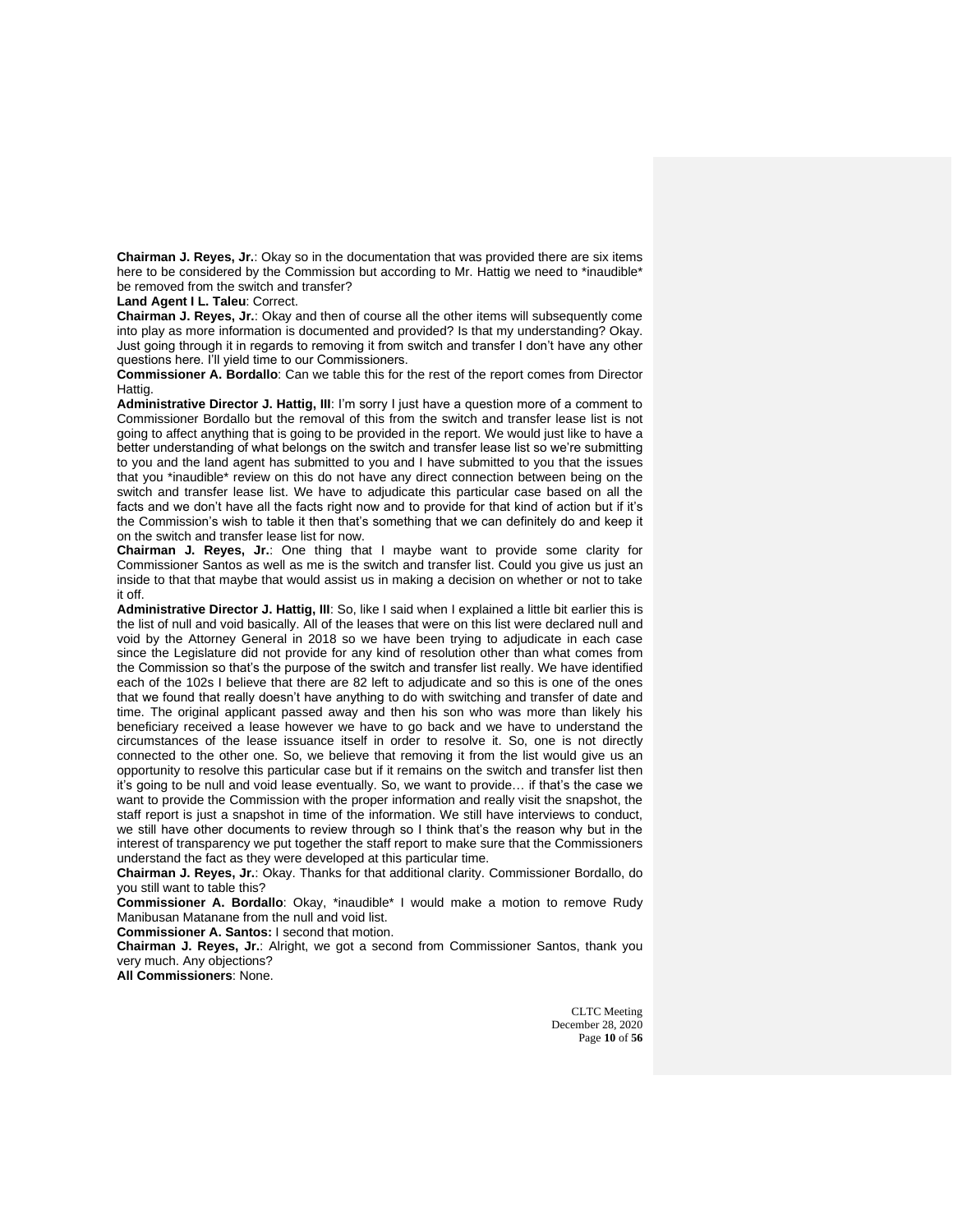**Chairman J. Reyes, Jr.**: Okay so in the documentation that was provided there are six items here to be considered by the Commission but according to Mr. Hattig we need to \*inaudible\* be removed from the switch and transfer?

#### **Land Agent I L. Taleu**: Correct.

**Chairman J. Reyes, Jr.**: Okay and then of course all the other items will subsequently come into play as more information is documented and provided? Is that my understanding? Okay. Just going through it in regards to removing it from switch and transfer I don't have any other questions here. I'll yield time to our Commissioners.

**Commissioner A. Bordallo**: Can we table this for the rest of the report comes from Director Hattig.

**Administrative Director J. Hattig, III**: I'm sorry I just have a question more of a comment to Commissioner Bordallo but the removal of this from the switch and transfer lease list is not going to affect anything that is going to be provided in the report. We would just like to have a better understanding of what belongs on the switch and transfer lease list so we're submitting to you and the land agent has submitted to you and I have submitted to you that the issues that you \*inaudible\* review on this do not have any direct connection between being on the switch and transfer lease list. We have to adjudicate this particular case based on all the facts and we don't have all the facts right now and to provide for that kind of action but if it's the Commission's wish to table it then that's something that we can definitely do and keep it on the switch and transfer lease list for now.

**Chairman J. Reyes, Jr.**: One thing that I maybe want to provide some clarity for Commissioner Santos as well as me is the switch and transfer list. Could you give us just an inside to that that maybe that would assist us in making a decision on whether or not to take it off.

**Administrative Director J. Hattig, III**: So, like I said when I explained a little bit earlier this is the list of null and void basically. All of the leases that were on this list were declared null and void by the Attorney General in 2018 so we have been trying to adjudicate in each case since the Legislature did not provide for any kind of resolution other than what comes from the Commission so that's the purpose of the switch and transfer list really. We have identified each of the 102s I believe that there are 82 left to adjudicate and so this is one of the ones that we found that really doesn't have anything to do with switching and transfer of date and time. The original applicant passed away and then his son who was more than likely his beneficiary received a lease however we have to go back and we have to understand the circumstances of the lease issuance itself in order to resolve it. So, one is not directly connected to the other one. So, we believe that removing it from the list would give us an opportunity to resolve this particular case but if it remains on the switch and transfer list then it's going to be null and void lease eventually. So, we want to provide… if that's the case we want to provide the Commission with the proper information and really visit the snapshot, the staff report is just a snapshot in time of the information. We still have interviews to conduct, we still have other documents to review through so I think that's the reason why but in the interest of transparency we put together the staff report to make sure that the Commissioners understand the fact as they were developed at this particular time.

**Chairman J. Reyes, Jr.**: Okay. Thanks for that additional clarity. Commissioner Bordallo, do you still want to table this?

**Commissioner A. Bordallo**: Okay, \*inaudible\* I would make a motion to remove Rudy Manibusan Matanane from the null and void list.

**Commissioner A. Santos:** I second that motion.

**Chairman J. Reyes, Jr.**: Alright, we got a second from Commissioner Santos, thank you very much. Any objections?

**All Commissioners**: None.

CLTC Meeting December 28, 2020 Page **10** of **56**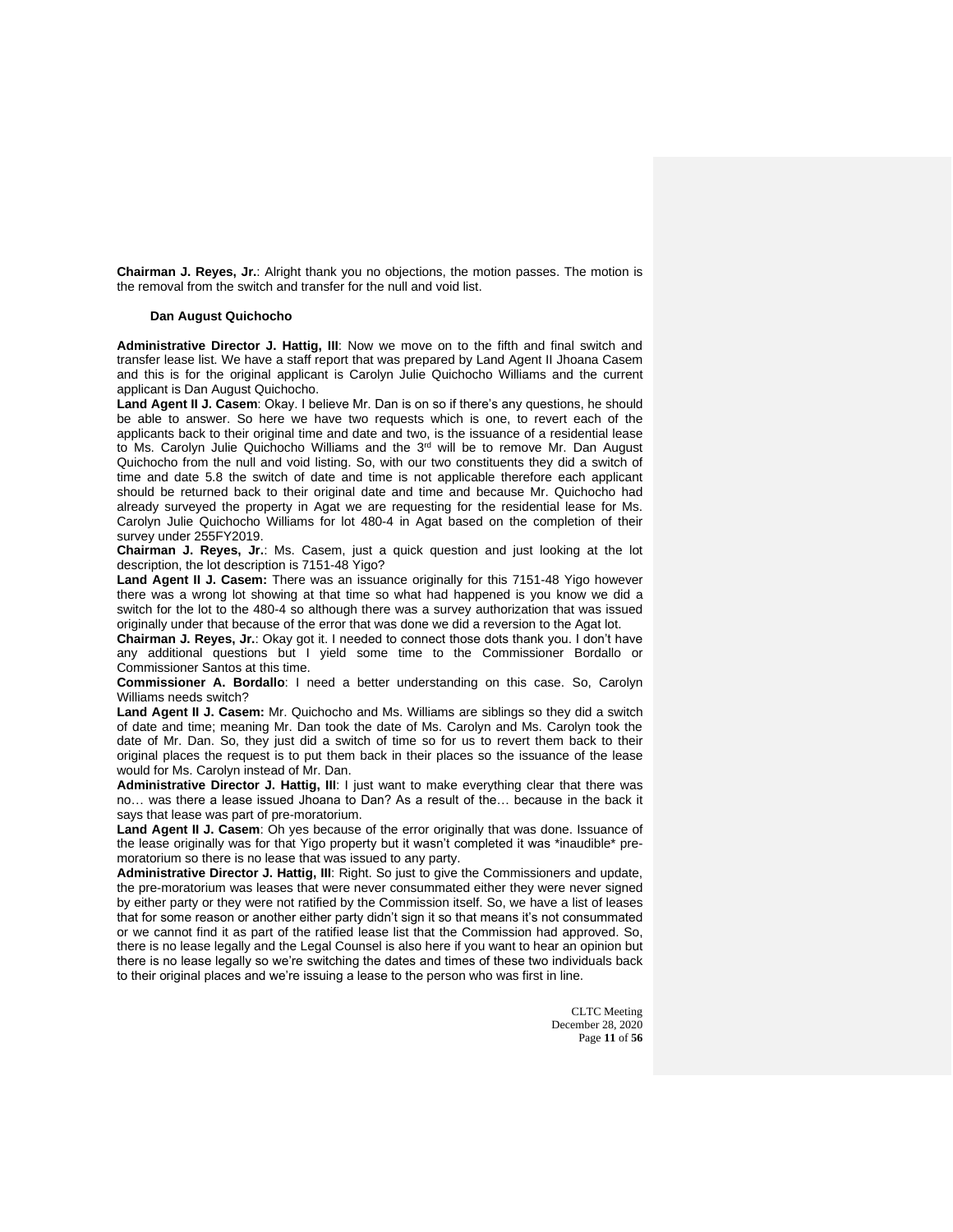**Chairman J. Reyes, Jr.**: Alright thank you no objections, the motion passes. The motion is the removal from the switch and transfer for the null and void list.

#### **Dan August Quichocho**

**Administrative Director J. Hattig, III**: Now we move on to the fifth and final switch and transfer lease list. We have a staff report that was prepared by Land Agent II Jhoana Casem and this is for the original applicant is Carolyn Julie Quichocho Williams and the current applicant is Dan August Quichocho.

**Land Agent II J. Casem**: Okay. I believe Mr. Dan is on so if there's any questions, he should be able to answer. So here we have two requests which is one, to revert each of the applicants back to their original time and date and two, is the issuance of a residential lease to Ms. Carolyn Julie Quichocho Williams and the 3<sup>rd</sup> will be to remove Mr. Dan August Quichocho from the null and void listing. So, with our two constituents they did a switch of time and date 5.8 the switch of date and time is not applicable therefore each applicant should be returned back to their original date and time and because Mr. Quichocho had already surveyed the property in Agat we are requesting for the residential lease for Ms. Carolyn Julie Quichocho Williams for lot 480-4 in Agat based on the completion of their survey under 255FY2019.

**Chairman J. Reyes, Jr.**: Ms. Casem, just a quick question and just looking at the lot description, the lot description is 7151-48 Yigo?

**Land Agent II J. Casem:** There was an issuance originally for this 7151-48 Yigo however there was a wrong lot showing at that time so what had happened is you know we did a switch for the lot to the 480-4 so although there was a survey authorization that was issued originally under that because of the error that was done we did a reversion to the Agat lot.

**Chairman J. Reyes, Jr.**: Okay got it. I needed to connect those dots thank you. I don't have any additional questions but I yield some time to the Commissioner Bordallo or Commissioner Santos at this time.

**Commissioner A. Bordallo**: I need a better understanding on this case. So, Carolyn Williams needs switch?

**Land Agent II J. Casem:** Mr. Quichocho and Ms. Williams are siblings so they did a switch of date and time; meaning Mr. Dan took the date of Ms. Carolyn and Ms. Carolyn took the date of Mr. Dan. So, they just did a switch of time so for us to revert them back to their original places the request is to put them back in their places so the issuance of the lease would for Ms. Carolyn instead of Mr. Dan.

**Administrative Director J. Hattig, III**: I just want to make everything clear that there was no… was there a lease issued Jhoana to Dan? As a result of the… because in the back it says that lease was part of pre-moratorium.

**Land Agent II J. Casem**: Oh yes because of the error originally that was done. Issuance of the lease originally was for that Yigo property but it wasn't completed it was \*inaudible\* premoratorium so there is no lease that was issued to any party.

**Administrative Director J. Hattig, III**: Right. So just to give the Commissioners and update, the pre-moratorium was leases that were never consummated either they were never signed by either party or they were not ratified by the Commission itself. So, we have a list of leases that for some reason or another either party didn't sign it so that means it's not consummated or we cannot find it as part of the ratified lease list that the Commission had approved. So, there is no lease legally and the Legal Counsel is also here if you want to hear an opinion but there is no lease legally so we're switching the dates and times of these two individuals back to their original places and we're issuing a lease to the person who was first in line.

> CLTC Meeting December 28, 2020 Page **11** of **56**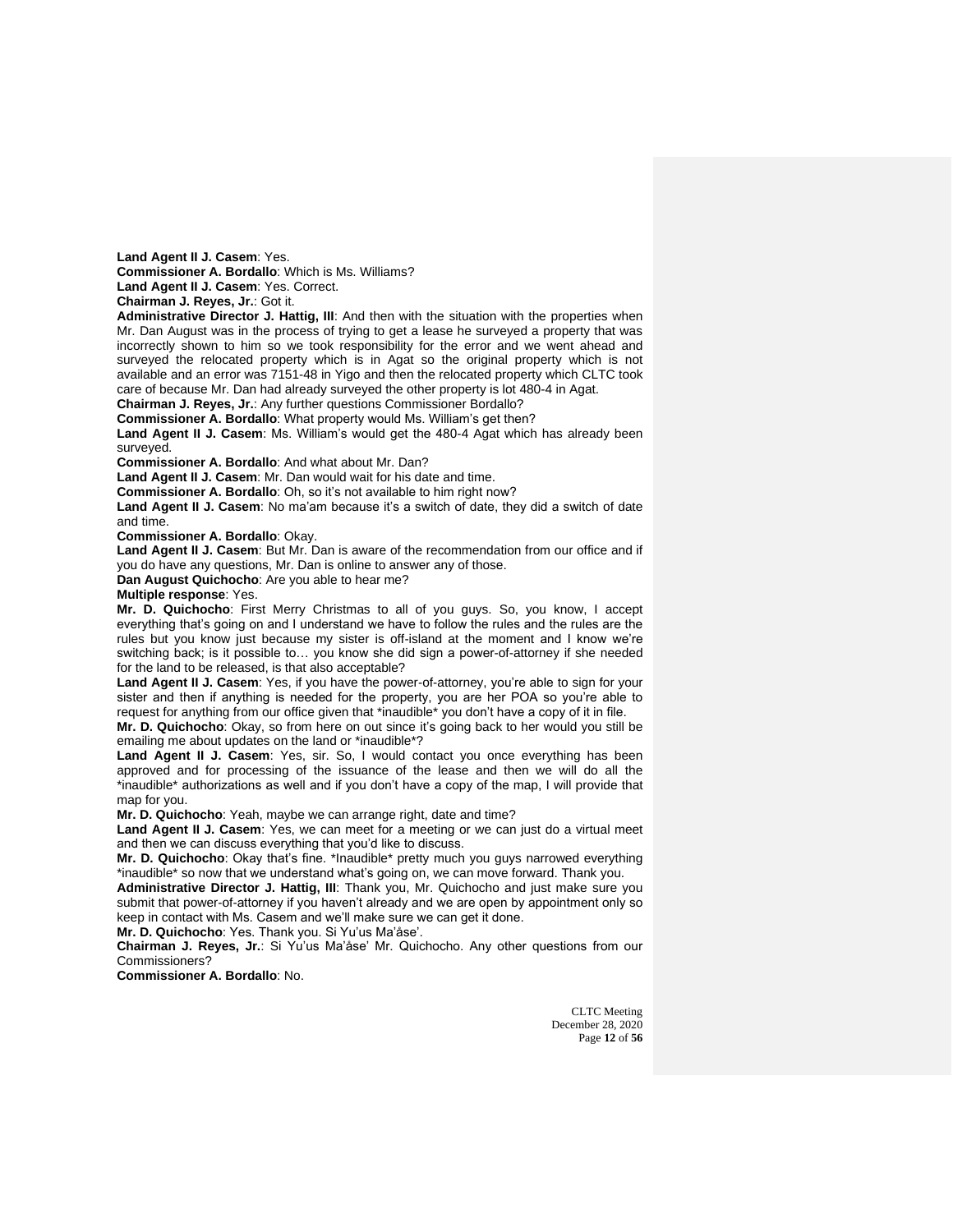**Land Agent II J. Casem**: Yes. **Commissioner A. Bordallo**: Which is Ms. Williams? **Land Agent II J. Casem**: Yes. Correct.

**Chairman J. Reyes, Jr.**: Got it.

**Administrative Director J. Hattig, III**: And then with the situation with the properties when Mr. Dan August was in the process of trying to get a lease he surveyed a property that was incorrectly shown to him so we took responsibility for the error and we went ahead and surveyed the relocated property which is in Agat so the original property which is not available and an error was 7151-48 in Yigo and then the relocated property which CLTC took care of because Mr. Dan had already surveyed the other property is lot 480-4 in Agat.

**Chairman J. Reyes, Jr.**: Any further questions Commissioner Bordallo?

**Commissioner A. Bordallo**: What property would Ms. William's get then? **Land Agent II J. Casem**: Ms. William's would get the 480-4 Agat which has already been

surveyed.

**Commissioner A. Bordallo**: And what about Mr. Dan?

**Land Agent II J. Casem**: Mr. Dan would wait for his date and time.

**Commissioner A. Bordallo**: Oh, so it's not available to him right now?

**Land Agent II J. Casem**: No ma'am because it's a switch of date, they did a switch of date and time.

**Commissioner A. Bordallo**: Okay.

**Land Agent II J. Casem**: But Mr. Dan is aware of the recommendation from our office and if you do have any questions, Mr. Dan is online to answer any of those.

**Dan August Quichocho**: Are you able to hear me?

**Multiple response**: Yes.

**Mr. D. Quichocho**: First Merry Christmas to all of you guys. So, you know, I accept everything that's going on and I understand we have to follow the rules and the rules are the rules but you know just because my sister is off-island at the moment and I know we're switching back; is it possible to… you know she did sign a power-of-attorney if she needed for the land to be released, is that also acceptable?

**Land Agent II J. Casem**: Yes, if you have the power-of-attorney, you're able to sign for your sister and then if anything is needed for the property, you are her POA so you're able to request for anything from our office given that \*inaudible\* you don't have a copy of it in file.

**Mr. D. Quichocho**: Okay, so from here on out since it's going back to her would you still be emailing me about updates on the land or \*inaudible\*?

**Land Agent II J. Casem**: Yes, sir. So, I would contact you once everything has been approved and for processing of the issuance of the lease and then we will do all the \*inaudible\* authorizations as well and if you don't have a copy of the map, I will provide that map for you.

**Mr. D. Quichocho**: Yeah, maybe we can arrange right, date and time?

**Land Agent II J. Casem**: Yes, we can meet for a meeting or we can just do a virtual meet and then we can discuss everything that you'd like to discuss.

**Mr. D. Quichocho**: Okay that's fine. \*Inaudible\* pretty much you guys narrowed everything \*inaudible\* so now that we understand what's going on, we can move forward. Thank you.

**Administrative Director J. Hattig, III**: Thank you, Mr. Quichocho and just make sure you submit that power-of-attorney if you haven't already and we are open by appointment only so keep in contact with Ms. Casem and we'll make sure we can get it done.

**Mr. D. Quichocho**: Yes. Thank you. Si Yu'us Ma'åse'.

**Chairman J. Reyes, Jr.**: Si Yu'us Ma'åse' Mr. Quichocho. Any other questions from our Commissioners?

**Commissioner A. Bordallo**: No.

CLTC Meeting December 28, 2020 Page **12** of **56**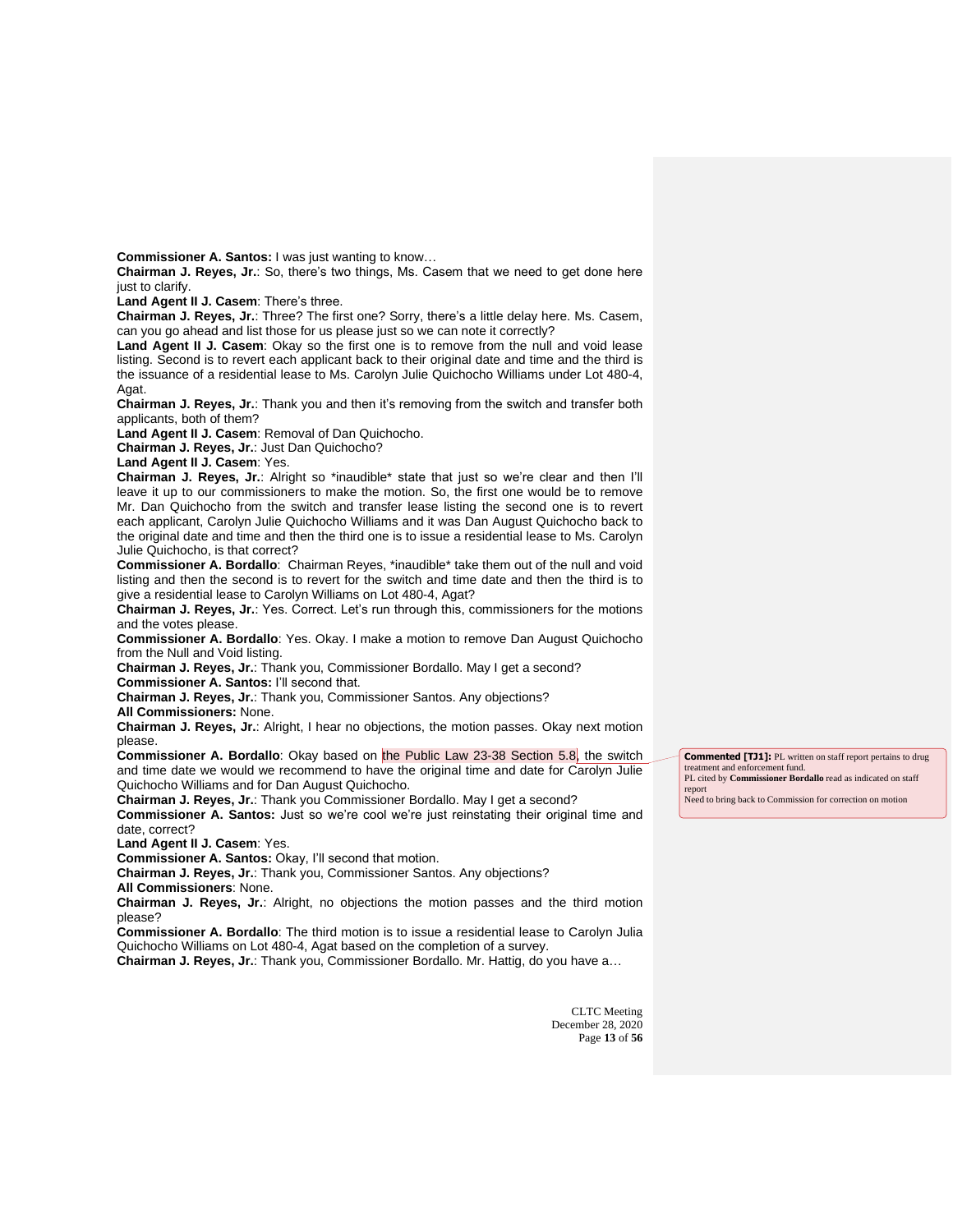**Commissioner A. Santos:** I was just wanting to know…

**Chairman J. Reyes, Jr.**: So, there's two things, Ms. Casem that we need to get done here just to clarify.

**Land Agent II J. Casem**: There's three.

**Chairman J. Reyes, Jr.**: Three? The first one? Sorry, there's a little delay here. Ms. Casem, can you go ahead and list those for us please just so we can note it correctly?

**Land Agent II J. Casem**: Okay so the first one is to remove from the null and void lease listing. Second is to revert each applicant back to their original date and time and the third is the issuance of a residential lease to Ms. Carolyn Julie Quichocho Williams under Lot 480-4, Agat.

**Chairman J. Reyes, Jr.**: Thank you and then it's removing from the switch and transfer both applicants, both of them?

**Land Agent II J. Casem**: Removal of Dan Quichocho.

**Chairman J. Reyes, Jr.**: Just Dan Quichocho?

**Land Agent II J. Casem**: Yes.

**Chairman J. Reyes, Jr.**: Alright so \*inaudible\* state that just so we're clear and then I'll leave it up to our commissioners to make the motion. So, the first one would be to remove Mr. Dan Quichocho from the switch and transfer lease listing the second one is to revert each applicant, Carolyn Julie Quichocho Williams and it was Dan August Quichocho back to the original date and time and then the third one is to issue a residential lease to Ms. Carolyn Julie Quichocho, is that correct?

**Commissioner A. Bordallo**: Chairman Reyes, \*inaudible\* take them out of the null and void listing and then the second is to revert for the switch and time date and then the third is to give a residential lease to Carolyn Williams on Lot 480-4, Agat?

**Chairman J. Reyes, Jr.**: Yes. Correct. Let's run through this, commissioners for the motions and the votes please.

**Commissioner A. Bordallo**: Yes. Okay. I make a motion to remove Dan August Quichocho from the Null and Void listing.

**Chairman J. Reyes, Jr.**: Thank you, Commissioner Bordallo. May I get a second?

**Commissioner A. Santos:** I'll second that.

**Chairman J. Reyes, Jr.**: Thank you, Commissioner Santos. Any objections?

**All Commissioners:** None.

**Chairman J. Reyes, Jr.**: Alright, I hear no objections, the motion passes. Okay next motion please.

**Commissioner A. Bordallo**: Okay based on the Public Law 23-38 Section 5.8, the switch and time date we would we recommend to have the original time and date for Carolyn Julie Quichocho Williams and for Dan August Quichocho.

**Chairman J. Reyes, Jr.**: Thank you Commissioner Bordallo. May I get a second? **Commissioner A. Santos:** Just so we're cool we're just reinstating their original time and date, correct?

**Land Agent II J. Casem**: Yes.

**Commissioner A. Santos:** Okay, I'll second that motion.

**Chairman J. Reyes, Jr.**: Thank you, Commissioner Santos. Any objections?

**All Commissioners**: None.

**Chairman J. Reyes, Jr.**: Alright, no objections the motion passes and the third motion please?

**Commissioner A. Bordallo**: The third motion is to issue a residential lease to Carolyn Julia Quichocho Williams on Lot 480-4, Agat based on the completion of a survey.

**Chairman J. Reyes, Jr.**: Thank you, Commissioner Bordallo. Mr. Hattig, do you have a…

**Commented [TJ1]:** PL written on staff report pertains to drug treatment and enforcement fund. PL cited by **Commissioner Bordallo** read as indicated on staff report Need to bring back to Commission for correction on motion

CLTC Meeting December 28, 2020 Page **13** of **56**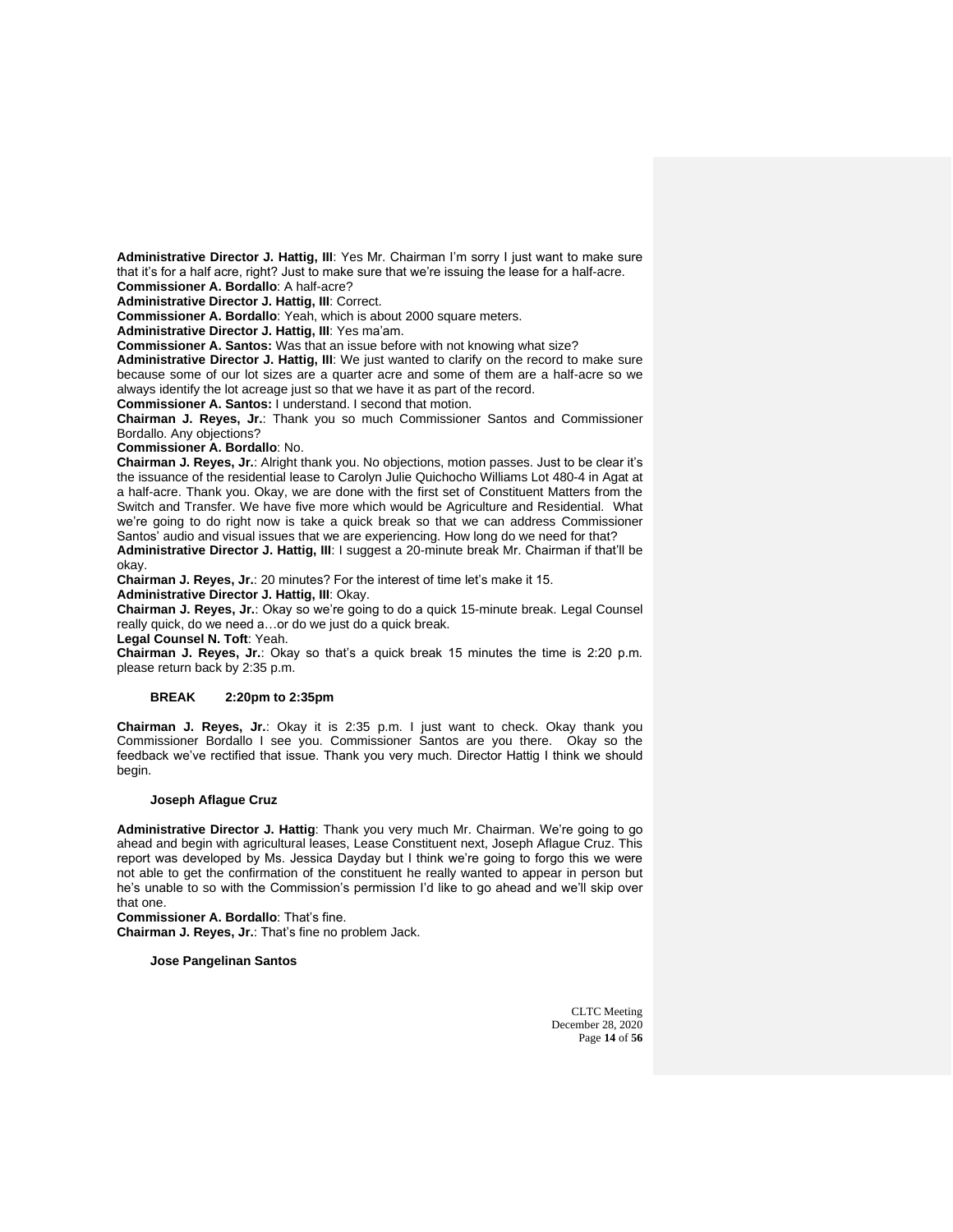**Administrative Director J. Hattig, III**: Yes Mr. Chairman I'm sorry I just want to make sure that it's for a half acre, right? Just to make sure that we're issuing the lease for a half-acre. **Commissioner A. Bordallo**: A half-acre?

**Administrative Director J. Hattig, III**: Correct.

**Commissioner A. Bordallo**: Yeah, which is about 2000 square meters.

**Administrative Director J. Hattig, III**: Yes ma'am.

**Commissioner A. Santos:** Was that an issue before with not knowing what size?

**Administrative Director J. Hattig, III**: We just wanted to clarify on the record to make sure because some of our lot sizes are a quarter acre and some of them are a half-acre so we always identify the lot acreage just so that we have it as part of the record.

**Commissioner A. Santos:** I understand. I second that motion.

**Chairman J. Reyes, Jr.**: Thank you so much Commissioner Santos and Commissioner Bordallo. Any objections?

**Commissioner A. Bordallo**: No.

**Chairman J. Reyes, Jr.**: Alright thank you. No objections, motion passes. Just to be clear it's the issuance of the residential lease to Carolyn Julie Quichocho Williams Lot 480-4 in Agat at a half-acre. Thank you. Okay, we are done with the first set of Constituent Matters from the Switch and Transfer. We have five more which would be Agriculture and Residential. What we're going to do right now is take a quick break so that we can address Commissioner Santos' audio and visual issues that we are experiencing. How long do we need for that?

**Administrative Director J. Hattig, III**: I suggest a 20-minute break Mr. Chairman if that'll be okay.

**Chairman J. Reyes, Jr.**: 20 minutes? For the interest of time let's make it 15.

**Administrative Director J. Hattig, III**: Okay.

**Chairman J. Reyes, Jr.**: Okay so we're going to do a quick 15-minute break. Legal Counsel really quick, do we need a…or do we just do a quick break.

**Legal Counsel N. Toft**: Yeah.

**Chairman J. Reyes, Jr.**: Okay so that's a quick break 15 minutes the time is 2:20 p.m. please return back by 2:35 p.m.

### **BREAK 2:20pm to 2:35pm**

**Chairman J. Reyes, Jr.**: Okay it is 2:35 p.m. I just want to check. Okay thank you Commissioner Bordallo I see you. Commissioner Santos are you there. Okay so the feedback we've rectified that issue. Thank you very much. Director Hattig I think we should begin.

#### **Joseph Aflague Cruz**

**Administrative Director J. Hattig**: Thank you very much Mr. Chairman. We're going to go ahead and begin with agricultural leases, Lease Constituent next, Joseph Aflague Cruz. This report was developed by Ms. Jessica Dayday but I think we're going to forgo this we were not able to get the confirmation of the constituent he really wanted to appear in person but he's unable to so with the Commission's permission I'd like to go ahead and we'll skip over that one.

**Commissioner A. Bordallo**: That's fine.

**Chairman J. Reyes, Jr.**: That's fine no problem Jack.

**Jose Pangelinan Santos**

CLTC Meeting December 28, 2020 Page **14** of **56**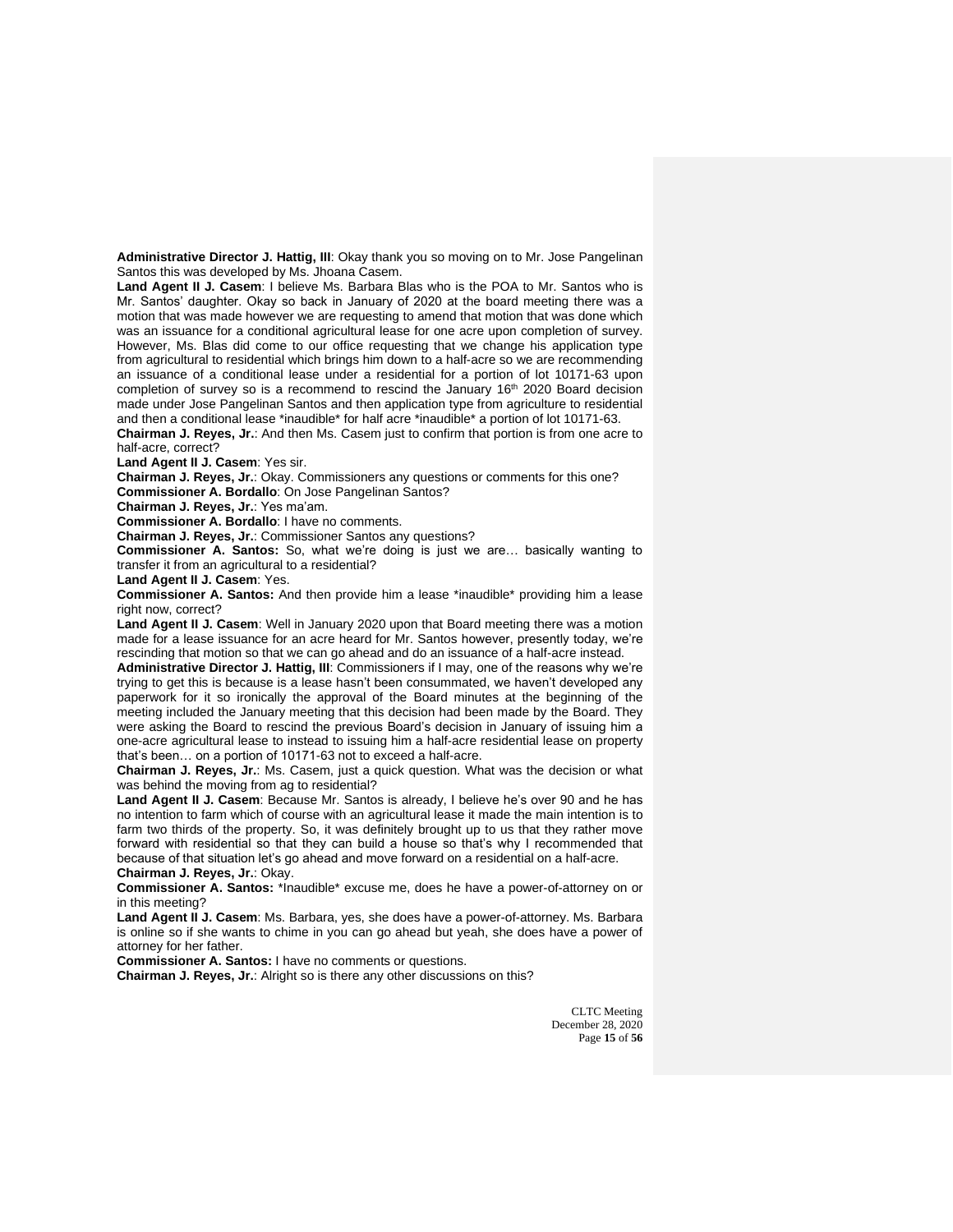**Administrative Director J. Hattig, III**: Okay thank you so moving on to Mr. Jose Pangelinan Santos this was developed by Ms. Jhoana Casem.

**Land Agent II J. Casem**: I believe Ms. Barbara Blas who is the POA to Mr. Santos who is Mr. Santos' daughter. Okay so back in January of 2020 at the board meeting there was a motion that was made however we are requesting to amend that motion that was done which was an issuance for a conditional agricultural lease for one acre upon completion of survey. However, Ms. Blas did come to our office requesting that we change his application type from agricultural to residential which brings him down to a half-acre so we are recommending an issuance of a conditional lease under a residential for a portion of lot 10171-63 upon completion of survey so is a recommend to rescind the January  $16<sup>th</sup>$  2020 Board decision made under Jose Pangelinan Santos and then application type from agriculture to residential and then a conditional lease \*inaudible\* for half acre \*inaudible\* a portion of lot 10171-63.

**Chairman J. Reyes, Jr.**: And then Ms. Casem just to confirm that portion is from one acre to half-acre, correct?

**Land Agent II J. Casem**: Yes sir.

**Chairman J. Reyes, Jr.**: Okay. Commissioners any questions or comments for this one? **Commissioner A. Bordallo**: On Jose Pangelinan Santos?

**Chairman J. Reyes, Jr.**: Yes ma'am.

**Commissioner A. Bordallo**: I have no comments.

**Chairman J. Reyes, Jr.**: Commissioner Santos any questions?

**Commissioner A. Santos:** So, what we're doing is just we are… basically wanting to transfer it from an agricultural to a residential?

**Land Agent II J. Casem**: Yes.

**Commissioner A. Santos:** And then provide him a lease \*inaudible\* providing him a lease right now, correct?

**Land Agent II J. Casem**: Well in January 2020 upon that Board meeting there was a motion made for a lease issuance for an acre heard for Mr. Santos however, presently today, we're rescinding that motion so that we can go ahead and do an issuance of a half-acre instead.

**Administrative Director J. Hattig, III**: Commissioners if I may, one of the reasons why we're trying to get this is because is a lease hasn't been consummated, we haven't developed any paperwork for it so ironically the approval of the Board minutes at the beginning of the meeting included the January meeting that this decision had been made by the Board. They were asking the Board to rescind the previous Board's decision in January of issuing him a one-acre agricultural lease to instead to issuing him a half-acre residential lease on property that's been… on a portion of 10171-63 not to exceed a half-acre.

**Chairman J. Reyes, Jr.**: Ms. Casem, just a quick question. What was the decision or what was behind the moving from ag to residential?

**Land Agent II J. Casem**: Because Mr. Santos is already, I believe he's over 90 and he has no intention to farm which of course with an agricultural lease it made the main intention is to farm two thirds of the property. So, it was definitely brought up to us that they rather move forward with residential so that they can build a house so that's why I recommended that because of that situation let's go ahead and move forward on a residential on a half-acre. **Chairman J. Reyes, Jr.**: Okay.

**Commissioner A. Santos:** \*Inaudible\* excuse me, does he have a power-of-attorney on or in this meeting?

**Land Agent II J. Casem**: Ms. Barbara, yes, she does have a power-of-attorney. Ms. Barbara is online so if she wants to chime in you can go ahead but yeah, she does have a power of attorney for her father.

**Commissioner A. Santos:** I have no comments or questions.

**Chairman J. Reyes, Jr.**: Alright so is there any other discussions on this?

CLTC Meeting December 28, 2020 Page **15** of **56**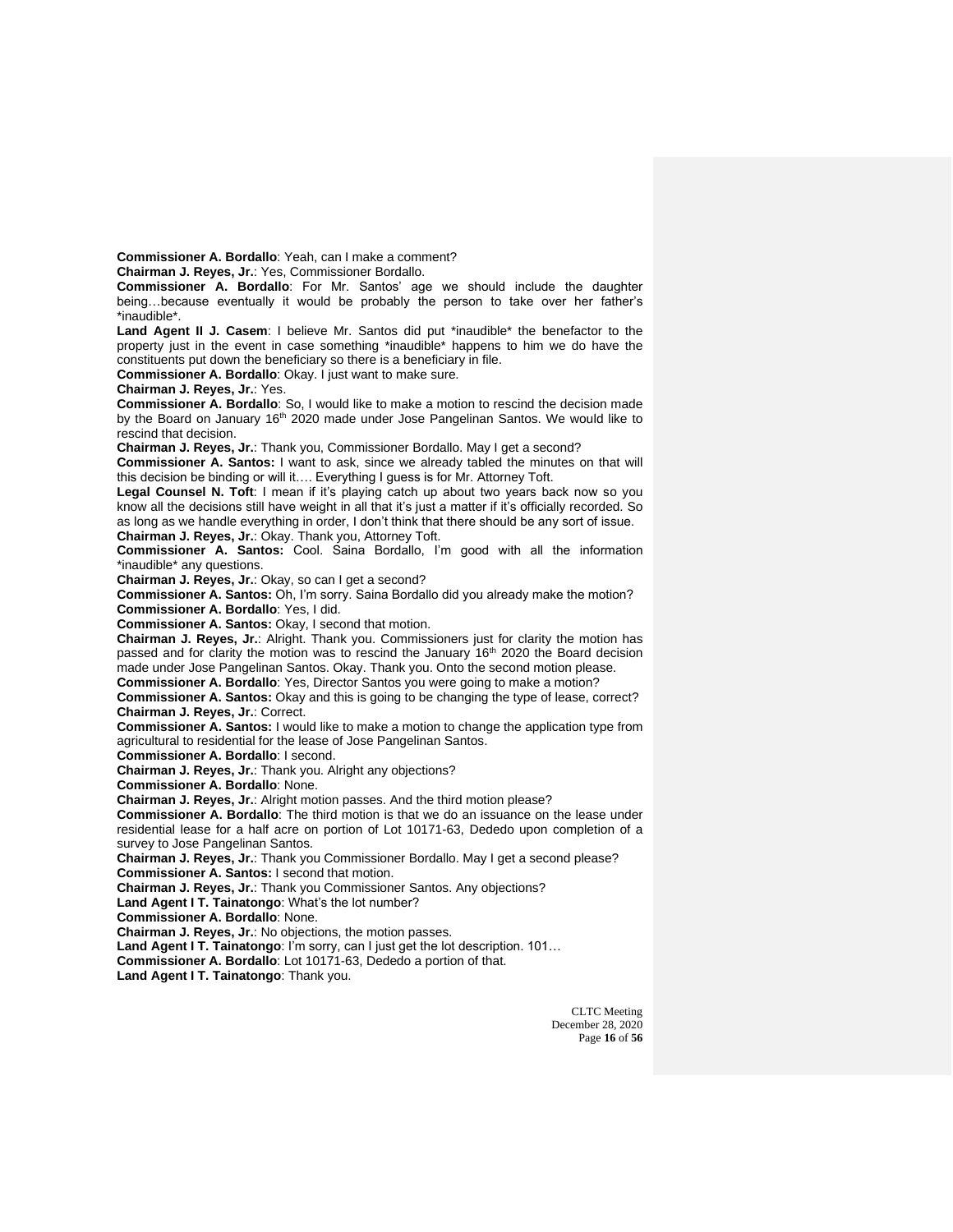**Commissioner A. Bordallo**: Yeah, can I make a comment?

**Chairman J. Reyes, Jr.**: Yes, Commissioner Bordallo.

**Commissioner A. Bordallo**: For Mr. Santos' age we should include the daughter being…because eventually it would be probably the person to take over her father's \*inaudible\*.

**Land Agent II J. Casem**: I believe Mr. Santos did put \*inaudible\* the benefactor to the property just in the event in case something \*inaudible\* happens to him we do have the constituents put down the beneficiary so there is a beneficiary in file.

**Commissioner A. Bordallo**: Okay. I just want to make sure.

**Chairman J. Reyes, Jr.**: Yes.

**Commissioner A. Bordallo**: So, I would like to make a motion to rescind the decision made by the Board on January 16<sup>th</sup> 2020 made under Jose Pangelinan Santos. We would like to rescind that decision.

**Chairman J. Reyes, Jr.**: Thank you, Commissioner Bordallo. May I get a second?

**Commissioner A. Santos:** I want to ask, since we already tabled the minutes on that will this decision be binding or will it…. Everything I guess is for Mr. Attorney Toft.

**Legal Counsel N. Toft**: I mean if it's playing catch up about two years back now so you know all the decisions still have weight in all that it's just a matter if it's officially recorded. So as long as we handle everything in order, I don't think that there should be any sort of issue. **Chairman J. Reyes, Jr.**: Okay. Thank you, Attorney Toft.

**Commissioner A. Santos:** Cool. Saina Bordallo, I'm good with all the information \*inaudible\* any questions.

**Chairman J. Reyes, Jr.**: Okay, so can I get a second?

**Commissioner A. Santos:** Oh, I'm sorry. Saina Bordallo did you already make the motion? **Commissioner A. Bordallo**: Yes, I did.

**Commissioner A. Santos:** Okay, I second that motion.

**Chairman J. Reyes, Jr.**: Alright. Thank you. Commissioners just for clarity the motion has passed and for clarity the motion was to rescind the January  $16<sup>th</sup>$  2020 the Board decision made under Jose Pangelinan Santos. Okay. Thank you. Onto the second motion please.

**Commissioner A. Bordallo**: Yes, Director Santos you were going to make a motion?

**Commissioner A. Santos:** Okay and this is going to be changing the type of lease, correct? **Chairman J. Reyes, Jr.**: Correct.

**Commissioner A. Santos:** I would like to make a motion to change the application type from agricultural to residential for the lease of Jose Pangelinan Santos.

**Commissioner A. Bordallo**: I second.

**Chairman J. Reyes, Jr.**: Thank you. Alright any objections?

**Commissioner A. Bordallo**: None.

**Chairman J. Reyes, Jr.**: Alright motion passes. And the third motion please? **Commissioner A. Bordallo**: The third motion is that we do an issuance on the lease under

residential lease for a half acre on portion of Lot 10171-63, Dededo upon completion of a survey to Jose Pangelinan Santos.

**Chairman J. Reyes, Jr.**: Thank you Commissioner Bordallo. May I get a second please? **Commissioner A. Santos:** I second that motion.

**Chairman J. Reyes, Jr.**: Thank you Commissioner Santos. Any objections?

**Land Agent I T. Tainatongo**: What's the lot number?

**Commissioner A. Bordallo**: None.

**Chairman J. Reyes, Jr.**: No objections, the motion passes.

**Land Agent I T. Tainatongo**: I'm sorry, can I just get the lot description. 101…

**Commissioner A. Bordallo**: Lot 10171-63, Dededo a portion of that.

**Land Agent I T. Tainatongo**: Thank you.

CLTC Meeting December 28, 2020 Page **16** of **56**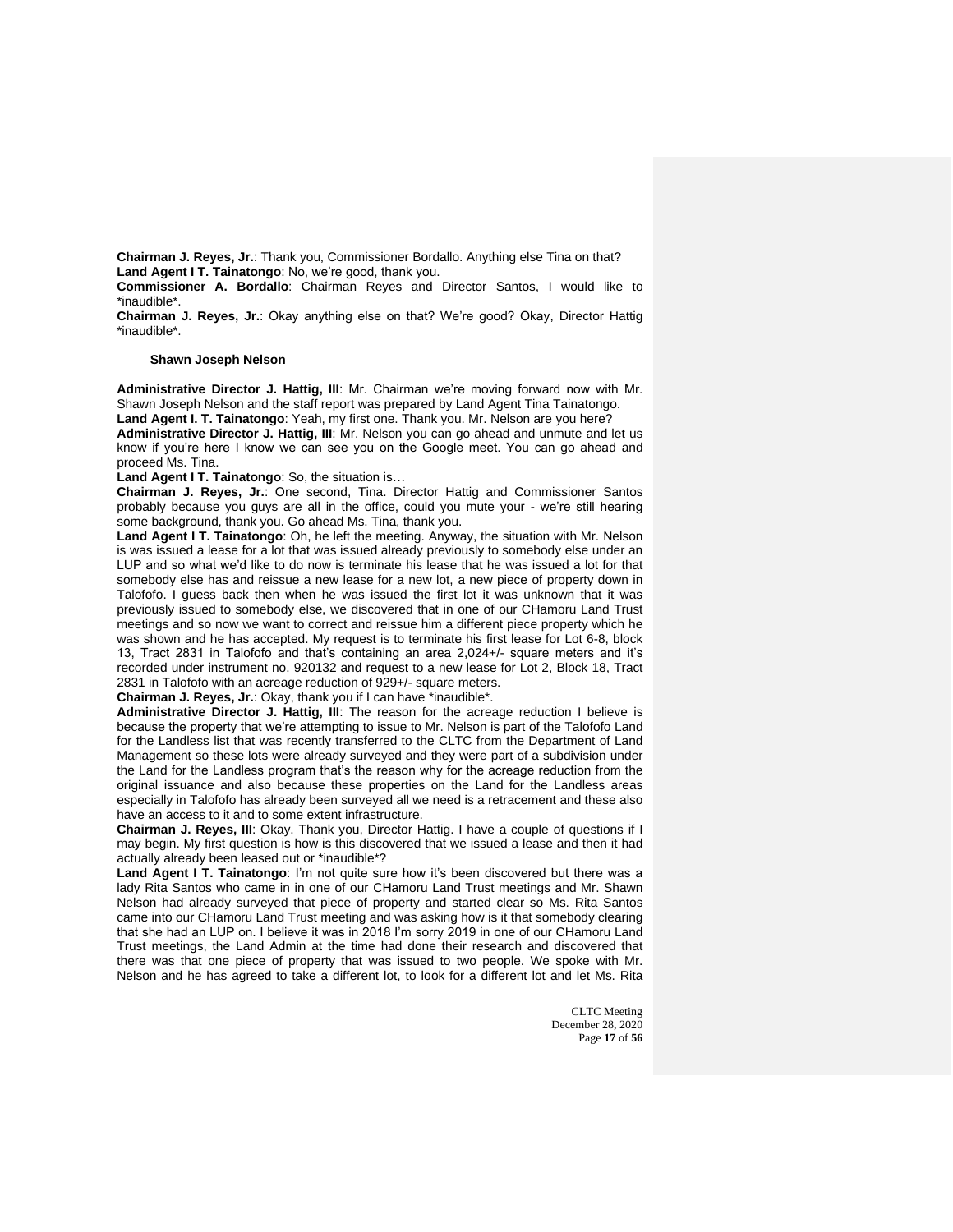**Chairman J. Reyes, Jr.**: Thank you, Commissioner Bordallo. Anything else Tina on that? **Land Agent I T. Tainatongo**: No, we're good, thank you.

**Commissioner A. Bordallo**: Chairman Reyes and Director Santos, I would like to \*inaudible\*.

**Chairman J. Reyes, Jr.**: Okay anything else on that? We're good? Okay, Director Hattig \*inaudible\*.

#### **Shawn Joseph Nelson**

**Administrative Director J. Hattig, III**: Mr. Chairman we're moving forward now with Mr. Shawn Joseph Nelson and the staff report was prepared by Land Agent Tina Tainatongo. **Land Agent I. T. Tainatongo**: Yeah, my first one. Thank you. Mr. Nelson are you here?

**Administrative Director J. Hattig, III**: Mr. Nelson you can go ahead and unmute and let us know if you're here I know we can see you on the Google meet. You can go ahead and proceed Ms. Tina.

**Land Agent I T. Tainatongo**: So, the situation is…

**Chairman J. Reyes, Jr.**: One second, Tina. Director Hattig and Commissioner Santos probably because you guys are all in the office, could you mute your - we're still hearing some background, thank you. Go ahead Ms. Tina, thank you.

**Land Agent I T. Tainatongo**: Oh, he left the meeting. Anyway, the situation with Mr. Nelson is was issued a lease for a lot that was issued already previously to somebody else under an LUP and so what we'd like to do now is terminate his lease that he was issued a lot for that somebody else has and reissue a new lease for a new lot, a new piece of property down in Talofofo. I guess back then when he was issued the first lot it was unknown that it was previously issued to somebody else, we discovered that in one of our CHamoru Land Trust meetings and so now we want to correct and reissue him a different piece property which he was shown and he has accepted. My request is to terminate his first lease for Lot 6-8, block 13, Tract 2831 in Talofofo and that's containing an area 2,024+/- square meters and it's recorded under instrument no. 920132 and request to a new lease for Lot 2, Block 18, Tract 2831 in Talofofo with an acreage reduction of 929+/- square meters.

**Chairman J. Reyes, Jr.**: Okay, thank you if I can have \*inaudible\*.

**Administrative Director J. Hattig, III**: The reason for the acreage reduction I believe is because the property that we're attempting to issue to Mr. Nelson is part of the Talofofo Land for the Landless list that was recently transferred to the CLTC from the Department of Land Management so these lots were already surveyed and they were part of a subdivision under the Land for the Landless program that's the reason why for the acreage reduction from the original issuance and also because these properties on the Land for the Landless areas especially in Talofofo has already been surveyed all we need is a retracement and these also have an access to it and to some extent infrastructure.

**Chairman J. Reyes, III**: Okay. Thank you, Director Hattig. I have a couple of questions if I may begin. My first question is how is this discovered that we issued a lease and then it had actually already been leased out or \*inaudible\*?

**Land Agent I T. Tainatongo**: I'm not quite sure how it's been discovered but there was a lady Rita Santos who came in in one of our CHamoru Land Trust meetings and Mr. Shawn Nelson had already surveyed that piece of property and started clear so Ms. Rita Santos came into our CHamoru Land Trust meeting and was asking how is it that somebody clearing that she had an LUP on. I believe it was in 2018 I'm sorry 2019 in one of our CHamoru Land Trust meetings, the Land Admin at the time had done their research and discovered that there was that one piece of property that was issued to two people. We spoke with Mr. Nelson and he has agreed to take a different lot, to look for a different lot and let Ms. Rita

> CLTC Meeting December 28, 2020 Page **17** of **56**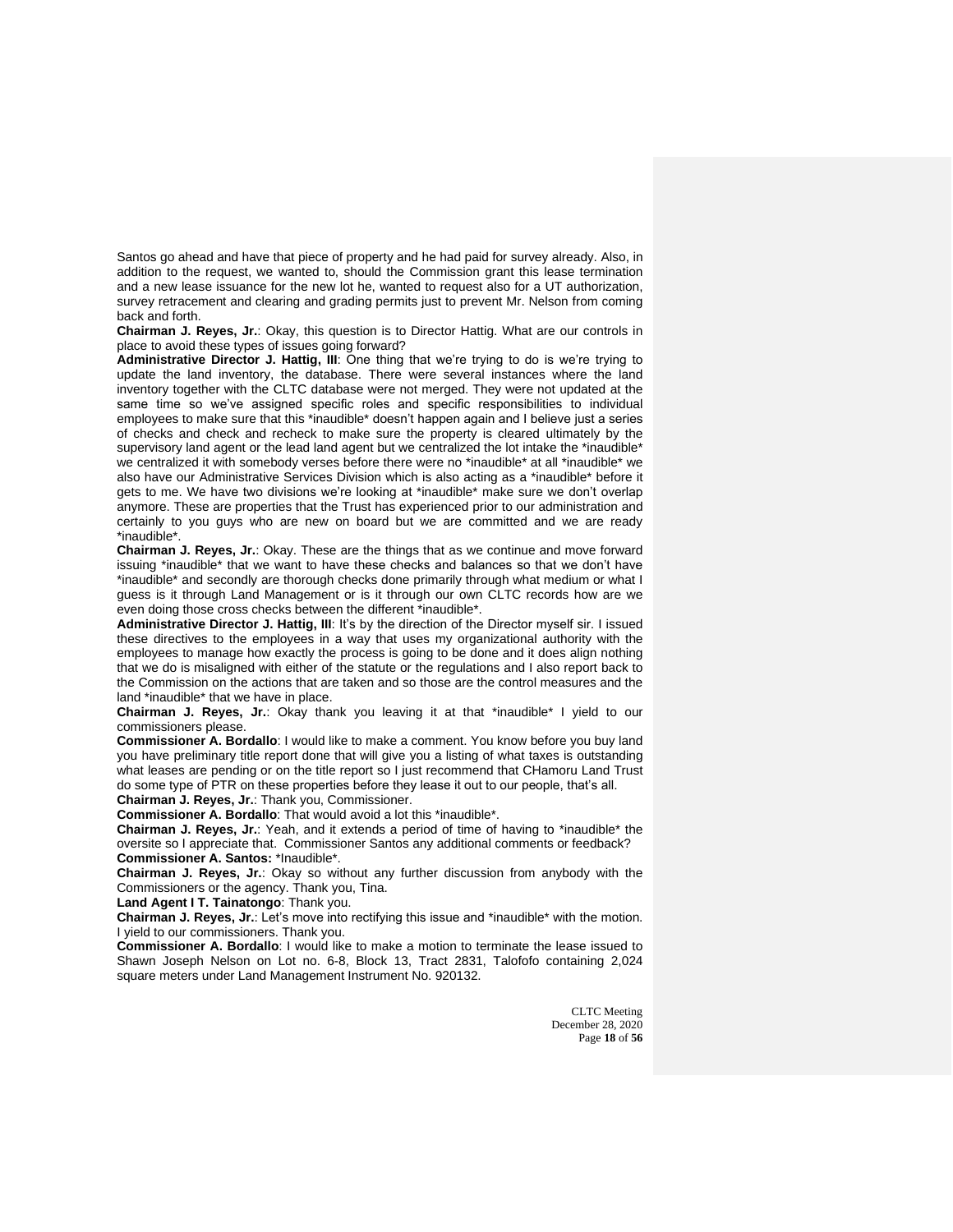Santos go ahead and have that piece of property and he had paid for survey already. Also, in addition to the request, we wanted to, should the Commission grant this lease termination and a new lease issuance for the new lot he, wanted to request also for a UT authorization, survey retracement and clearing and grading permits just to prevent Mr. Nelson from coming back and forth.

**Chairman J. Reyes, Jr.**: Okay, this question is to Director Hattig. What are our controls in place to avoid these types of issues going forward?

**Administrative Director J. Hattig, III**: One thing that we're trying to do is we're trying to update the land inventory, the database. There were several instances where the land inventory together with the CLTC database were not merged. They were not updated at the same time so we've assigned specific roles and specific responsibilities to individual employees to make sure that this \*inaudible\* doesn't happen again and I believe just a series of checks and check and recheck to make sure the property is cleared ultimately by the supervisory land agent or the lead land agent but we centralized the lot intake the \*inaudible\* we centralized it with somebody verses before there were no \*inaudible\* at all \*inaudible\* we also have our Administrative Services Division which is also acting as a \*inaudible\* before it gets to me. We have two divisions we're looking at \*inaudible\* make sure we don't overlap anymore. These are properties that the Trust has experienced prior to our administration and certainly to you guys who are new on board but we are committed and we are ready \*inaudible\*.

**Chairman J. Reyes, Jr.**: Okay. These are the things that as we continue and move forward issuing \*inaudible\* that we want to have these checks and balances so that we don't have \*inaudible\* and secondly are thorough checks done primarily through what medium or what I guess is it through Land Management or is it through our own CLTC records how are we even doing those cross checks between the different \*inaudible\*.

**Administrative Director J. Hattig, III**: It's by the direction of the Director myself sir. I issued these directives to the employees in a way that uses my organizational authority with the employees to manage how exactly the process is going to be done and it does align nothing that we do is misaligned with either of the statute or the regulations and I also report back to the Commission on the actions that are taken and so those are the control measures and the land \*inaudible\* that we have in place.

**Chairman J. Reyes, Jr.**: Okay thank you leaving it at that \*inaudible\* I yield to our commissioners please.

**Commissioner A. Bordallo**: I would like to make a comment. You know before you buy land you have preliminary title report done that will give you a listing of what taxes is outstanding what leases are pending or on the title report so I just recommend that CHamoru Land Trust do some type of PTR on these properties before they lease it out to our people, that's all.

**Chairman J. Reyes, Jr.**: Thank you, Commissioner.

**Commissioner A. Bordallo**: That would avoid a lot this \*inaudible\*.

**Chairman J. Reyes, Jr.**: Yeah, and it extends a period of time of having to \*inaudible\* the oversite so I appreciate that. Commissioner Santos any additional comments or feedback? **Commissioner A. Santos:** \*Inaudible\*.

**Chairman J. Reyes, Jr.**: Okay so without any further discussion from anybody with the Commissioners or the agency. Thank you, Tina.

**Land Agent I T. Tainatongo**: Thank you.

**Chairman J. Reyes, Jr.**: Let's move into rectifying this issue and \*inaudible\* with the motion. I yield to our commissioners. Thank you.

**Commissioner A. Bordallo**: I would like to make a motion to terminate the lease issued to Shawn Joseph Nelson on Lot no. 6-8, Block 13, Tract 2831, Talofofo containing 2,024 square meters under Land Management Instrument No. 920132.

> CLTC Meeting December 28, 2020 Page **18** of **56**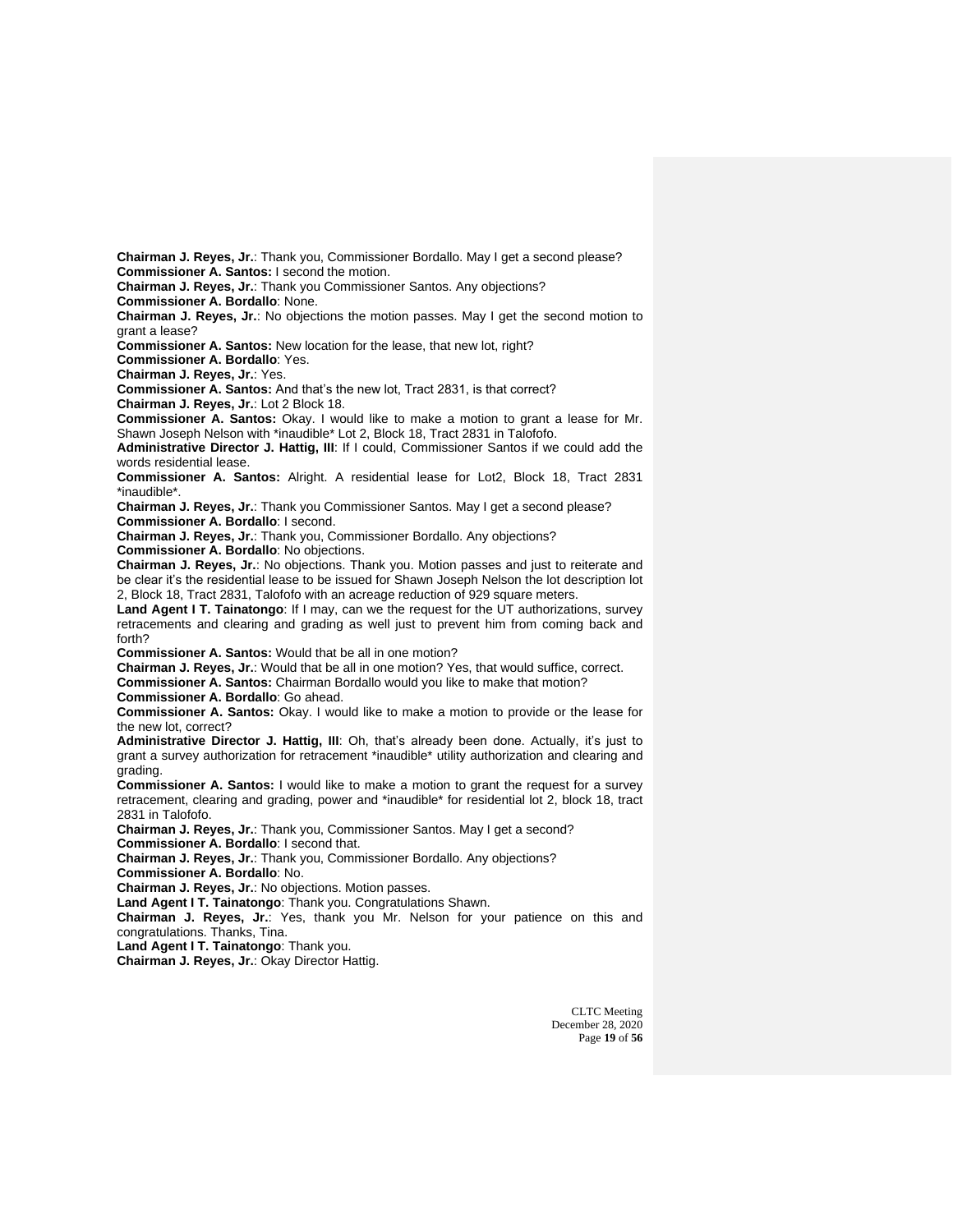**Chairman J. Reyes, Jr.**: Thank you, Commissioner Bordallo. May I get a second please? **Commissioner A. Santos:** I second the motion.

**Chairman J. Reyes, Jr.**: Thank you Commissioner Santos. Any objections?

**Commissioner A. Bordallo**: None.

**Chairman J. Reyes, Jr.**: No objections the motion passes. May I get the second motion to grant a lease?

**Commissioner A. Santos:** New location for the lease, that new lot, right?

**Commissioner A. Bordallo**: Yes.

**Chairman J. Reyes, Jr.**: Yes.

**Commissioner A. Santos:** And that's the new lot, Tract 2831, is that correct? **Chairman J. Reyes, Jr.**: Lot 2 Block 18.

**Commissioner A. Santos:** Okay. I would like to make a motion to grant a lease for Mr. Shawn Joseph Nelson with \*inaudible\* Lot 2, Block 18, Tract 2831 in Talofofo.

**Administrative Director J. Hattig, III**: If I could, Commissioner Santos if we could add the words residential lease.

**Commissioner A. Santos:** Alright. A residential lease for Lot2, Block 18, Tract 2831 \*inaudible\*.

**Chairman J. Reyes, Jr.**: Thank you Commissioner Santos. May I get a second please? **Commissioner A. Bordallo**: I second.

**Chairman J. Reyes, Jr.**: Thank you, Commissioner Bordallo. Any objections?

**Commissioner A. Bordallo**: No objections.

**Chairman J. Reyes, Jr.**: No objections. Thank you. Motion passes and just to reiterate and be clear it's the residential lease to be issued for Shawn Joseph Nelson the lot description lot 2, Block 18, Tract 2831, Talofofo with an acreage reduction of 929 square meters.

**Land Agent I T. Tainatongo**: If I may, can we the request for the UT authorizations, survey retracements and clearing and grading as well just to prevent him from coming back and forth?

**Commissioner A. Santos:** Would that be all in one motion?

**Chairman J. Reyes, Jr.**: Would that be all in one motion? Yes, that would suffice, correct.

**Commissioner A. Santos:** Chairman Bordallo would you like to make that motion?

**Commissioner A. Bordallo**: Go ahead.

**Commissioner A. Santos:** Okay. I would like to make a motion to provide or the lease for the new lot, correct?

**Administrative Director J. Hattig, III**: Oh, that's already been done. Actually, it's just to grant a survey authorization for retracement \*inaudible\* utility authorization and clearing and grading.

**Commissioner A. Santos:** I would like to make a motion to grant the request for a survey retracement, clearing and grading, power and \*inaudible\* for residential lot 2, block 18, tract 2831 in Talofofo.

**Chairman J. Reyes, Jr.**: Thank you, Commissioner Santos. May I get a second? **Commissioner A. Bordallo**: I second that.

**Chairman J. Reyes, Jr.**: Thank you, Commissioner Bordallo. Any objections? **Commissioner A. Bordallo**: No.

**Chairman J. Reyes, Jr.**: No objections. Motion passes.

**Land Agent I T. Tainatongo**: Thank you. Congratulations Shawn.

**Chairman J. Reyes, Jr.**: Yes, thank you Mr. Nelson for your patience on this and congratulations. Thanks, Tina.

**Land Agent I T. Tainatongo**: Thank you.

**Chairman J. Reyes, Jr.**: Okay Director Hattig.

CLTC Meeting December 28, 2020 Page **19** of **56**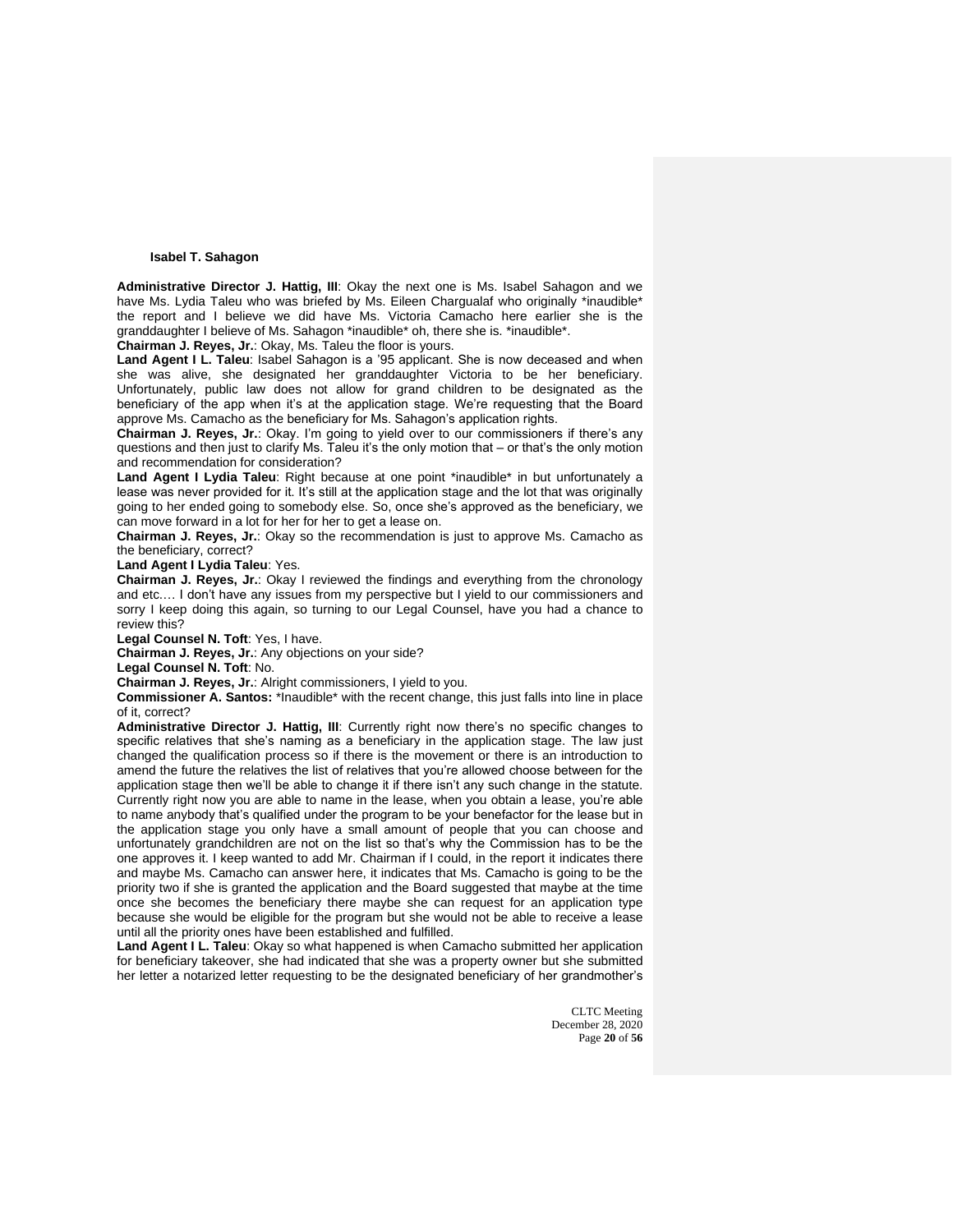#### **Isabel T. Sahagon**

**Administrative Director J. Hattig, III**: Okay the next one is Ms. Isabel Sahagon and we have Ms. Lydia Taleu who was briefed by Ms. Eileen Chargualaf who originally \*inaudible\* the report and I believe we did have Ms. Victoria Camacho here earlier she is the granddaughter I believe of Ms. Sahagon \*inaudible\* oh, there she is. \*inaudible\*.

**Chairman J. Reyes, Jr.**: Okay, Ms. Taleu the floor is yours.

**Land Agent I L. Taleu**: Isabel Sahagon is a '95 applicant. She is now deceased and when she was alive, she designated her granddaughter Victoria to be her beneficiary. Unfortunately, public law does not allow for grand children to be designated as the beneficiary of the app when it's at the application stage. We're requesting that the Board approve Ms. Camacho as the beneficiary for Ms. Sahagon's application rights.

**Chairman J. Reyes, Jr.**: Okay. I'm going to yield over to our commissioners if there's any questions and then just to clarify Ms. Taleu it's the only motion that – or that's the only motion and recommendation for consideration?

**Land Agent I Lydia Taleu**: Right because at one point \*inaudible\* in but unfortunately a lease was never provided for it. It's still at the application stage and the lot that was originally going to her ended going to somebody else. So, once she's approved as the beneficiary, we can move forward in a lot for her for her to get a lease on.

**Chairman J. Reyes, Jr.**: Okay so the recommendation is just to approve Ms. Camacho as the beneficiary, correct?

**Land Agent I Lydia Taleu**: Yes.

**Chairman J. Reyes, Jr.**: Okay I reviewed the findings and everything from the chronology and etc.… I don't have any issues from my perspective but I yield to our commissioners and sorry I keep doing this again, so turning to our Legal Counsel, have you had a chance to review this?

**Legal Counsel N. Toft**: Yes, I have.

**Chairman J. Reyes, Jr.**: Any objections on your side?

**Legal Counsel N. Toft**: No.

**Chairman J. Reyes, Jr.**: Alright commissioners, I yield to you.

**Commissioner A. Santos:** \*Inaudible\* with the recent change, this just falls into line in place of it, correct?

**Administrative Director J. Hattig, III**: Currently right now there's no specific changes to specific relatives that she's naming as a beneficiary in the application stage. The law just changed the qualification process so if there is the movement or there is an introduction to amend the future the relatives the list of relatives that you're allowed choose between for the application stage then we'll be able to change it if there isn't any such change in the statute. Currently right now you are able to name in the lease, when you obtain a lease, you're able to name anybody that's qualified under the program to be your benefactor for the lease but in the application stage you only have a small amount of people that you can choose and unfortunately grandchildren are not on the list so that's why the Commission has to be the one approves it. I keep wanted to add Mr. Chairman if I could, in the report it indicates there and maybe Ms. Camacho can answer here, it indicates that Ms. Camacho is going to be the priority two if she is granted the application and the Board suggested that maybe at the time once she becomes the beneficiary there maybe she can request for an application type because she would be eligible for the program but she would not be able to receive a lease until all the priority ones have been established and fulfilled.

**Land Agent I L. Taleu**: Okay so what happened is when Camacho submitted her application for beneficiary takeover, she had indicated that she was a property owner but she submitted her letter a notarized letter requesting to be the designated beneficiary of her grandmother's

> CLTC Meeting December 28, 2020 Page **20** of **56**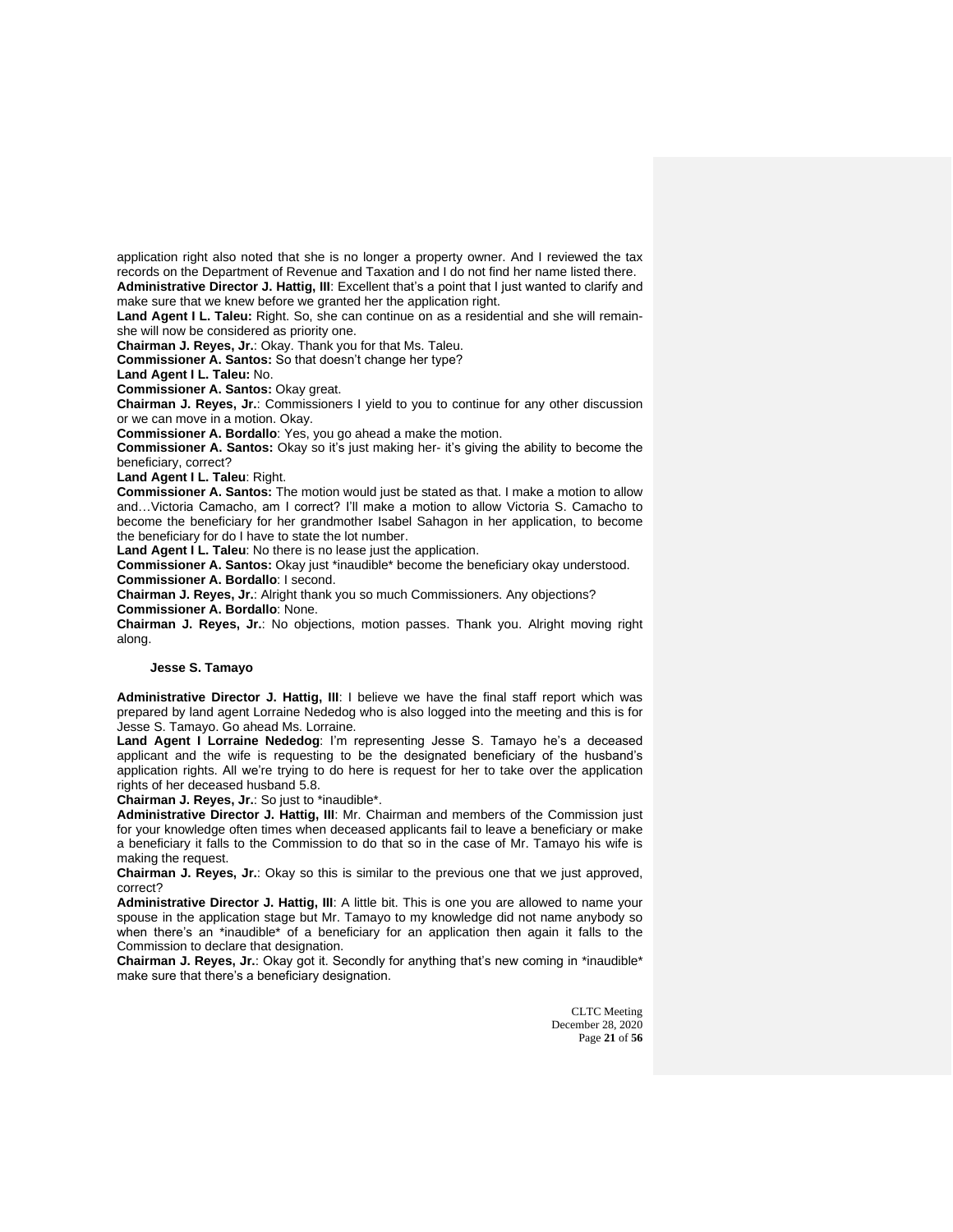application right also noted that she is no longer a property owner. And I reviewed the tax records on the Department of Revenue and Taxation and I do not find her name listed there. **Administrative Director J. Hattig, III**: Excellent that's a point that I just wanted to clarify and make sure that we knew before we granted her the application right.

**Land Agent I L. Taleu:** Right. So, she can continue on as a residential and she will remainshe will now be considered as priority one.

**Chairman J. Reyes, Jr.**: Okay. Thank you for that Ms. Taleu.

**Commissioner A. Santos:** So that doesn't change her type?

**Land Agent I L. Taleu:** No.

**Commissioner A. Santos:** Okay great.

**Chairman J. Reyes, Jr.**: Commissioners I yield to you to continue for any other discussion or we can move in a motion. Okay.

**Commissioner A. Bordallo**: Yes, you go ahead a make the motion.

**Commissioner A. Santos:** Okay so it's just making her- it's giving the ability to become the beneficiary, correct?

**Land Agent I L. Taleu**: Right.

**Commissioner A. Santos:** The motion would just be stated as that. I make a motion to allow and…Victoria Camacho, am I correct? I'll make a motion to allow Victoria S. Camacho to become the beneficiary for her grandmother Isabel Sahagon in her application, to become the beneficiary for do I have to state the lot number.

Land Agent I L. Taleu: No there is no lease just the application.

**Commissioner A. Santos:** Okay just \*inaudible\* become the beneficiary okay understood. **Commissioner A. Bordallo**: I second.

**Chairman J. Reyes, Jr.**: Alright thank you so much Commissioners. Any objections? **Commissioner A. Bordallo**: None.

**Chairman J. Reyes, Jr.**: No objections, motion passes. Thank you. Alright moving right along.

#### **Jesse S. Tamayo**

**Administrative Director J. Hattig, III**: I believe we have the final staff report which was prepared by land agent Lorraine Nededog who is also logged into the meeting and this is for Jesse S. Tamayo. Go ahead Ms. Lorraine.

**Land Agent I Lorraine Nededog**: I'm representing Jesse S. Tamayo he's a deceased applicant and the wife is requesting to be the designated beneficiary of the husband's application rights. All we're trying to do here is request for her to take over the application rights of her deceased husband 5.8.

**Chairman J. Reyes, Jr.**: So just to \*inaudible\*.

**Administrative Director J. Hattig, III**: Mr. Chairman and members of the Commission just for your knowledge often times when deceased applicants fail to leave a beneficiary or make a beneficiary it falls to the Commission to do that so in the case of Mr. Tamayo his wife is making the request.

**Chairman J. Reyes, Jr.**: Okay so this is similar to the previous one that we just approved, correct?

**Administrative Director J. Hattig, III**: A little bit. This is one you are allowed to name your spouse in the application stage but Mr. Tamayo to my knowledge did not name anybody so when there's an \*inaudible\* of a beneficiary for an application then again it falls to the Commission to declare that designation.

**Chairman J. Reyes, Jr.**: Okay got it. Secondly for anything that's new coming in \*inaudible\* make sure that there's a beneficiary designation.

> CLTC Meeting December 28, 2020 Page **21** of **56**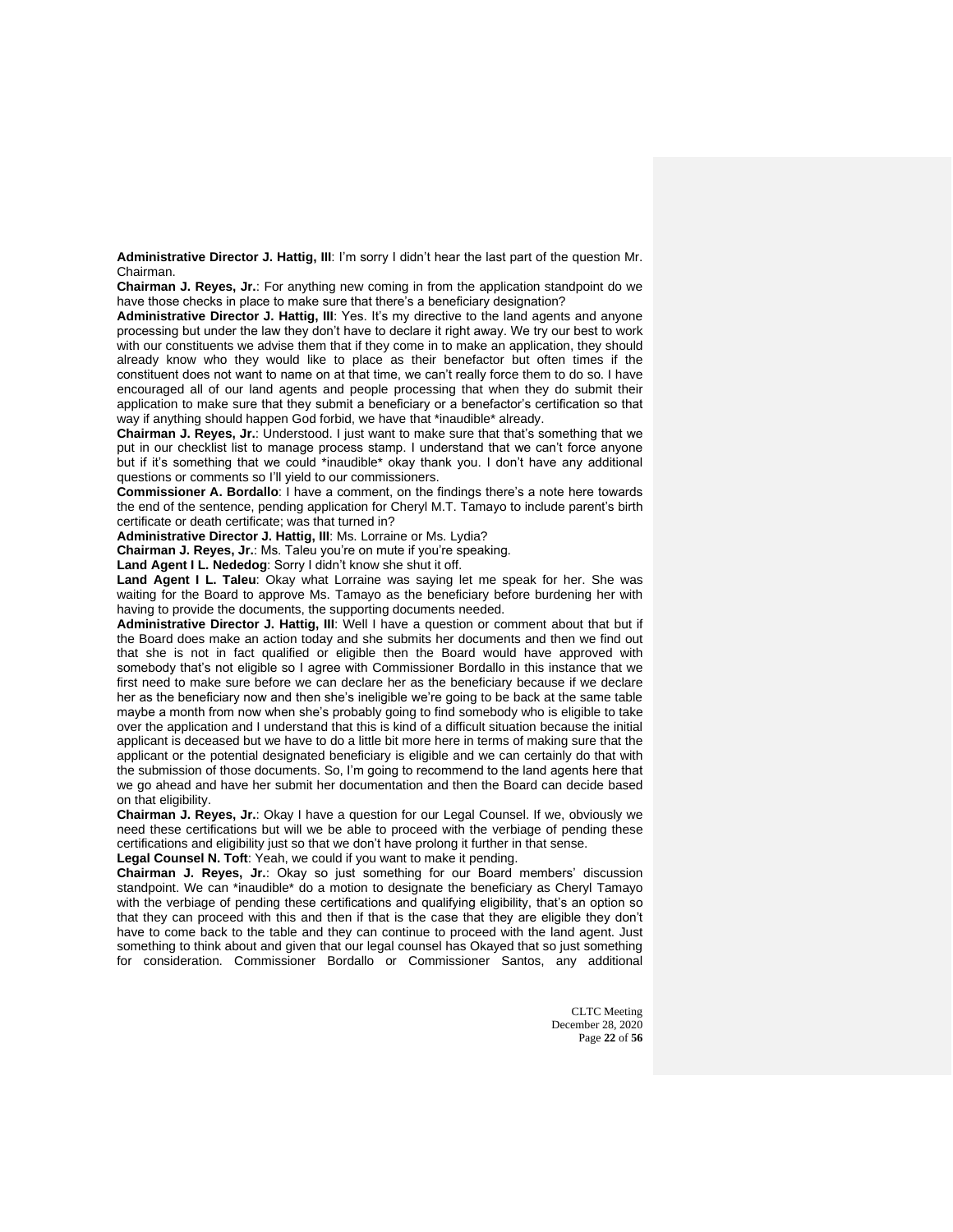**Administrative Director J. Hattig, III**: I'm sorry I didn't hear the last part of the question Mr. Chairman.

**Chairman J. Reyes, Jr.**: For anything new coming in from the application standpoint do we have those checks in place to make sure that there's a beneficiary designation?

**Administrative Director J. Hattig, III**: Yes. It's my directive to the land agents and anyone processing but under the law they don't have to declare it right away. We try our best to work with our constituents we advise them that if they come in to make an application, they should already know who they would like to place as their benefactor but often times if the constituent does not want to name on at that time, we can't really force them to do so. I have encouraged all of our land agents and people processing that when they do submit their application to make sure that they submit a beneficiary or a benefactor's certification so that way if anything should happen God forbid, we have that \*inaudible\* already.

**Chairman J. Reyes, Jr.**: Understood. I just want to make sure that that's something that we put in our checklist list to manage process stamp. I understand that we can't force anyone but if it's something that we could \*inaudible\* okay thank you. I don't have any additional questions or comments so I'll yield to our commissioners.

**Commissioner A. Bordallo**: I have a comment, on the findings there's a note here towards the end of the sentence, pending application for Cheryl M.T. Tamayo to include parent's birth certificate or death certificate; was that turned in?

**Administrative Director J. Hattig, III**: Ms. Lorraine or Ms. Lydia?

**Chairman J. Reyes, Jr.**: Ms. Taleu you're on mute if you're speaking.

**Land Agent I L. Nededog**: Sorry I didn't know she shut it off.

**Land Agent I L. Taleu**: Okay what Lorraine was saying let me speak for her. She was waiting for the Board to approve Ms. Tamayo as the beneficiary before burdening her with having to provide the documents, the supporting documents needed.

**Administrative Director J. Hattig, III**: Well I have a question or comment about that but if the Board does make an action today and she submits her documents and then we find out that she is not in fact qualified or eligible then the Board would have approved with somebody that's not eligible so I agree with Commissioner Bordallo in this instance that we first need to make sure before we can declare her as the beneficiary because if we declare her as the beneficiary now and then she's ineligible we're going to be back at the same table maybe a month from now when she's probably going to find somebody who is eligible to take over the application and I understand that this is kind of a difficult situation because the initial applicant is deceased but we have to do a little bit more here in terms of making sure that the applicant or the potential designated beneficiary is eligible and we can certainly do that with the submission of those documents. So, I'm going to recommend to the land agents here that we go ahead and have her submit her documentation and then the Board can decide based on that eligibility.

**Chairman J. Reyes, Jr.**: Okay I have a question for our Legal Counsel. If we, obviously we need these certifications but will we be able to proceed with the verbiage of pending these certifications and eligibility just so that we don't have prolong it further in that sense.

**Legal Counsel N. Toft**: Yeah, we could if you want to make it pending.

**Chairman J. Reyes, Jr.**: Okay so just something for our Board members' discussion standpoint. We can \*inaudible\* do a motion to designate the beneficiary as Cheryl Tamayo with the verbiage of pending these certifications and qualifying eligibility, that's an option so that they can proceed with this and then if that is the case that they are eligible they don't have to come back to the table and they can continue to proceed with the land agent. Just something to think about and given that our legal counsel has Okayed that so just something for consideration. Commissioner Bordallo or Commissioner Santos, any additional

> CLTC Meeting December 28, 2020 Page **22** of **56**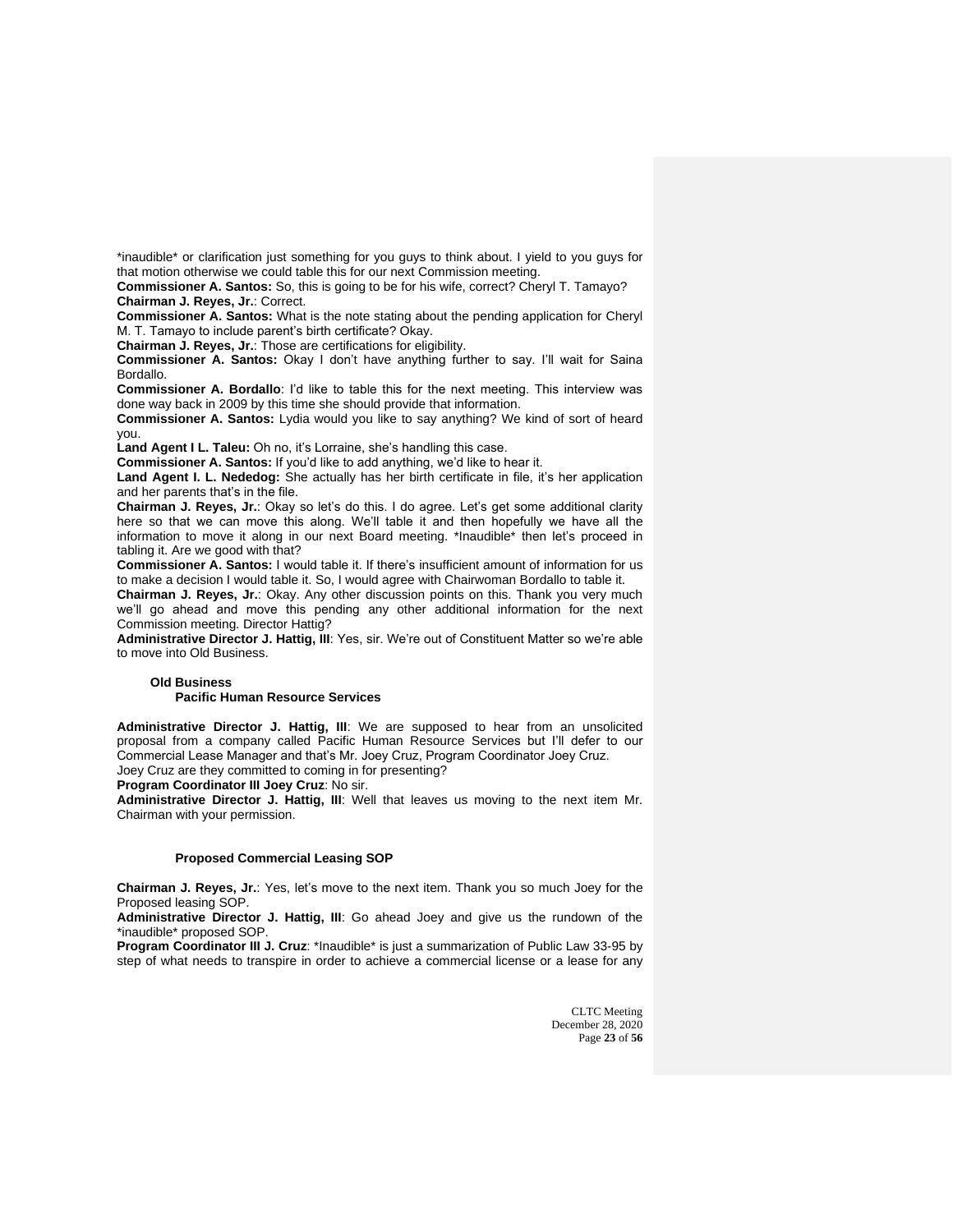\*inaudible\* or clarification just something for you guys to think about. I yield to you guys for that motion otherwise we could table this for our next Commission meeting.

**Commissioner A. Santos:** So, this is going to be for his wife, correct? Cheryl T. Tamayo? **Chairman J. Reyes, Jr.**: Correct.

**Commissioner A. Santos:** What is the note stating about the pending application for Cheryl M. T. Tamayo to include parent's birth certificate? Okay.

**Chairman J. Reyes, Jr.**: Those are certifications for eligibility.

**Commissioner A. Santos:** Okay I don't have anything further to say. I'll wait for Saina Bordallo.

**Commissioner A. Bordallo**: I'd like to table this for the next meeting. This interview was done way back in 2009 by this time she should provide that information.

**Commissioner A. Santos:** Lydia would you like to say anything? We kind of sort of heard you.

**Land Agent I L. Taleu:** Oh no, it's Lorraine, she's handling this case.

**Commissioner A. Santos:** If you'd like to add anything, we'd like to hear it.

**Land Agent I. L. Nededog:** She actually has her birth certificate in file, it's her application and her parents that's in the file.

**Chairman J. Reyes, Jr.**: Okay so let's do this. I do agree. Let's get some additional clarity here so that we can move this along. We'll table it and then hopefully we have all the information to move it along in our next Board meeting. \*Inaudible\* then let's proceed in tabling it. Are we good with that?

**Commissioner A. Santos:** I would table it. If there's insufficient amount of information for us to make a decision I would table it. So, I would agree with Chairwoman Bordallo to table it.

**Chairman J. Reyes, Jr.**: Okay. Any other discussion points on this. Thank you very much we'll go ahead and move this pending any other additional information for the next Commission meeting. Director Hattig?

**Administrative Director J. Hattig, III**: Yes, sir. We're out of Constituent Matter so we're able to move into Old Business.

# **Old Business**

### **Pacific Human Resource Services**

**Administrative Director J. Hattig, III**: We are supposed to hear from an unsolicited proposal from a company called Pacific Human Resource Services but I'll defer to our Commercial Lease Manager and that's Mr. Joey Cruz, Program Coordinator Joey Cruz.

Joey Cruz are they committed to coming in for presenting?

**Program Coordinator III Joey Cruz**: No sir.

**Administrative Director J. Hattig, III**: Well that leaves us moving to the next item Mr. Chairman with your permission.

### **Proposed Commercial Leasing SOP**

**Chairman J. Reyes, Jr.**: Yes, let's move to the next item. Thank you so much Joey for the Proposed leasing SOP.

**Administrative Director J. Hattig, III**: Go ahead Joey and give us the rundown of the \*inaudible\* proposed SOP.

**Program Coordinator III J. Cruz**: \*Inaudible\* is just a summarization of Public Law 33-95 by step of what needs to transpire in order to achieve a commercial license or a lease for any

> CLTC Meeting December 28, 2020 Page **23** of **56**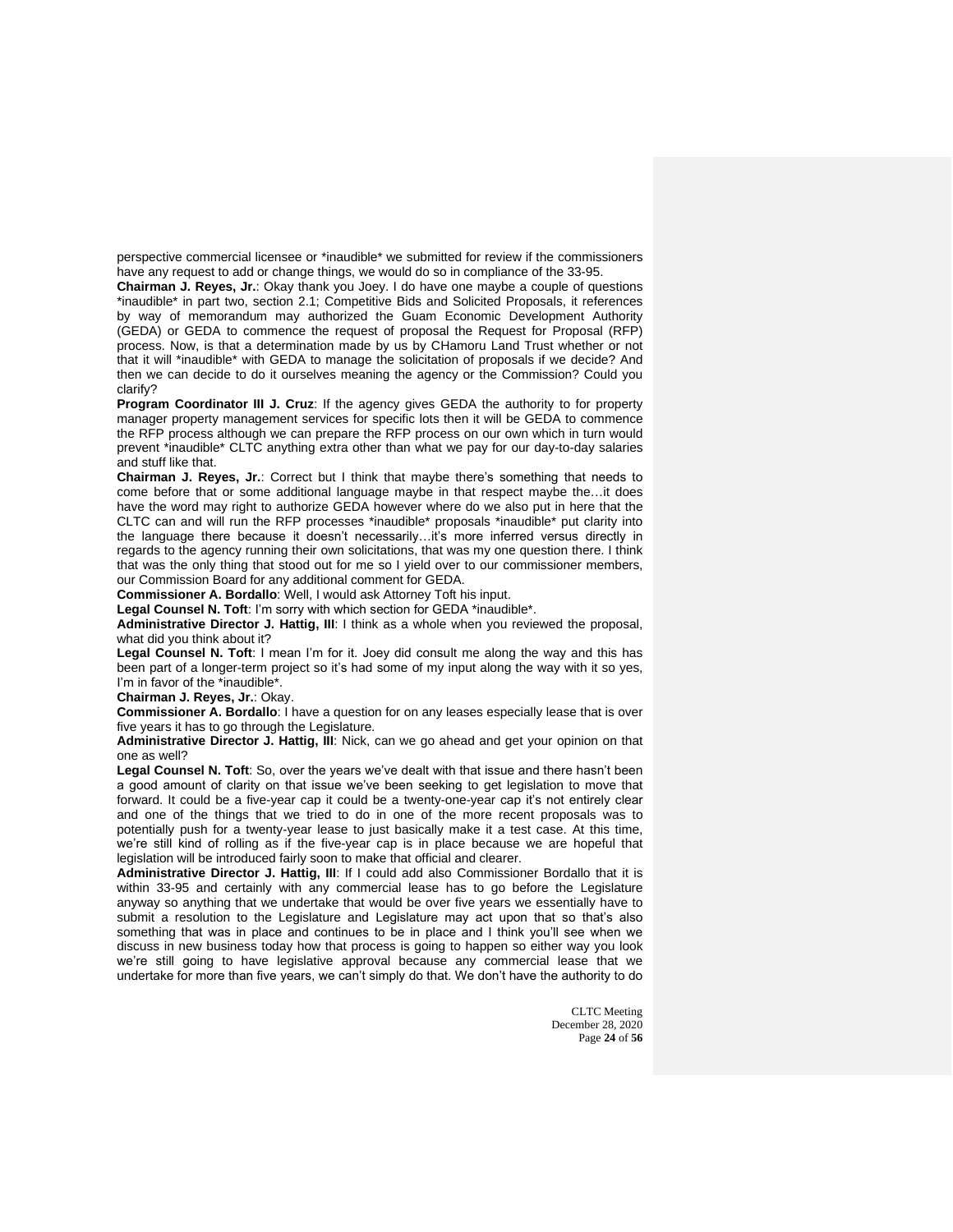perspective commercial licensee or \*inaudible\* we submitted for review if the commissioners have any request to add or change things, we would do so in compliance of the 33-95.

**Chairman J. Reyes, Jr.**: Okay thank you Joey. I do have one maybe a couple of questions \*inaudible\* in part two, section 2.1; Competitive Bids and Solicited Proposals, it references by way of memorandum may authorized the Guam Economic Development Authority (GEDA) or GEDA to commence the request of proposal the Request for Proposal (RFP) process. Now, is that a determination made by us by CHamoru Land Trust whether or not that it will \*inaudible\* with GEDA to manage the solicitation of proposals if we decide? And then we can decide to do it ourselves meaning the agency or the Commission? Could you clarify?

**Program Coordinator III J. Cruz**: If the agency gives GEDA the authority to for property manager property management services for specific lots then it will be GEDA to commence the RFP process although we can prepare the RFP process on our own which in turn would prevent \*inaudible\* CLTC anything extra other than what we pay for our day-to-day salaries and stuff like that.

**Chairman J. Reyes, Jr.**: Correct but I think that maybe there's something that needs to come before that or some additional language maybe in that respect maybe the…it does have the word may right to authorize GEDA however where do we also put in here that the CLTC can and will run the RFP processes \*inaudible\* proposals \*inaudible\* put clarity into the language there because it doesn't necessarily…it's more inferred versus directly in regards to the agency running their own solicitations, that was my one question there. I think that was the only thing that stood out for me so I yield over to our commissioner members, our Commission Board for any additional comment for GEDA.

**Commissioner A. Bordallo**: Well, I would ask Attorney Toft his input.

**Legal Counsel N. Toft**: I'm sorry with which section for GEDA \*inaudible\*.

**Administrative Director J. Hattig, III**: I think as a whole when you reviewed the proposal, what did you think about it?

**Legal Counsel N. Toft**: I mean I'm for it. Joey did consult me along the way and this has been part of a longer-term project so it's had some of my input along the way with it so yes, I'm in favor of the \*inaudible\*.

**Chairman J. Reyes, Jr.**: Okay.

**Commissioner A. Bordallo**: I have a question for on any leases especially lease that is over five years it has to go through the Legislature.

**Administrative Director J. Hattig, III**: Nick, can we go ahead and get your opinion on that one as well?

**Legal Counsel N. Toft**: So, over the years we've dealt with that issue and there hasn't been a good amount of clarity on that issue we've been seeking to get legislation to move that forward. It could be a five-year cap it could be a twenty-one-year cap it's not entirely clear and one of the things that we tried to do in one of the more recent proposals was to potentially push for a twenty-year lease to just basically make it a test case. At this time, we're still kind of rolling as if the five-year cap is in place because we are hopeful that legislation will be introduced fairly soon to make that official and clearer.

**Administrative Director J. Hattig, III**: If I could add also Commissioner Bordallo that it is within 33-95 and certainly with any commercial lease has to go before the Legislature anyway so anything that we undertake that would be over five years we essentially have to submit a resolution to the Legislature and Legislature may act upon that so that's also something that was in place and continues to be in place and I think you'll see when we discuss in new business today how that process is going to happen so either way you look we're still going to have legislative approval because any commercial lease that we undertake for more than five years, we can't simply do that. We don't have the authority to do

> CLTC Meeting December 28, 2020 Page **24** of **56**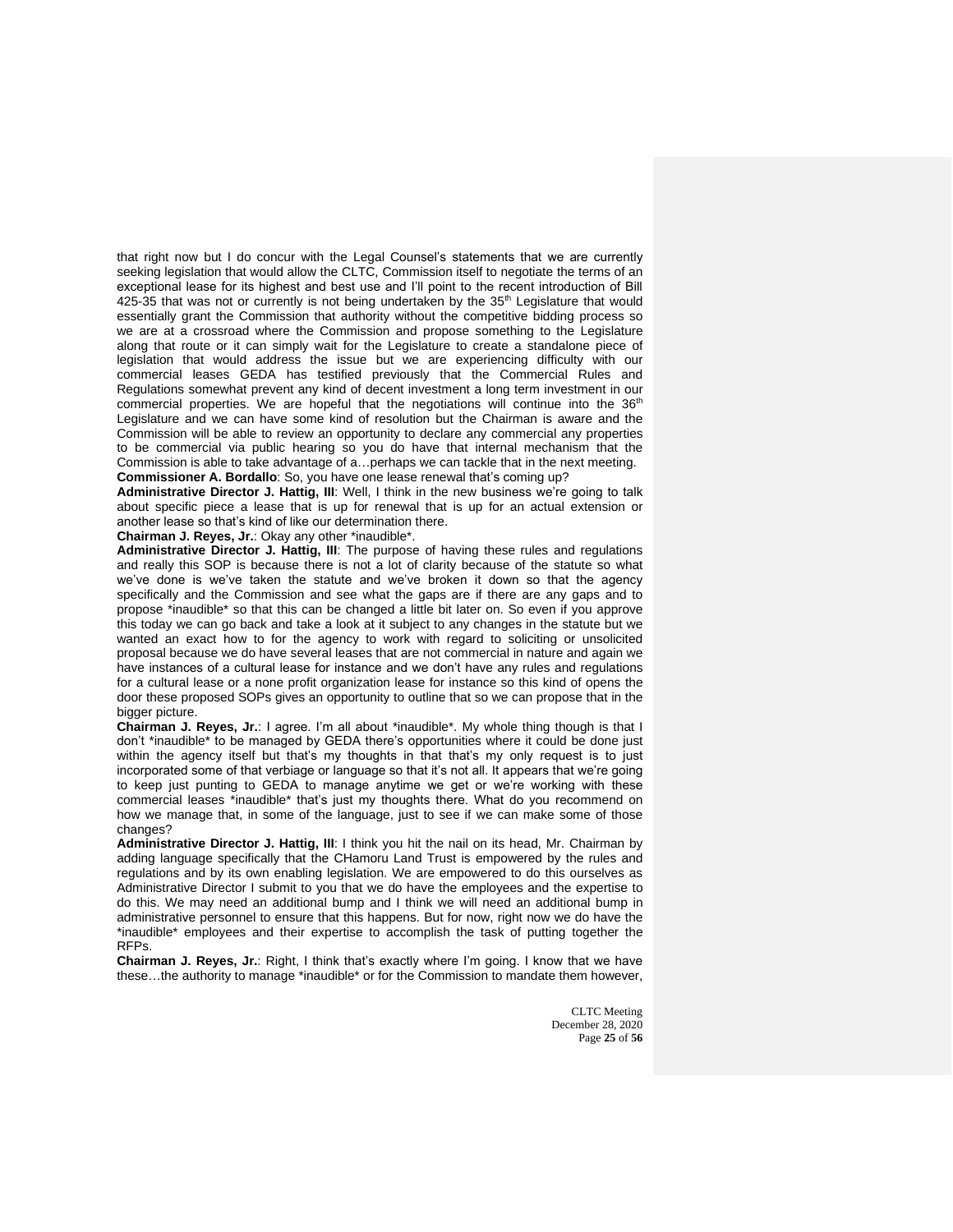that right now but I do concur with the Legal Counsel's statements that we are currently seeking legislation that would allow the CLTC, Commission itself to negotiate the terms of an exceptional lease for its highest and best use and I'll point to the recent introduction of Bill 425-35 that was not or currently is not being undertaken by the 35<sup>th</sup> Legislature that would essentially grant the Commission that authority without the competitive bidding process so we are at a crossroad where the Commission and propose something to the Legislature along that route or it can simply wait for the Legislature to create a standalone piece of legislation that would address the issue but we are experiencing difficulty with our commercial leases GEDA has testified previously that the Commercial Rules and Regulations somewhat prevent any kind of decent investment a long term investment in our commercial properties. We are hopeful that the negotiations will continue into the 36<sup>th</sup> Legislature and we can have some kind of resolution but the Chairman is aware and the Commission will be able to review an opportunity to declare any commercial any properties to be commercial via public hearing so you do have that internal mechanism that the Commission is able to take advantage of a…perhaps we can tackle that in the next meeting. **Commissioner A. Bordallo**: So, you have one lease renewal that's coming up?

**Administrative Director J. Hattig, III**: Well, I think in the new business we're going to talk about specific piece a lease that is up for renewal that is up for an actual extension or another lease so that's kind of like our determination there.

### **Chairman J. Reyes, Jr.**: Okay any other \*inaudible\*.

**Administrative Director J. Hattig, III**: The purpose of having these rules and regulations and really this SOP is because there is not a lot of clarity because of the statute so what we've done is we've taken the statute and we've broken it down so that the agency specifically and the Commission and see what the gaps are if there are any gaps and to propose \*inaudible\* so that this can be changed a little bit later on. So even if you approve this today we can go back and take a look at it subject to any changes in the statute but we wanted an exact how to for the agency to work with regard to soliciting or unsolicited proposal because we do have several leases that are not commercial in nature and again we have instances of a cultural lease for instance and we don't have any rules and regulations for a cultural lease or a none profit organization lease for instance so this kind of opens the door these proposed SOPs gives an opportunity to outline that so we can propose that in the bigger picture.

**Chairman J. Reyes, Jr.**: I agree. I'm all about \*inaudible\*. My whole thing though is that I don't \*inaudible\* to be managed by GEDA there's opportunities where it could be done just within the agency itself but that's my thoughts in that that's my only request is to just incorporated some of that verbiage or language so that it's not all. It appears that we're going to keep just punting to GEDA to manage anytime we get or we're working with these commercial leases \*inaudible\* that's just my thoughts there. What do you recommend on how we manage that, in some of the language, just to see if we can make some of those changes?

**Administrative Director J. Hattig, III**: I think you hit the nail on its head, Mr. Chairman by adding language specifically that the CHamoru Land Trust is empowered by the rules and regulations and by its own enabling legislation. We are empowered to do this ourselves as Administrative Director I submit to you that we do have the employees and the expertise to do this. We may need an additional bump and I think we will need an additional bump in administrative personnel to ensure that this happens. But for now, right now we do have the \*inaudible\* employees and their expertise to accomplish the task of putting together the RFPs.

**Chairman J. Reyes, Jr.**: Right, I think that's exactly where I'm going. I know that we have these…the authority to manage \*inaudible\* or for the Commission to mandate them however,

> CLTC Meeting December 28, 2020 Page **25** of **56**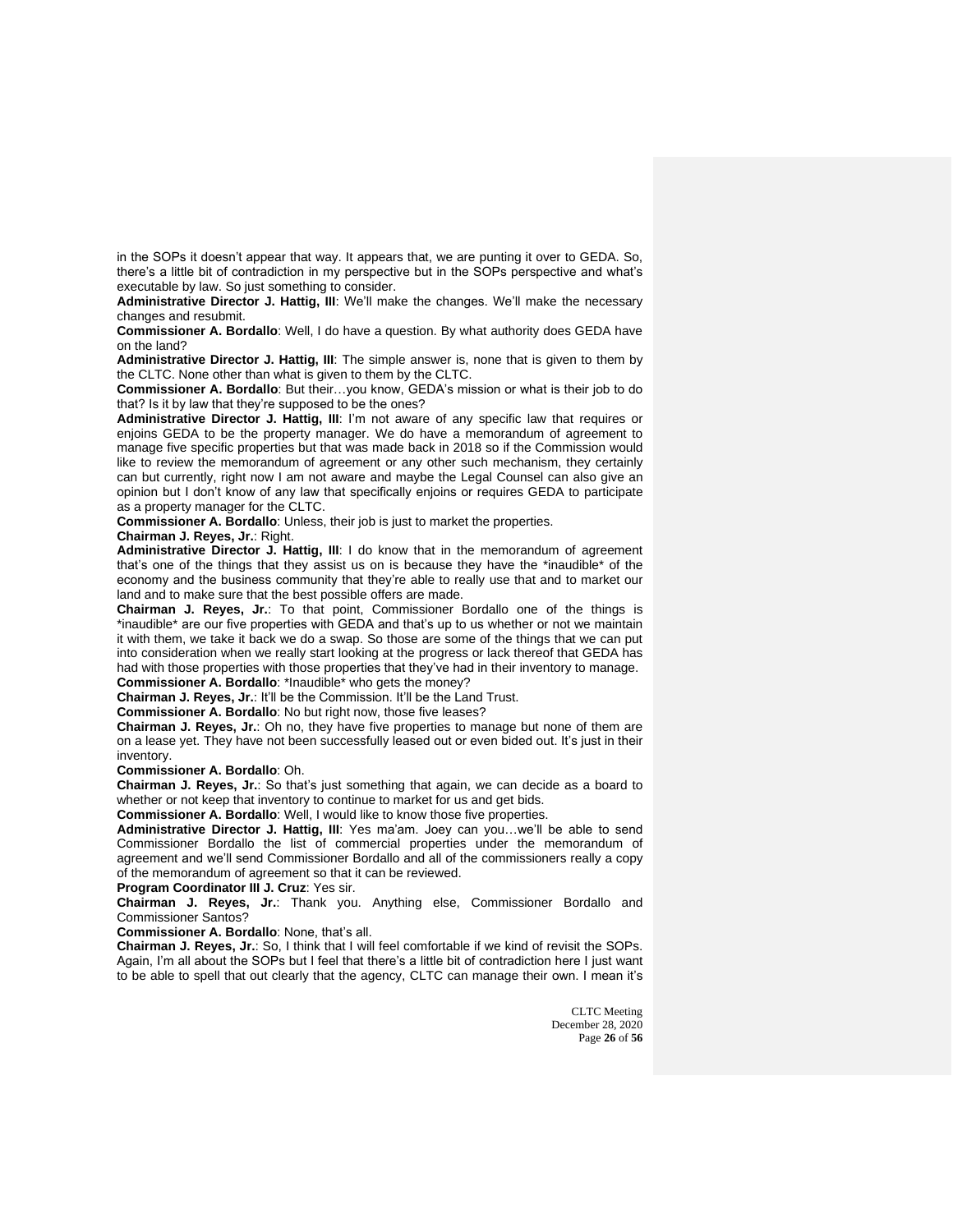in the SOPs it doesn't appear that way. It appears that, we are punting it over to GEDA. So, there's a little bit of contradiction in my perspective but in the SOPs perspective and what's executable by law. So just something to consider.

**Administrative Director J. Hattig, III**: We'll make the changes. We'll make the necessary changes and resubmit.

**Commissioner A. Bordallo**: Well, I do have a question. By what authority does GEDA have on the land?

**Administrative Director J. Hattig, III**: The simple answer is, none that is given to them by the CLTC. None other than what is given to them by the CLTC.

**Commissioner A. Bordallo**: But their…you know, GEDA's mission or what is their job to do that? Is it by law that they're supposed to be the ones?

**Administrative Director J. Hattig, III**: I'm not aware of any specific law that requires or enjoins GEDA to be the property manager. We do have a memorandum of agreement to manage five specific properties but that was made back in 2018 so if the Commission would like to review the memorandum of agreement or any other such mechanism, they certainly can but currently, right now I am not aware and maybe the Legal Counsel can also give an opinion but I don't know of any law that specifically enjoins or requires GEDA to participate as a property manager for the CLTC.

**Commissioner A. Bordallo**: Unless, their job is just to market the properties.

### **Chairman J. Reyes, Jr.**: Right.

Administrative Director J. Hattig, III: I do know that in the memorandum of agreement that's one of the things that they assist us on is because they have the \*inaudible\* of the economy and the business community that they're able to really use that and to market our land and to make sure that the best possible offers are made.

**Chairman J. Reyes, Jr.**: To that point, Commissioner Bordallo one of the things is \*inaudible\* are our five properties with GEDA and that's up to us whether or not we maintain it with them, we take it back we do a swap. So those are some of the things that we can put into consideration when we really start looking at the progress or lack thereof that GEDA has had with those properties with those properties that they've had in their inventory to manage. **Commissioner A. Bordallo**: \*Inaudible\* who gets the money?

**Chairman J. Reyes, Jr.**: It'll be the Commission. It'll be the Land Trust.

**Commissioner A. Bordallo**: No but right now, those five leases?

**Chairman J. Reyes, Jr.**: Oh no, they have five properties to manage but none of them are on a lease yet. They have not been successfully leased out or even bided out. It's just in their inventory.

**Commissioner A. Bordallo**: Oh.

**Chairman J. Reyes, Jr.**: So that's just something that again, we can decide as a board to whether or not keep that inventory to continue to market for us and get bids.

**Commissioner A. Bordallo**: Well, I would like to know those five properties.

**Administrative Director J. Hattig, III**: Yes ma'am. Joey can you…we'll be able to send Commissioner Bordallo the list of commercial properties under the memorandum of agreement and we'll send Commissioner Bordallo and all of the commissioners really a copy of the memorandum of agreement so that it can be reviewed.

**Program Coordinator III J. Cruz**: Yes sir.

**Chairman J. Reyes, Jr.**: Thank you. Anything else, Commissioner Bordallo and Commissioner Santos?

**Commissioner A. Bordallo**: None, that's all.

**Chairman J. Reyes, Jr.**: So, I think that I will feel comfortable if we kind of revisit the SOPs. Again, I'm all about the SOPs but I feel that there's a little bit of contradiction here I just want to be able to spell that out clearly that the agency, CLTC can manage their own. I mean it's

> CLTC Meeting December 28, 2020 Page **26** of **56**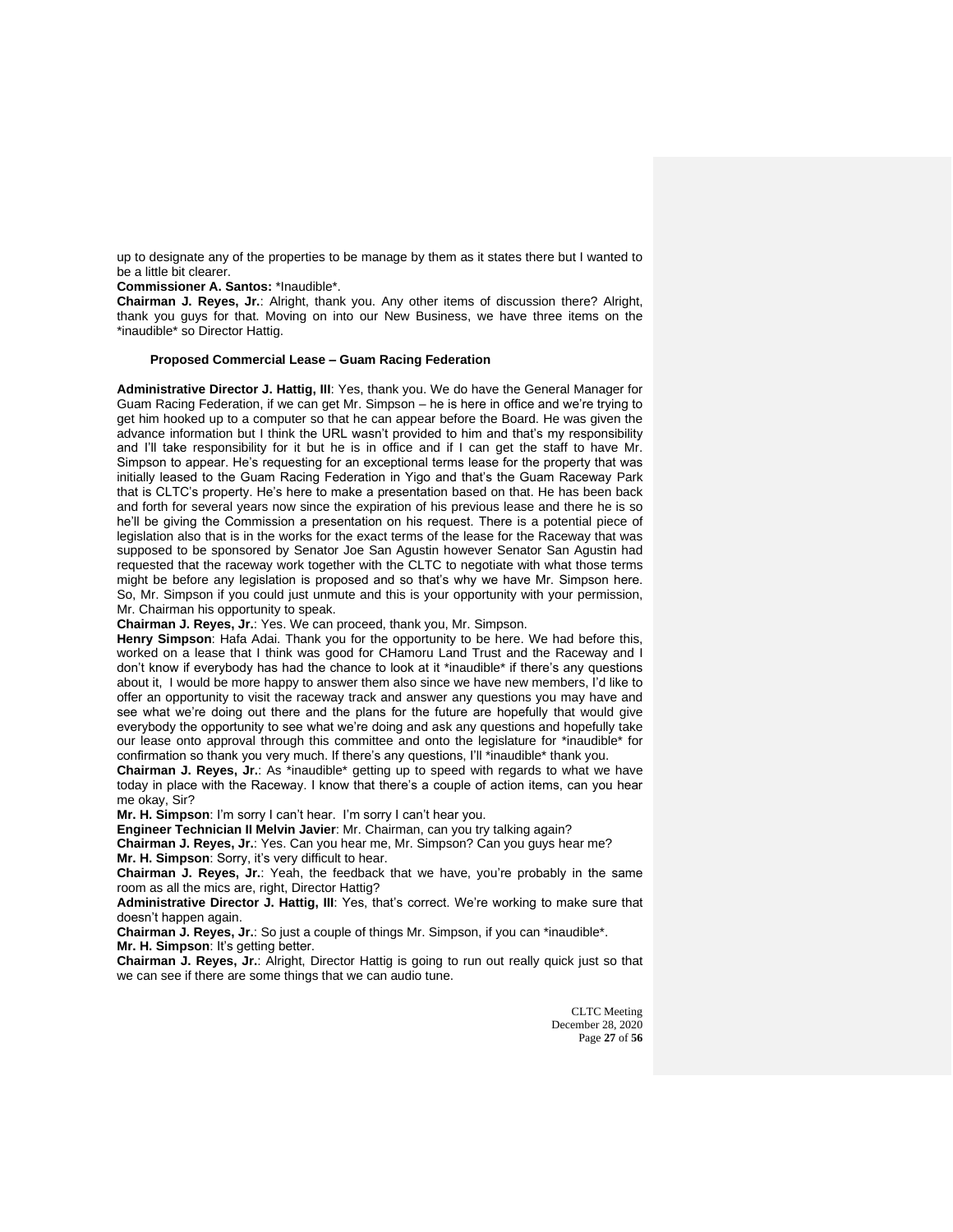up to designate any of the properties to be manage by them as it states there but I wanted to be a little bit clearer.

#### **Commissioner A. Santos:** \*Inaudible\*.

**Chairman J. Reyes, Jr.**: Alright, thank you. Any other items of discussion there? Alright, thank you guys for that. Moving on into our New Business, we have three items on the \*inaudible\* so Director Hattig.

### **Proposed Commercial Lease – Guam Racing Federation**

**Administrative Director J. Hattig, III**: Yes, thank you. We do have the General Manager for Guam Racing Federation, if we can get Mr. Simpson – he is here in office and we're trying to get him hooked up to a computer so that he can appear before the Board. He was given the advance information but I think the URL wasn't provided to him and that's my responsibility and I'll take responsibility for it but he is in office and if I can get the staff to have Mr. Simpson to appear. He's requesting for an exceptional terms lease for the property that was initially leased to the Guam Racing Federation in Yigo and that's the Guam Raceway Park that is CLTC's property. He's here to make a presentation based on that. He has been back and forth for several years now since the expiration of his previous lease and there he is so he'll be giving the Commission a presentation on his request. There is a potential piece of legislation also that is in the works for the exact terms of the lease for the Raceway that was supposed to be sponsored by Senator Joe San Agustin however Senator San Agustin had requested that the raceway work together with the CLTC to negotiate with what those terms might be before any legislation is proposed and so that's why we have Mr. Simpson here. So, Mr. Simpson if you could just unmute and this is your opportunity with your permission, Mr. Chairman his opportunity to speak.

**Chairman J. Reyes, Jr.**: Yes. We can proceed, thank you, Mr. Simpson.

**Henry Simpson**: Hafa Adai. Thank you for the opportunity to be here. We had before this, worked on a lease that I think was good for CHamoru Land Trust and the Raceway and I don't know if everybody has had the chance to look at it \*inaudible\* if there's any questions about it, I would be more happy to answer them also since we have new members, I'd like to offer an opportunity to visit the raceway track and answer any questions you may have and see what we're doing out there and the plans for the future are hopefully that would give everybody the opportunity to see what we're doing and ask any questions and hopefully take our lease onto approval through this committee and onto the legislature for \*inaudible\* for confirmation so thank you very much. If there's any questions, I'll \*inaudible\* thank you.

**Chairman J. Reyes, Jr.**: As \*inaudible\* getting up to speed with regards to what we have today in place with the Raceway. I know that there's a couple of action items, can you hear me okay, Sir?

**Mr. H. Simpson**: I'm sorry I can't hear. I'm sorry I can't hear you.

**Engineer Technician II Melvin Javier**: Mr. Chairman, can you try talking again?

**Chairman J. Reyes, Jr.**: Yes. Can you hear me, Mr. Simpson? Can you guys hear me? **Mr. H. Simpson**: Sorry, it's very difficult to hear.

**Chairman J. Reyes, Jr.**: Yeah, the feedback that we have, you're probably in the same room as all the mics are, right, Director Hattig?

**Administrative Director J. Hattig, III**: Yes, that's correct. We're working to make sure that doesn't happen again.

**Chairman J. Reyes, Jr.**: So just a couple of things Mr. Simpson, if you can \*inaudible\*. **Mr. H. Simpson**: It's getting better.

**Chairman J. Reyes, Jr.**: Alright, Director Hattig is going to run out really quick just so that we can see if there are some things that we can audio tune.

> CLTC Meeting December 28, 2020 Page **27** of **56**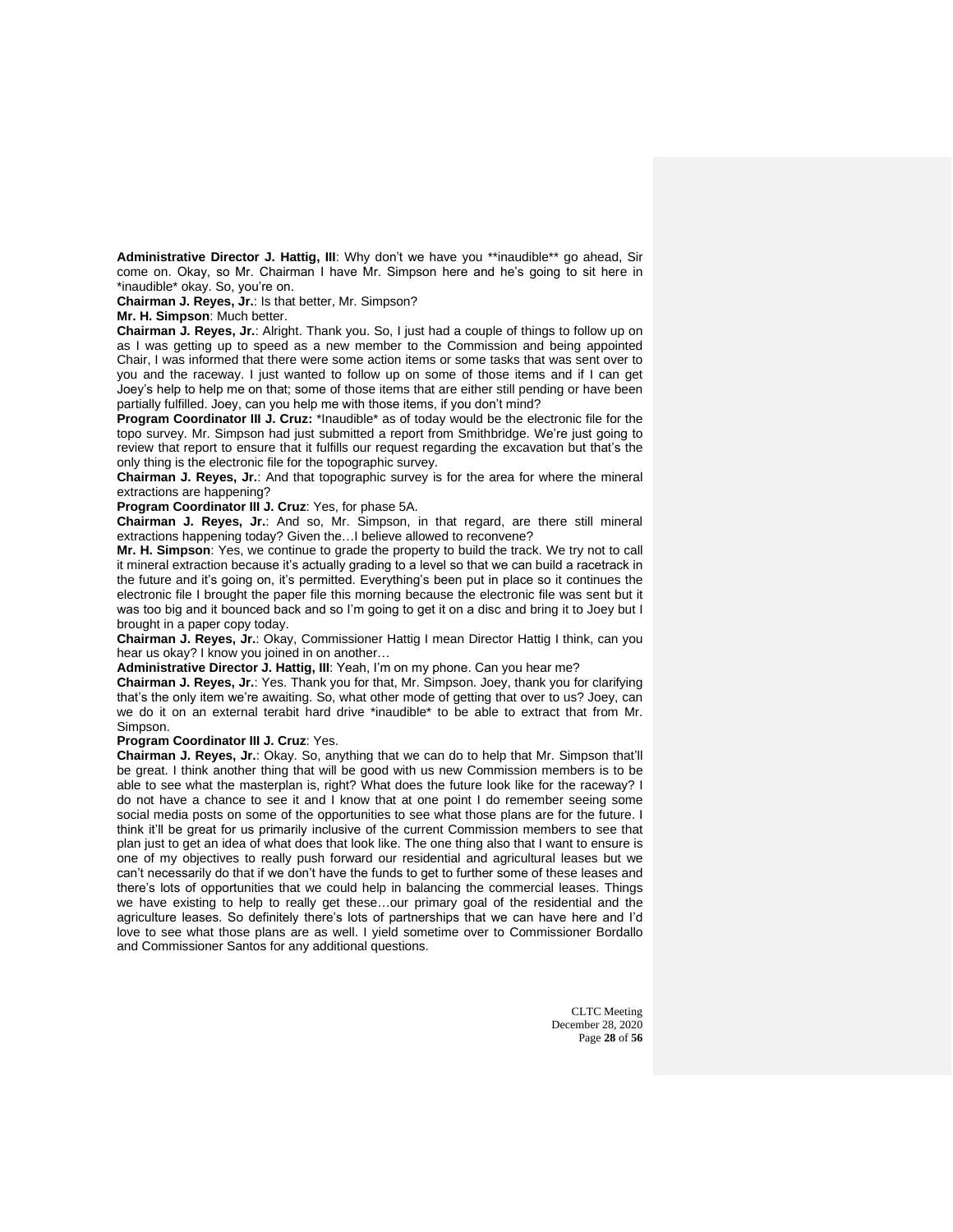**Administrative Director J. Hattig, III**: Why don't we have you \*\*inaudible\*\* go ahead, Sir come on. Okay, so Mr. Chairman I have Mr. Simpson here and he's going to sit here in \*inaudible\* okay. So, you're on.

**Chairman J. Reyes, Jr.**: Is that better, Mr. Simpson?

**Mr. H. Simpson**: Much better.

**Chairman J. Reyes, Jr.**: Alright. Thank you. So, I just had a couple of things to follow up on as I was getting up to speed as a new member to the Commission and being appointed Chair, I was informed that there were some action items or some tasks that was sent over to you and the raceway. I just wanted to follow up on some of those items and if I can get Joey's help to help me on that; some of those items that are either still pending or have been partially fulfilled. Joey, can you help me with those items, if you don't mind?

**Program Coordinator III J. Cruz:** \*Inaudible\* as of today would be the electronic file for the topo survey. Mr. Simpson had just submitted a report from Smithbridge. We're just going to review that report to ensure that it fulfills our request regarding the excavation but that's the only thing is the electronic file for the topographic survey.

**Chairman J. Reyes, Jr.**: And that topographic survey is for the area for where the mineral extractions are happening?

**Program Coordinator III J. Cruz**: Yes, for phase 5A.

**Chairman J. Reyes, Jr.**: And so, Mr. Simpson, in that regard, are there still mineral extractions happening today? Given the…I believe allowed to reconvene?

**Mr. H. Simpson**: Yes, we continue to grade the property to build the track. We try not to call it mineral extraction because it's actually grading to a level so that we can build a racetrack in the future and it's going on, it's permitted. Everything's been put in place so it continues the electronic file I brought the paper file this morning because the electronic file was sent but it was too big and it bounced back and so I'm going to get it on a disc and bring it to Joey but I brought in a paper copy today.

**Chairman J. Reyes, Jr.**: Okay, Commissioner Hattig I mean Director Hattig I think, can you hear us okay? I know you joined in on another…

**Administrative Director J. Hattig, III**: Yeah, I'm on my phone. Can you hear me?

**Chairman J. Reyes, Jr.**: Yes. Thank you for that, Mr. Simpson. Joey, thank you for clarifying that's the only item we're awaiting. So, what other mode of getting that over to us? Joey, can we do it on an external terabit hard drive \*inaudible\* to be able to extract that from Mr. Simpson.

# **Program Coordinator III J. Cruz**: Yes.

**Chairman J. Reyes, Jr.**: Okay. So, anything that we can do to help that Mr. Simpson that'll be great. I think another thing that will be good with us new Commission members is to be able to see what the masterplan is, right? What does the future look like for the raceway? I do not have a chance to see it and I know that at one point I do remember seeing some social media posts on some of the opportunities to see what those plans are for the future. I think it'll be great for us primarily inclusive of the current Commission members to see that plan just to get an idea of what does that look like. The one thing also that I want to ensure is one of my objectives to really push forward our residential and agricultural leases but we can't necessarily do that if we don't have the funds to get to further some of these leases and there's lots of opportunities that we could help in balancing the commercial leases. Things we have existing to help to really get these…our primary goal of the residential and the agriculture leases. So definitely there's lots of partnerships that we can have here and I'd love to see what those plans are as well. I yield sometime over to Commissioner Bordallo and Commissioner Santos for any additional questions.

> CLTC Meeting December 28, 2020 Page **28** of **56**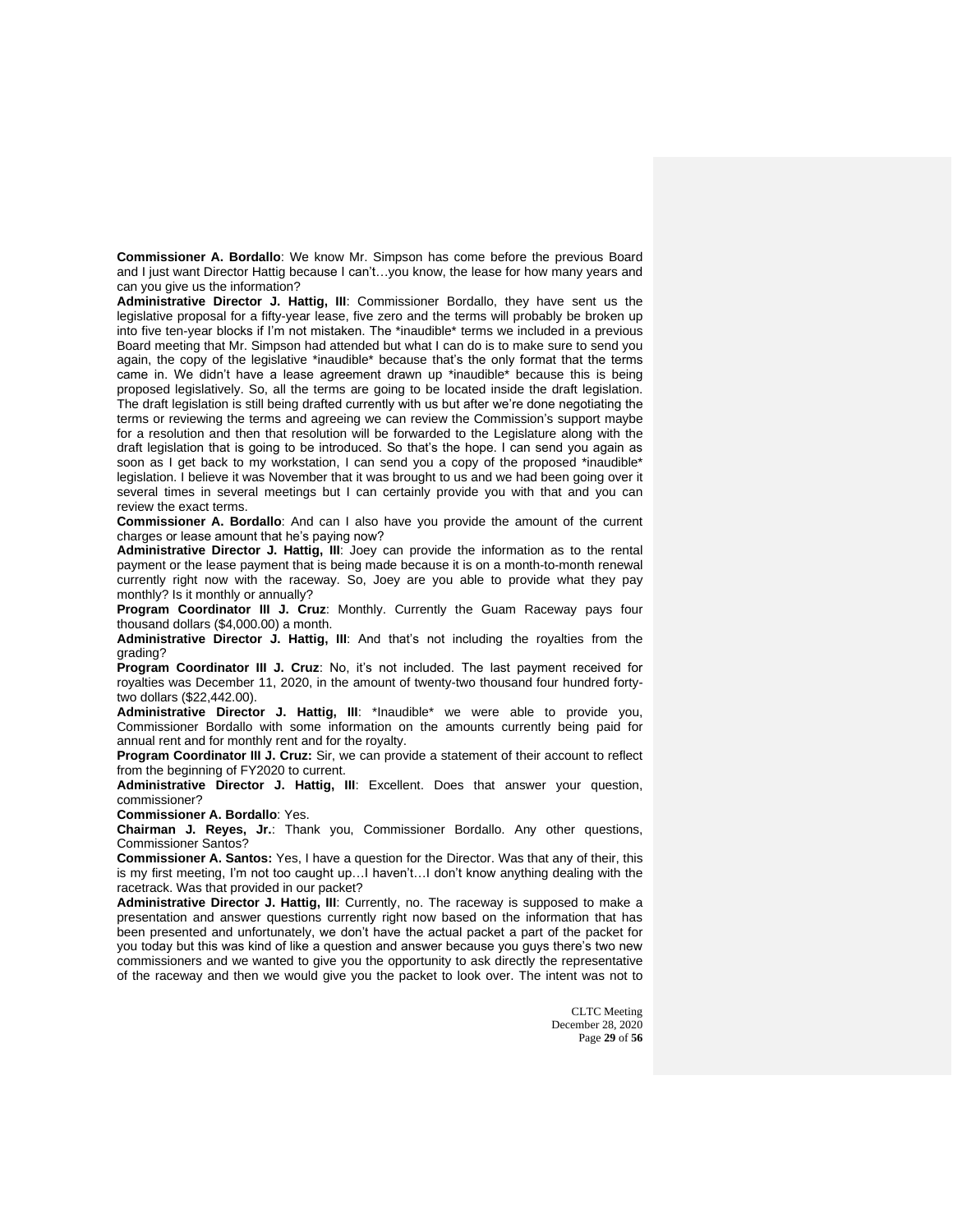**Commissioner A. Bordallo**: We know Mr. Simpson has come before the previous Board and I just want Director Hattig because I can't…you know, the lease for how many years and can you give us the information?

**Administrative Director J. Hattig, III**: Commissioner Bordallo, they have sent us the legislative proposal for a fifty-year lease, five zero and the terms will probably be broken up into five ten-year blocks if I'm not mistaken. The \*inaudible\* terms we included in a previous Board meeting that Mr. Simpson had attended but what I can do is to make sure to send you again, the copy of the legislative \*inaudible\* because that's the only format that the terms came in. We didn't have a lease agreement drawn up \*inaudible\* because this is being proposed legislatively. So, all the terms are going to be located inside the draft legislation. The draft legislation is still being drafted currently with us but after we're done negotiating the terms or reviewing the terms and agreeing we can review the Commission's support maybe for a resolution and then that resolution will be forwarded to the Legislature along with the draft legislation that is going to be introduced. So that's the hope. I can send you again as soon as I get back to my workstation, I can send you a copy of the proposed \*inaudible\* legislation. I believe it was November that it was brought to us and we had been going over it several times in several meetings but I can certainly provide you with that and you can review the exact terms.

**Commissioner A. Bordallo**: And can I also have you provide the amount of the current charges or lease amount that he's paying now?

**Administrative Director J. Hattig, III**: Joey can provide the information as to the rental payment or the lease payment that is being made because it is on a month-to-month renewal currently right now with the raceway. So, Joey are you able to provide what they pay monthly? Is it monthly or annually?

**Program Coordinator III J. Cruz**: Monthly. Currently the Guam Raceway pays four thousand dollars (\$4,000.00) a month.

**Administrative Director J. Hattig, III**: And that's not including the royalties from the grading?

**Program Coordinator III J. Cruz**: No, it's not included. The last payment received for royalties was December 11, 2020, in the amount of twenty-two thousand four hundred fortytwo dollars (\$22,442.00).

**Administrative Director J. Hattig, III**: \*Inaudible\* we were able to provide you, Commissioner Bordallo with some information on the amounts currently being paid for annual rent and for monthly rent and for the royalty.

**Program Coordinator III J. Cruz:** Sir, we can provide a statement of their account to reflect from the beginning of FY2020 to current.

**Administrative Director J. Hattig, III**: Excellent. Does that answer your question, commissioner?

**Commissioner A. Bordallo**: Yes.

**Chairman J. Reyes, Jr.**: Thank you, Commissioner Bordallo. Any other questions, Commissioner Santos?

**Commissioner A. Santos:** Yes, I have a question for the Director. Was that any of their, this is my first meeting, I'm not too caught up…I haven't…I don't know anything dealing with the racetrack. Was that provided in our packet?

**Administrative Director J. Hattig, III**: Currently, no. The raceway is supposed to make a presentation and answer questions currently right now based on the information that has been presented and unfortunately, we don't have the actual packet a part of the packet for you today but this was kind of like a question and answer because you guys there's two new commissioners and we wanted to give you the opportunity to ask directly the representative of the raceway and then we would give you the packet to look over. The intent was not to

> CLTC Meeting December 28, 2020 Page **29** of **56**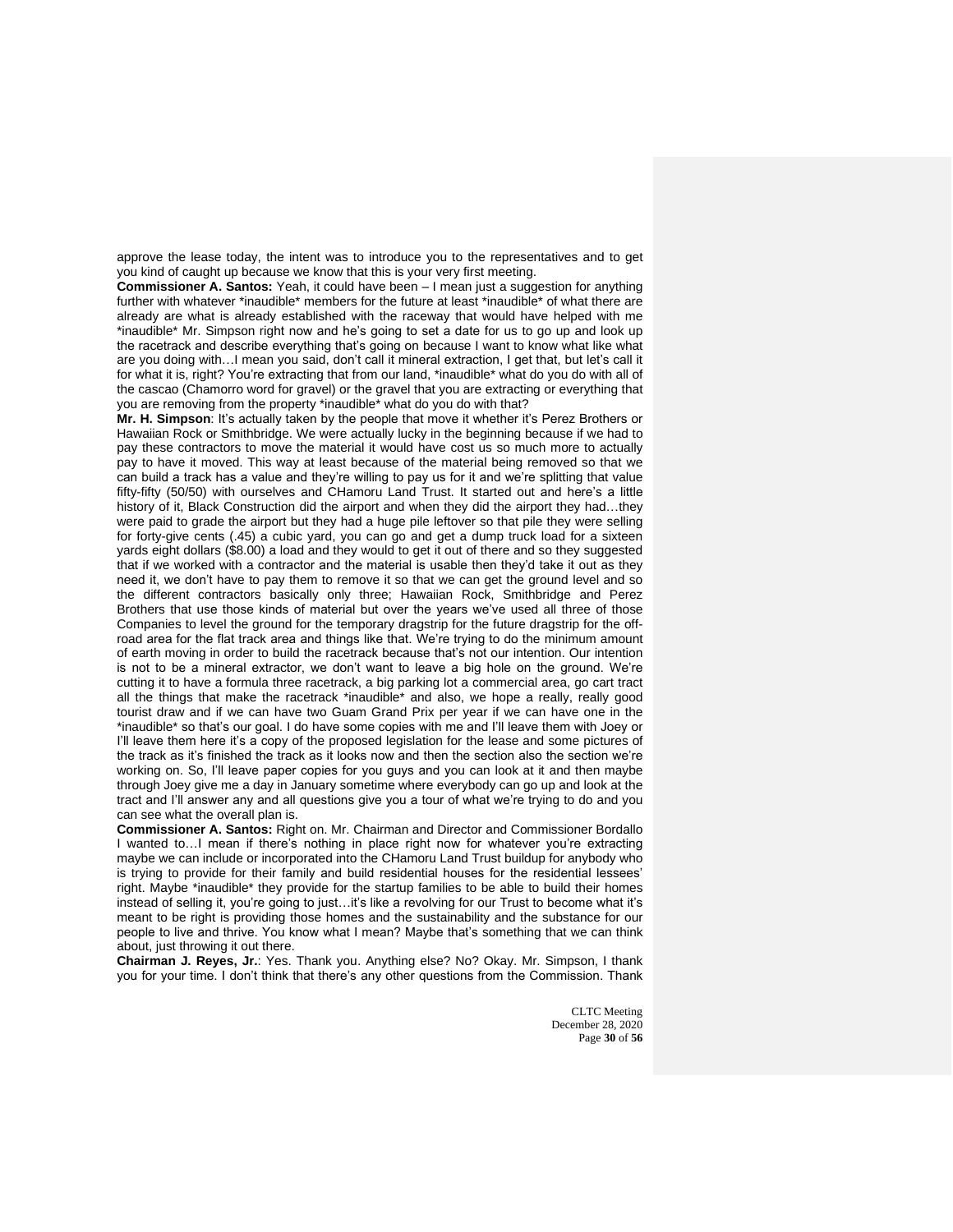approve the lease today, the intent was to introduce you to the representatives and to get you kind of caught up because we know that this is your very first meeting.

**Commissioner A. Santos:** Yeah, it could have been – I mean just a suggestion for anything further with whatever \*inaudible\* members for the future at least \*inaudible\* of what there are already are what is already established with the raceway that would have helped with me \*inaudible\* Mr. Simpson right now and he's going to set a date for us to go up and look up the racetrack and describe everything that's going on because I want to know what like what are you doing with…I mean you said, don't call it mineral extraction, I get that, but let's call it for what it is, right? You're extracting that from our land, \*inaudible\* what do you do with all of the cascao (Chamorro word for gravel) or the gravel that you are extracting or everything that you are removing from the property \*inaudible\* what do you do with that?

**Mr. H. Simpson**: It's actually taken by the people that move it whether it's Perez Brothers or Hawaiian Rock or Smithbridge. We were actually lucky in the beginning because if we had to pay these contractors to move the material it would have cost us so much more to actually pay to have it moved. This way at least because of the material being removed so that we can build a track has a value and they're willing to pay us for it and we're splitting that value fifty-fifty (50/50) with ourselves and CHamoru Land Trust. It started out and here's a little history of it, Black Construction did the airport and when they did the airport they had...they were paid to grade the airport but they had a huge pile leftover so that pile they were selling for forty-give cents (.45) a cubic yard, you can go and get a dump truck load for a sixteen yards eight dollars (\$8.00) a load and they would to get it out of there and so they suggested that if we worked with a contractor and the material is usable then they'd take it out as they need it, we don't have to pay them to remove it so that we can get the ground level and so the different contractors basically only three; Hawaiian Rock, Smithbridge and Perez Brothers that use those kinds of material but over the years we've used all three of those Companies to level the ground for the temporary dragstrip for the future dragstrip for the offroad area for the flat track area and things like that. We're trying to do the minimum amount of earth moving in order to build the racetrack because that's not our intention. Our intention is not to be a mineral extractor, we don't want to leave a big hole on the ground. We're cutting it to have a formula three racetrack, a big parking lot a commercial area, go cart tract all the things that make the racetrack \*inaudible\* and also, we hope a really, really good tourist draw and if we can have two Guam Grand Prix per year if we can have one in the \*inaudible\* so that's our goal. I do have some copies with me and I'll leave them with Joey or I'll leave them here it's a copy of the proposed legislation for the lease and some pictures of the track as it's finished the track as it looks now and then the section also the section we're working on. So, I'll leave paper copies for you guys and you can look at it and then maybe through Joey give me a day in January sometime where everybody can go up and look at the tract and I'll answer any and all questions give you a tour of what we're trying to do and you can see what the overall plan is.

**Commissioner A. Santos:** Right on. Mr. Chairman and Director and Commissioner Bordallo I wanted to…I mean if there's nothing in place right now for whatever you're extracting maybe we can include or incorporated into the CHamoru Land Trust buildup for anybody who is trying to provide for their family and build residential houses for the residential lessees' right. Maybe \*inaudible\* they provide for the startup families to be able to build their homes instead of selling it, you're going to just…it's like a revolving for our Trust to become what it's meant to be right is providing those homes and the sustainability and the substance for our people to live and thrive. You know what I mean? Maybe that's something that we can think about, just throwing it out there.

**Chairman J. Reyes, Jr.**: Yes. Thank you. Anything else? No? Okay. Mr. Simpson, I thank you for your time. I don't think that there's any other questions from the Commission. Thank

> CLTC Meeting December 28, 2020 Page **30** of **56**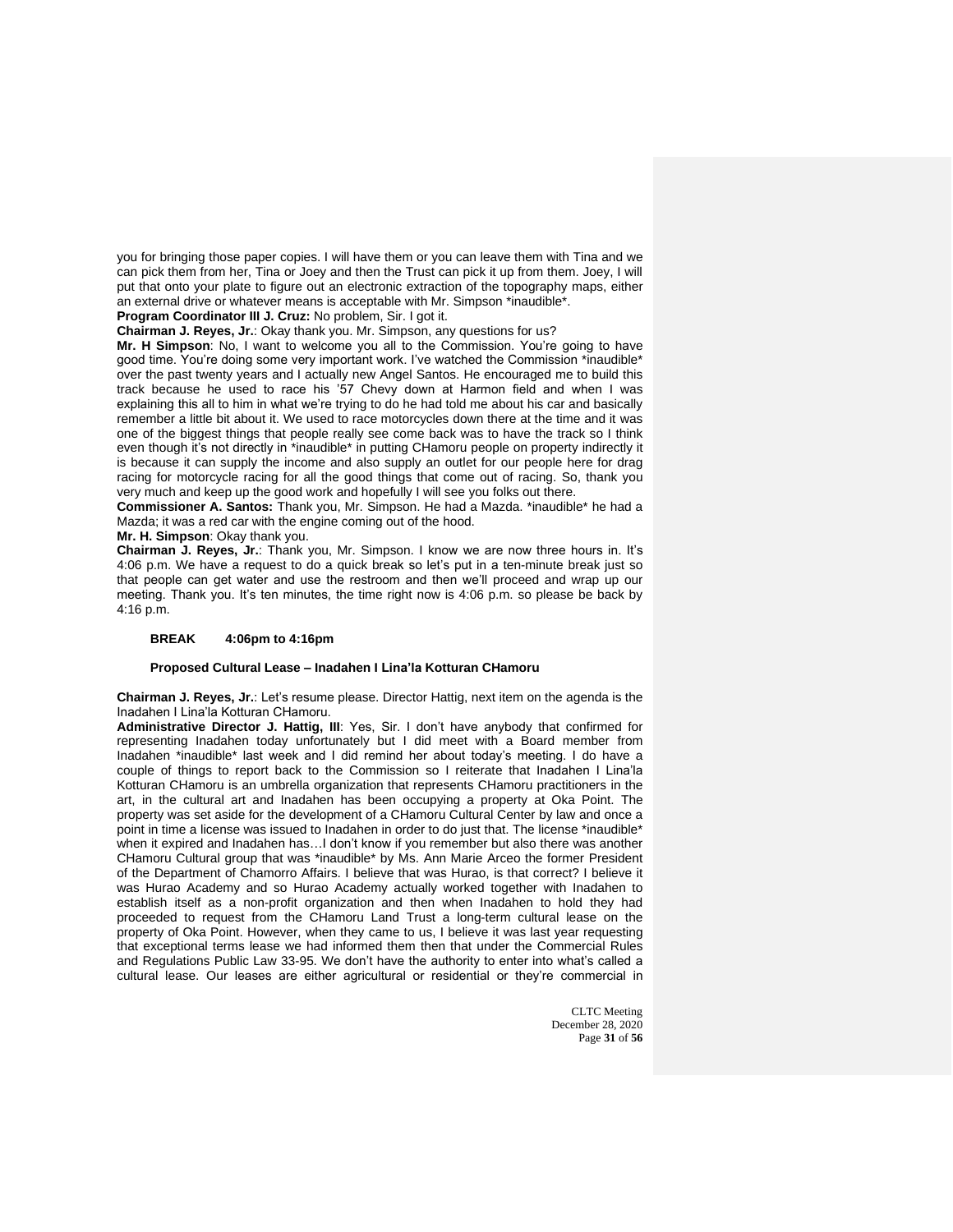you for bringing those paper copies. I will have them or you can leave them with Tina and we can pick them from her, Tina or Joey and then the Trust can pick it up from them. Joey, I will put that onto your plate to figure out an electronic extraction of the topography maps, either an external drive or whatever means is acceptable with Mr. Simpson \*inaudible\*.

**Program Coordinator III J. Cruz:** No problem, Sir. I got it.

**Chairman J. Reyes, Jr.**: Okay thank you. Mr. Simpson, any questions for us?

**Mr. H Simpson**: No, I want to welcome you all to the Commission. You're going to have good time. You're doing some very important work. I've watched the Commission \*inaudible\* over the past twenty years and I actually new Angel Santos. He encouraged me to build this track because he used to race his '57 Chevy down at Harmon field and when I was explaining this all to him in what we're trying to do he had told me about his car and basically remember a little bit about it. We used to race motorcycles down there at the time and it was one of the biggest things that people really see come back was to have the track so I think even though it's not directly in \*inaudible\* in putting CHamoru people on property indirectly it is because it can supply the income and also supply an outlet for our people here for drag racing for motorcycle racing for all the good things that come out of racing. So, thank you very much and keep up the good work and hopefully I will see you folks out there.

**Commissioner A. Santos:** Thank you, Mr. Simpson. He had a Mazda. \*inaudible\* he had a Mazda; it was a red car with the engine coming out of the hood.

**Mr. H. Simpson**: Okay thank you.

**Chairman J. Reyes, Jr.**: Thank you, Mr. Simpson. I know we are now three hours in. It's 4:06 p.m. We have a request to do a quick break so let's put in a ten-minute break just so that people can get water and use the restroom and then we'll proceed and wrap up our meeting. Thank you. It's ten minutes, the time right now is 4:06 p.m. so please be back by 4:16 p.m.

### **BREAK 4:06pm to 4:16pm**

#### **Proposed Cultural Lease – Inadahen I Lina'la Kotturan CHamoru**

**Chairman J. Reyes, Jr.**: Let's resume please. Director Hattig, next item on the agenda is the Inadahen I Lina'la Kotturan CHamoru.

**Administrative Director J. Hattig, III**: Yes, Sir. I don't have anybody that confirmed for representing Inadahen today unfortunately but I did meet with a Board member from Inadahen \*inaudible\* last week and I did remind her about today's meeting. I do have a couple of things to report back to the Commission so I reiterate that Inadahen I Lina'la Kotturan CHamoru is an umbrella organization that represents CHamoru practitioners in the art, in the cultural art and Inadahen has been occupying a property at Oka Point. The property was set aside for the development of a CHamoru Cultural Center by law and once a point in time a license was issued to Inadahen in order to do just that. The license \*inaudible\* when it expired and Inadahen has…I don't know if you remember but also there was another CHamoru Cultural group that was \*inaudible\* by Ms. Ann Marie Arceo the former President of the Department of Chamorro Affairs. I believe that was Hurao, is that correct? I believe it was Hurao Academy and so Hurao Academy actually worked together with Inadahen to establish itself as a non-profit organization and then when Inadahen to hold they had proceeded to request from the CHamoru Land Trust a long-term cultural lease on the property of Oka Point. However, when they came to us, I believe it was last year requesting that exceptional terms lease we had informed them then that under the Commercial Rules and Regulations Public Law 33-95. We don't have the authority to enter into what's called a cultural lease. Our leases are either agricultural or residential or they're commercial in

> CLTC Meeting December 28, 2020 Page **31** of **56**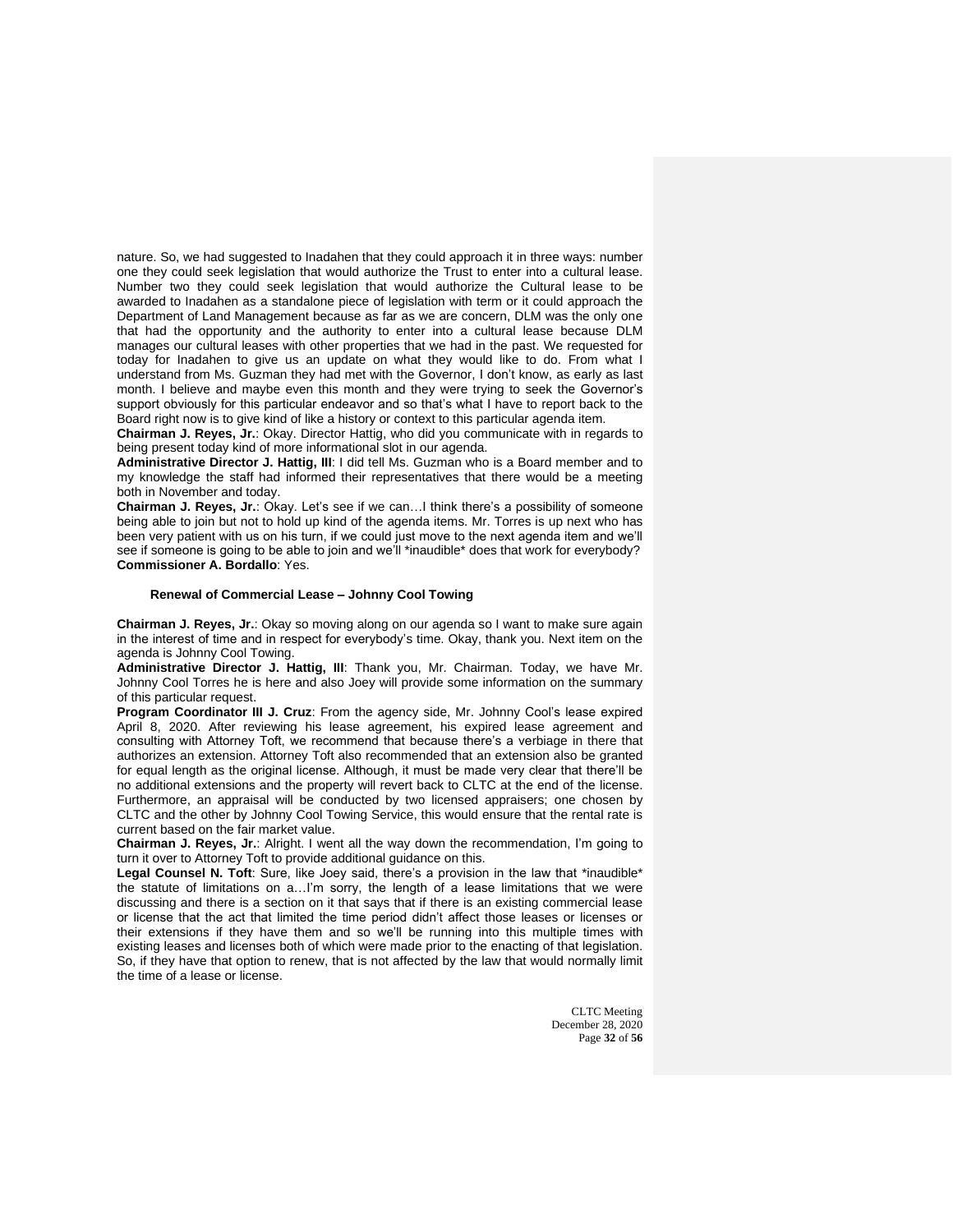nature. So, we had suggested to Inadahen that they could approach it in three ways: number one they could seek legislation that would authorize the Trust to enter into a cultural lease. Number two they could seek legislation that would authorize the Cultural lease to be awarded to Inadahen as a standalone piece of legislation with term or it could approach the Department of Land Management because as far as we are concern, DLM was the only one that had the opportunity and the authority to enter into a cultural lease because DLM manages our cultural leases with other properties that we had in the past. We requested for today for Inadahen to give us an update on what they would like to do. From what I understand from Ms. Guzman they had met with the Governor, I don't know, as early as last month. I believe and maybe even this month and they were trying to seek the Governor's support obviously for this particular endeavor and so that's what I have to report back to the Board right now is to give kind of like a history or context to this particular agenda item.

**Chairman J. Reyes, Jr.**: Okay. Director Hattig, who did you communicate with in regards to being present today kind of more informational slot in our agenda.

**Administrative Director J. Hattig, III**: I did tell Ms. Guzman who is a Board member and to my knowledge the staff had informed their representatives that there would be a meeting both in November and today.

**Chairman J. Reyes, Jr.**: Okay. Let's see if we can…I think there's a possibility of someone being able to join but not to hold up kind of the agenda items. Mr. Torres is up next who has been very patient with us on his turn, if we could just move to the next agenda item and we'll see if someone is going to be able to join and we'll \*inaudible\* does that work for everybody? **Commissioner A. Bordallo**: Yes.

### **Renewal of Commercial Lease – Johnny Cool Towing**

**Chairman J. Reyes, Jr.**: Okay so moving along on our agenda so I want to make sure again in the interest of time and in respect for everybody's time. Okay, thank you. Next item on the agenda is Johnny Cool Towing.

**Administrative Director J. Hattig, III**: Thank you, Mr. Chairman. Today, we have Mr. Johnny Cool Torres he is here and also Joey will provide some information on the summary of this particular request.

**Program Coordinator III J. Cruz**: From the agency side, Mr. Johnny Cool's lease expired April 8, 2020. After reviewing his lease agreement, his expired lease agreement and consulting with Attorney Toft, we recommend that because there's a verbiage in there that authorizes an extension. Attorney Toft also recommended that an extension also be granted for equal length as the original license. Although, it must be made very clear that there'll be no additional extensions and the property will revert back to CLTC at the end of the license. Furthermore, an appraisal will be conducted by two licensed appraisers; one chosen by CLTC and the other by Johnny Cool Towing Service, this would ensure that the rental rate is current based on the fair market value.

**Chairman J. Reyes, Jr.**: Alright. I went all the way down the recommendation, I'm going to turn it over to Attorney Toft to provide additional guidance on this.

**Legal Counsel N. Toft**: Sure, like Joey said, there's a provision in the law that \*inaudible\* the statute of limitations on a…I'm sorry, the length of a lease limitations that we were discussing and there is a section on it that says that if there is an existing commercial lease or license that the act that limited the time period didn't affect those leases or licenses or their extensions if they have them and so we'll be running into this multiple times with existing leases and licenses both of which were made prior to the enacting of that legislation. So, if they have that option to renew, that is not affected by the law that would normally limit the time of a lease or license.

> CLTC Meeting December 28, 2020 Page **32** of **56**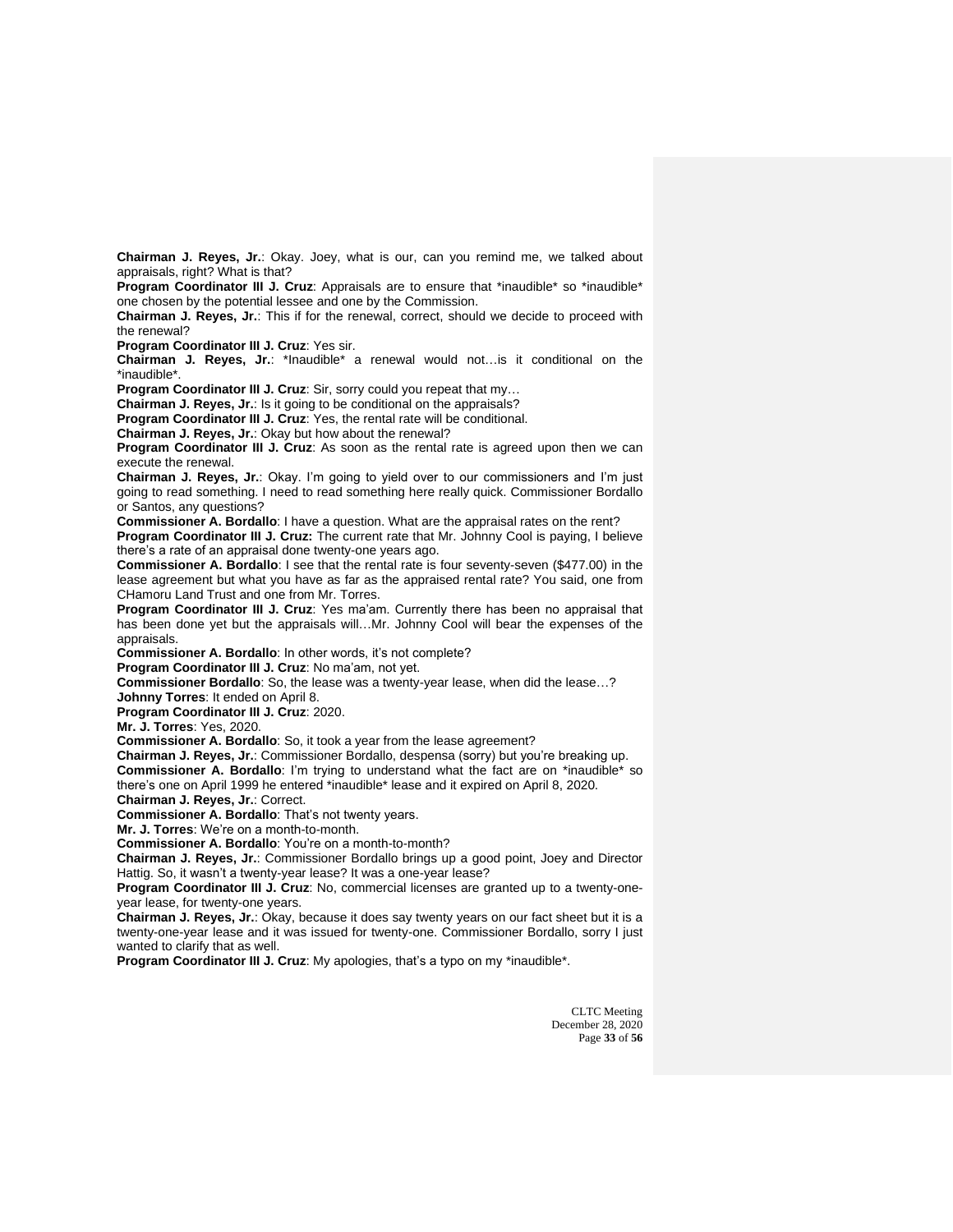**Chairman J. Reyes, Jr.**: Okay. Joey, what is our, can you remind me, we talked about appraisals, right? What is that?

**Program Coordinator III J. Cruz**: Appraisals are to ensure that \*inaudible\* so \*inaudible\* one chosen by the potential lessee and one by the Commission.

**Chairman J. Reyes, Jr.**: This if for the renewal, correct, should we decide to proceed with the renewal?

**Program Coordinator III J. Cruz**: Yes sir.

**Chairman J. Reyes, Jr.**: \*Inaudible\* a renewal would not…is it conditional on the \*inaudible\*.

**Program Coordinator III J. Cruz**: Sir, sorry could you repeat that my…

**Chairman J. Reyes, Jr.**: Is it going to be conditional on the appraisals?

**Program Coordinator III J. Cruz**: Yes, the rental rate will be conditional.

**Chairman J. Reyes, Jr.**: Okay but how about the renewal?

**Program Coordinator III J. Cruz**: As soon as the rental rate is agreed upon then we can execute the renewal.

**Chairman J. Reyes, Jr.**: Okay. I'm going to yield over to our commissioners and I'm just going to read something. I need to read something here really quick. Commissioner Bordallo or Santos, any questions?

**Commissioner A. Bordallo**: I have a question. What are the appraisal rates on the rent?

**Program Coordinator III J. Cruz:** The current rate that Mr. Johnny Cool is paying, I believe there's a rate of an appraisal done twenty-one years ago.

**Commissioner A. Bordallo**: I see that the rental rate is four seventy-seven (\$477.00) in the lease agreement but what you have as far as the appraised rental rate? You said, one from CHamoru Land Trust and one from Mr. Torres.

**Program Coordinator III J. Cruz**: Yes ma'am. Currently there has been no appraisal that has been done yet but the appraisals will…Mr. Johnny Cool will bear the expenses of the appraisals.

**Commissioner A. Bordallo**: In other words, it's not complete?

**Program Coordinator III J. Cruz**: No ma'am, not yet.

**Commissioner Bordallo**: So, the lease was a twenty-year lease, when did the lease…?

**Johnny Torres**: It ended on April 8.

**Program Coordinator III J. Cruz**: 2020.

**Mr. J. Torres**: Yes, 2020.

**Commissioner A. Bordallo**: So, it took a year from the lease agreement?

**Chairman J. Reyes, Jr.**: Commissioner Bordallo, despensa (sorry) but you're breaking up. **Commissioner A. Bordallo**: I'm trying to understand what the fact are on \*inaudible\* so there's one on April 1999 he entered \*inaudible\* lease and it expired on April 8, 2020. **Chairman J. Reyes, Jr.**: Correct.

**Commissioner A. Bordallo**: That's not twenty years.

**Mr. J. Torres**: We're on a month-to-month.

**Commissioner A. Bordallo**: You're on a month-to-month?

**Chairman J. Reyes, Jr.**: Commissioner Bordallo brings up a good point, Joey and Director Hattig. So, it wasn't a twenty-year lease? It was a one-year lease?

**Program Coordinator III J. Cruz**: No, commercial licenses are granted up to a twenty-oneyear lease, for twenty-one years.

**Chairman J. Reyes, Jr.**: Okay, because it does say twenty years on our fact sheet but it is a twenty-one-year lease and it was issued for twenty-one. Commissioner Bordallo, sorry I just wanted to clarify that as well.

**Program Coordinator III J. Cruz:** My apologies, that's a typo on my \*inaudible\*.

CLTC Meeting December 28, 2020 Page **33** of **56**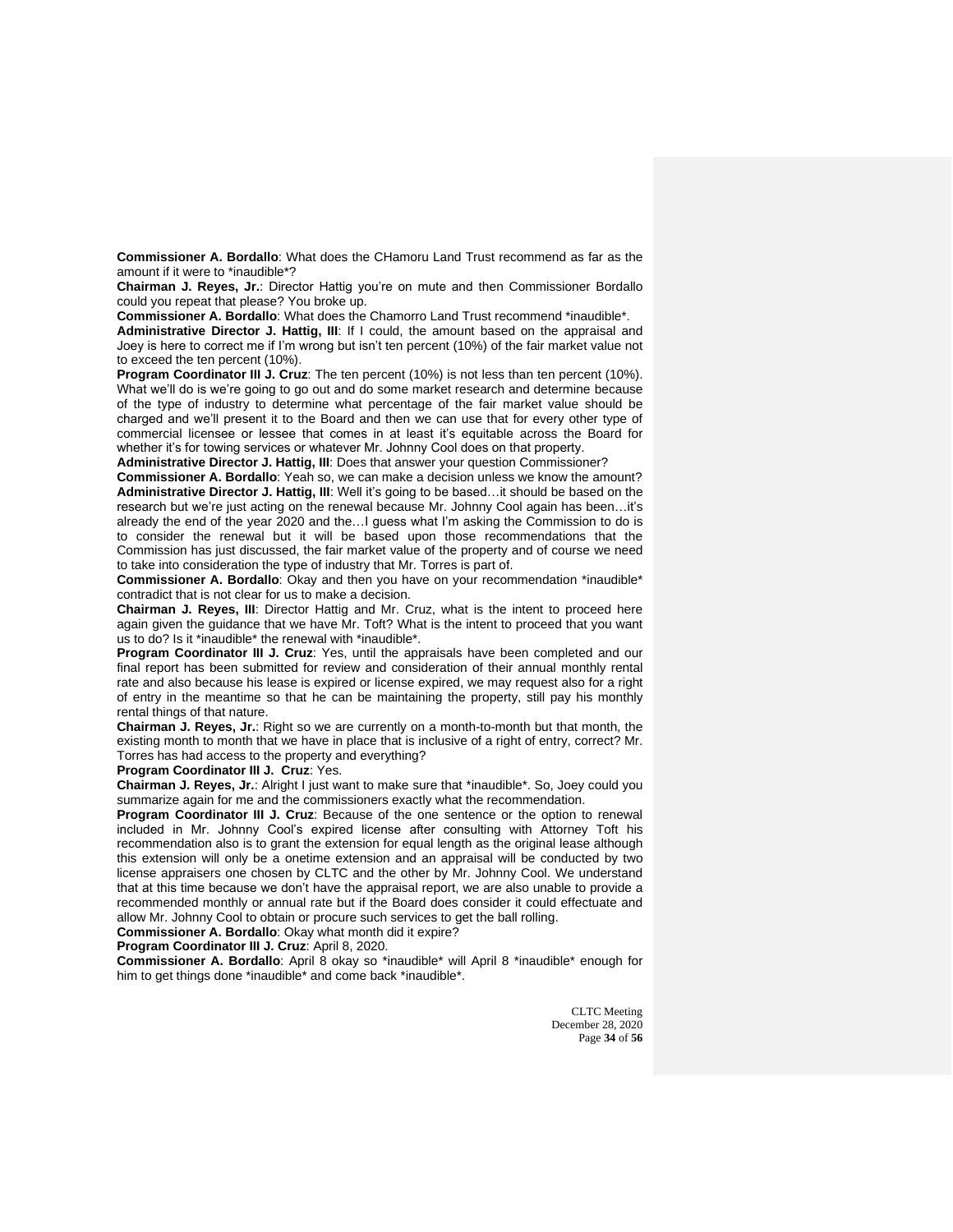**Commissioner A. Bordallo**: What does the CHamoru Land Trust recommend as far as the amount if it were to \*inaudible\*?

**Chairman J. Reyes, Jr.**: Director Hattig you're on mute and then Commissioner Bordallo could you repeat that please? You broke up.

**Commissioner A. Bordallo**: What does the Chamorro Land Trust recommend \*inaudible\*.

**Administrative Director J. Hattig, III**: If I could, the amount based on the appraisal and Joey is here to correct me if I'm wrong but isn't ten percent (10%) of the fair market value not to exceed the ten percent (10%).

**Program Coordinator III J. Cruz**: The ten percent (10%) is not less than ten percent (10%). What we'll do is we're going to go out and do some market research and determine because of the type of industry to determine what percentage of the fair market value should be charged and we'll present it to the Board and then we can use that for every other type of commercial licensee or lessee that comes in at least it's equitable across the Board for whether it's for towing services or whatever Mr. Johnny Cool does on that property.

**Administrative Director J. Hattig, III**: Does that answer your question Commissioner?

**Commissioner A. Bordallo**: Yeah so, we can make a decision unless we know the amount? **Administrative Director J. Hattig, III**: Well it's going to be based…it should be based on the research but we're just acting on the renewal because Mr. Johnny Cool again has been…it's already the end of the year 2020 and the…I guess what I'm asking the Commission to do is to consider the renewal but it will be based upon those recommendations that the Commission has just discussed, the fair market value of the property and of course we need to take into consideration the type of industry that Mr. Torres is part of.

**Commissioner A. Bordallo**: Okay and then you have on your recommendation \*inaudible\* contradict that is not clear for us to make a decision.

**Chairman J. Reyes, III**: Director Hattig and Mr. Cruz, what is the intent to proceed here again given the guidance that we have Mr. Toft? What is the intent to proceed that you want us to do? Is it \*inaudible\* the renewal with \*inaudible\*.

**Program Coordinator III J. Cruz**: Yes, until the appraisals have been completed and our final report has been submitted for review and consideration of their annual monthly rental rate and also because his lease is expired or license expired, we may request also for a right of entry in the meantime so that he can be maintaining the property, still pay his monthly rental things of that nature.

**Chairman J. Reyes, Jr.**: Right so we are currently on a month-to-month but that month, the existing month to month that we have in place that is inclusive of a right of entry, correct? Mr. Torres has had access to the property and everything?

**Program Coordinator III J. Cruz**: Yes.

**Chairman J. Reyes, Jr.**: Alright I just want to make sure that \*inaudible\*. So, Joey could you summarize again for me and the commissioners exactly what the recommendation.

**Program Coordinator III J. Cruz**: Because of the one sentence or the option to renewal included in Mr. Johnny Cool's expired license after consulting with Attorney Toft his recommendation also is to grant the extension for equal length as the original lease although this extension will only be a onetime extension and an appraisal will be conducted by two license appraisers one chosen by CLTC and the other by Mr. Johnny Cool. We understand that at this time because we don't have the appraisal report, we are also unable to provide a recommended monthly or annual rate but if the Board does consider it could effectuate and allow Mr. Johnny Cool to obtain or procure such services to get the ball rolling.

**Commissioner A. Bordallo**: Okay what month did it expire?

**Program Coordinator III J. Cruz**: April 8, 2020.

**Commissioner A. Bordallo**: April 8 okay so \*inaudible\* will April 8 \*inaudible\* enough for him to get things done \*inaudible\* and come back \*inaudible\*.

> CLTC Meeting December 28, 2020 Page **34** of **56**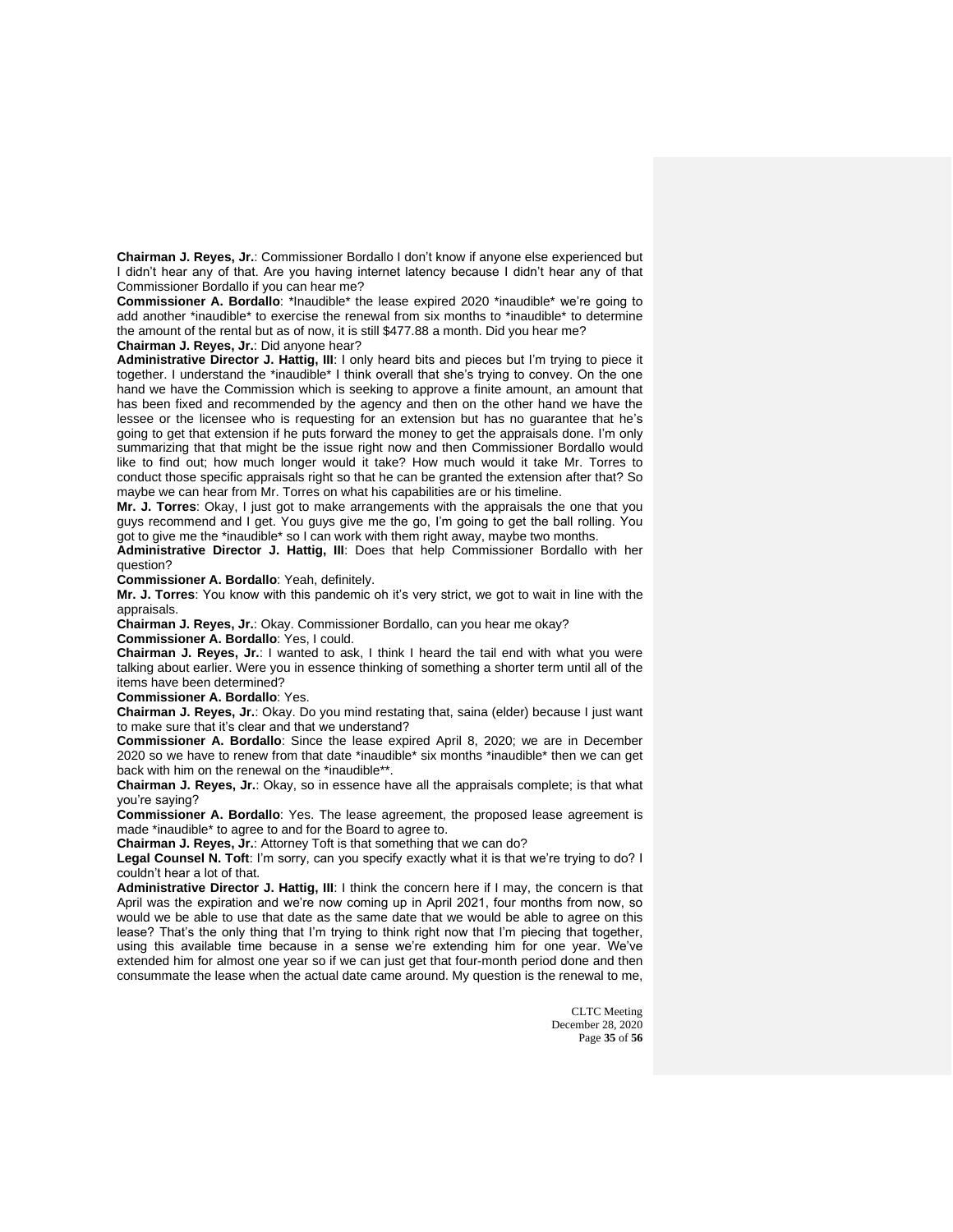**Chairman J. Reyes, Jr.**: Commissioner Bordallo I don't know if anyone else experienced but I didn't hear any of that. Are you having internet latency because I didn't hear any of that Commissioner Bordallo if you can hear me?

**Commissioner A. Bordallo**: \*Inaudible\* the lease expired 2020 \*inaudible\* we're going to add another \*inaudible\* to exercise the renewal from six months to \*inaudible\* to determine the amount of the rental but as of now, it is still \$477.88 a month. Did you hear me? **Chairman J. Reyes, Jr.**: Did anyone hear?

**Administrative Director J. Hattig, III**: I only heard bits and pieces but I'm trying to piece it together. I understand the \*inaudible\* I think overall that she's trying to convey. On the one hand we have the Commission which is seeking to approve a finite amount, an amount that has been fixed and recommended by the agency and then on the other hand we have the lessee or the licensee who is requesting for an extension but has no guarantee that he's going to get that extension if he puts forward the money to get the appraisals done. I'm only summarizing that that might be the issue right now and then Commissioner Bordallo would like to find out; how much longer would it take? How much would it take Mr. Torres to conduct those specific appraisals right so that he can be granted the extension after that? So maybe we can hear from Mr. Torres on what his capabilities are or his timeline.

**Mr. J. Torres**: Okay, I just got to make arrangements with the appraisals the one that you guys recommend and I get. You guys give me the go, I'm going to get the ball rolling. You got to give me the \*inaudible\* so I can work with them right away, maybe two months.

**Administrative Director J. Hattig, III**: Does that help Commissioner Bordallo with her question?

**Commissioner A. Bordallo**: Yeah, definitely.

**Mr. J. Torres**: You know with this pandemic oh it's very strict, we got to wait in line with the appraisals.

**Chairman J. Reyes, Jr.**: Okay. Commissioner Bordallo, can you hear me okay? **Commissioner A. Bordallo**: Yes, I could.

**Chairman J. Reyes, Jr.**: I wanted to ask, I think I heard the tail end with what you were talking about earlier. Were you in essence thinking of something a shorter term until all of the items have been determined?

**Commissioner A. Bordallo**: Yes.

**Chairman J. Reyes, Jr.**: Okay. Do you mind restating that, saina (elder) because I just want to make sure that it's clear and that we understand?

**Commissioner A. Bordallo**: Since the lease expired April 8, 2020; we are in December 2020 so we have to renew from that date \*inaudible\* six months \*inaudible\* then we can get back with him on the renewal on the \*inaudible\*\*.

**Chairman J. Reyes, Jr.**: Okay, so in essence have all the appraisals complete; is that what you're saying?

**Commissioner A. Bordallo**: Yes. The lease agreement, the proposed lease agreement is made \*inaudible\* to agree to and for the Board to agree to.

**Chairman J. Reyes, Jr.**: Attorney Toft is that something that we can do?

**Legal Counsel N. Toft**: I'm sorry, can you specify exactly what it is that we're trying to do? I couldn't hear a lot of that.

**Administrative Director J. Hattig, III**: I think the concern here if I may, the concern is that April was the expiration and we're now coming up in April 2021, four months from now, so would we be able to use that date as the same date that we would be able to agree on this lease? That's the only thing that I'm trying to think right now that I'm piecing that together, using this available time because in a sense we're extending him for one year. We've extended him for almost one year so if we can just get that four-month period done and then consummate the lease when the actual date came around. My question is the renewal to me,

> CLTC Meeting December 28, 2020 Page **35** of **56**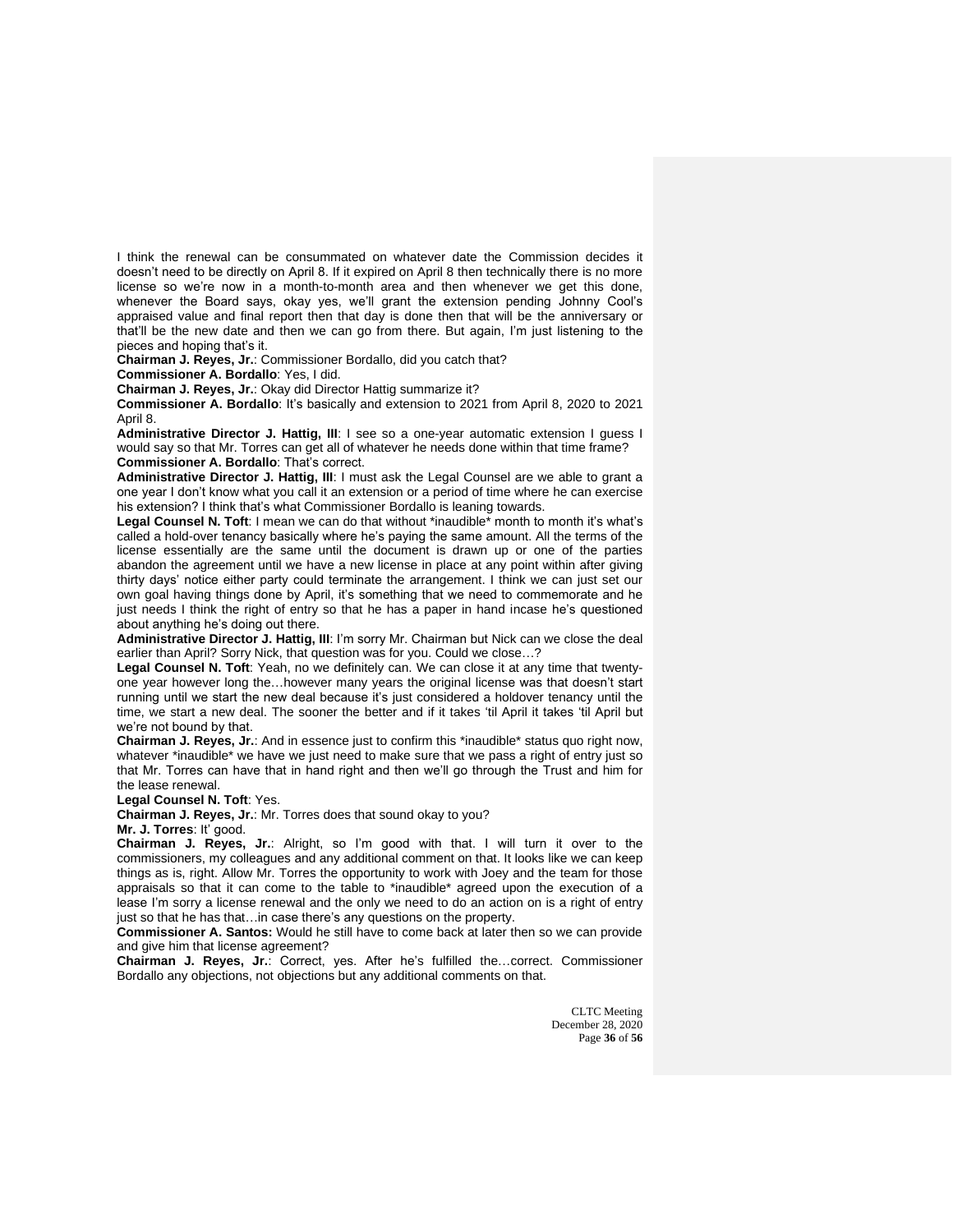I think the renewal can be consummated on whatever date the Commission decides it doesn't need to be directly on April 8. If it expired on April 8 then technically there is no more license so we're now in a month-to-month area and then whenever we get this done, whenever the Board says, okay yes, we'll grant the extension pending Johnny Cool's appraised value and final report then that day is done then that will be the anniversary or that'll be the new date and then we can go from there. But again, I'm just listening to the pieces and hoping that's it.

**Chairman J. Reyes, Jr.**: Commissioner Bordallo, did you catch that?

**Commissioner A. Bordallo**: Yes, I did.

**Chairman J. Reyes, Jr.**: Okay did Director Hattig summarize it?

**Commissioner A. Bordallo**: It's basically and extension to 2021 from April 8, 2020 to 2021 April 8.

**Administrative Director J. Hattig, III**: I see so a one-year automatic extension I guess I would say so that Mr. Torres can get all of whatever he needs done within that time frame? **Commissioner A. Bordallo**: That's correct.

**Administrative Director J. Hattig, III**: I must ask the Legal Counsel are we able to grant a one year I don't know what you call it an extension or a period of time where he can exercise his extension? I think that's what Commissioner Bordallo is leaning towards.

Legal Counsel N. Toft: I mean we can do that without \*inaudible\* month to month it's what's called a hold-over tenancy basically where he's paying the same amount. All the terms of the license essentially are the same until the document is drawn up or one of the parties abandon the agreement until we have a new license in place at any point within after giving thirty days' notice either party could terminate the arrangement. I think we can just set our own goal having things done by April, it's something that we need to commemorate and he just needs I think the right of entry so that he has a paper in hand incase he's questioned about anything he's doing out there.

**Administrative Director J. Hattig, III**: I'm sorry Mr. Chairman but Nick can we close the deal earlier than April? Sorry Nick, that question was for you. Could we close…?

**Legal Counsel N. Toft**: Yeah, no we definitely can. We can close it at any time that twentyone year however long the…however many years the original license was that doesn't start running until we start the new deal because it's just considered a holdover tenancy until the time, we start a new deal. The sooner the better and if it takes 'til April it takes 'til April but we're not bound by that.

**Chairman J. Reyes, Jr.**: And in essence just to confirm this \*inaudible\* status quo right now, whatever \*inaudible\* we have we just need to make sure that we pass a right of entry just so that Mr. Torres can have that in hand right and then we'll go through the Trust and him for the lease renewal.

**Legal Counsel N. Toft**: Yes.

**Chairman J. Reyes, Jr.**: Mr. Torres does that sound okay to you?

**Mr. J. Torres**: It' good.

**Chairman J. Reyes, Jr.**: Alright, so I'm good with that. I will turn it over to the commissioners, my colleagues and any additional comment on that. It looks like we can keep things as is, right. Allow Mr. Torres the opportunity to work with Joey and the team for those appraisals so that it can come to the table to \*inaudible\* agreed upon the execution of a lease I'm sorry a license renewal and the only we need to do an action on is a right of entry just so that he has that…in case there's any questions on the property.

**Commissioner A. Santos:** Would he still have to come back at later then so we can provide and give him that license agreement?

**Chairman J. Reyes, Jr.**: Correct, yes. After he's fulfilled the…correct. Commissioner Bordallo any objections, not objections but any additional comments on that.

> CLTC Meeting December 28, 2020 Page **36** of **56**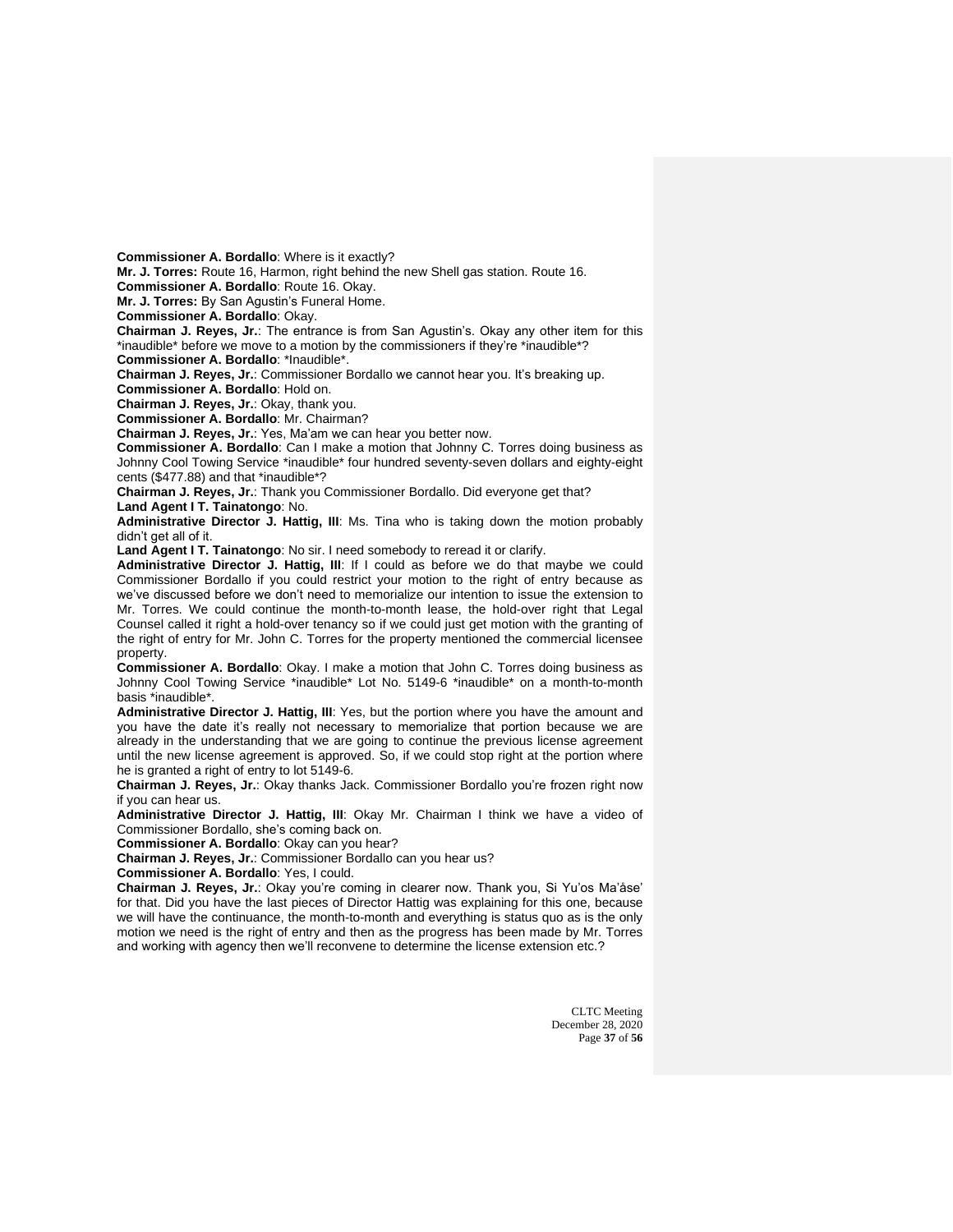**Commissioner A. Bordallo**: Where is it exactly?

**Mr. J. Torres:** Route 16, Harmon, right behind the new Shell gas station. Route 16.

**Commissioner A. Bordallo**: Route 16. Okay.

**Mr. J. Torres:** By San Agustin's Funeral Home.

**Commissioner A. Bordallo**: Okay.

**Chairman J. Reyes, Jr.**: The entrance is from San Agustin's. Okay any other item for this \*inaudible\* before we move to a motion by the commissioners if they're \*inaudible\*?

**Commissioner A. Bordallo**: \*Inaudible\*.

**Chairman J. Reyes, Jr.**: Commissioner Bordallo we cannot hear you. It's breaking up.

**Commissioner A. Bordallo**: Hold on.

**Chairman J. Reyes, Jr.**: Okay, thank you.

**Commissioner A. Bordallo**: Mr. Chairman? **Chairman J. Reyes, Jr.**: Yes, Ma'am we can hear you better now.

**Commissioner A. Bordallo**: Can I make a motion that Johnny C. Torres doing business as Johnny Cool Towing Service \*inaudible\* four hundred seventy-seven dollars and eighty-eight

cents (\$477.88) and that \*inaudible\*? **Chairman J. Reyes, Jr.**: Thank you Commissioner Bordallo. Did everyone get that?

**Land Agent I T. Tainatongo**: No.

**Administrative Director J. Hattig, III**: Ms. Tina who is taking down the motion probably didn't get all of it.

**Land Agent I T. Tainatongo**: No sir. I need somebody to reread it or clarify.

**Administrative Director J. Hattig, III**: If I could as before we do that maybe we could Commissioner Bordallo if you could restrict your motion to the right of entry because as we've discussed before we don't need to memorialize our intention to issue the extension to Mr. Torres. We could continue the month-to-month lease, the hold-over right that Legal Counsel called it right a hold-over tenancy so if we could just get motion with the granting of the right of entry for Mr. John C. Torres for the property mentioned the commercial licensee property.

**Commissioner A. Bordallo**: Okay. I make a motion that John C. Torres doing business as Johnny Cool Towing Service \*inaudible\* Lot No. 5149-6 \*inaudible\* on a month-to-month basis \*inaudible\*.

**Administrative Director J. Hattig, III**: Yes, but the portion where you have the amount and you have the date it's really not necessary to memorialize that portion because we are already in the understanding that we are going to continue the previous license agreement until the new license agreement is approved. So, if we could stop right at the portion where he is granted a right of entry to lot 5149-6.

**Chairman J. Reyes, Jr.**: Okay thanks Jack. Commissioner Bordallo you're frozen right now if you can hear us.

**Administrative Director J. Hattig, III**: Okay Mr. Chairman I think we have a video of Commissioner Bordallo, she's coming back on.

**Commissioner A. Bordallo**: Okay can you hear?

**Chairman J. Reyes, Jr.**: Commissioner Bordallo can you hear us?

**Commissioner A. Bordallo**: Yes, I could.

**Chairman J. Reyes, Jr.**: Okay you're coming in clearer now. Thank you, Si Yu'os Ma'åse' for that. Did you have the last pieces of Director Hattig was explaining for this one, because we will have the continuance, the month-to-month and everything is status quo as is the only motion we need is the right of entry and then as the progress has been made by Mr. Torres and working with agency then we'll reconvene to determine the license extension etc.?

> CLTC Meeting December 28, 2020 Page **37** of **56**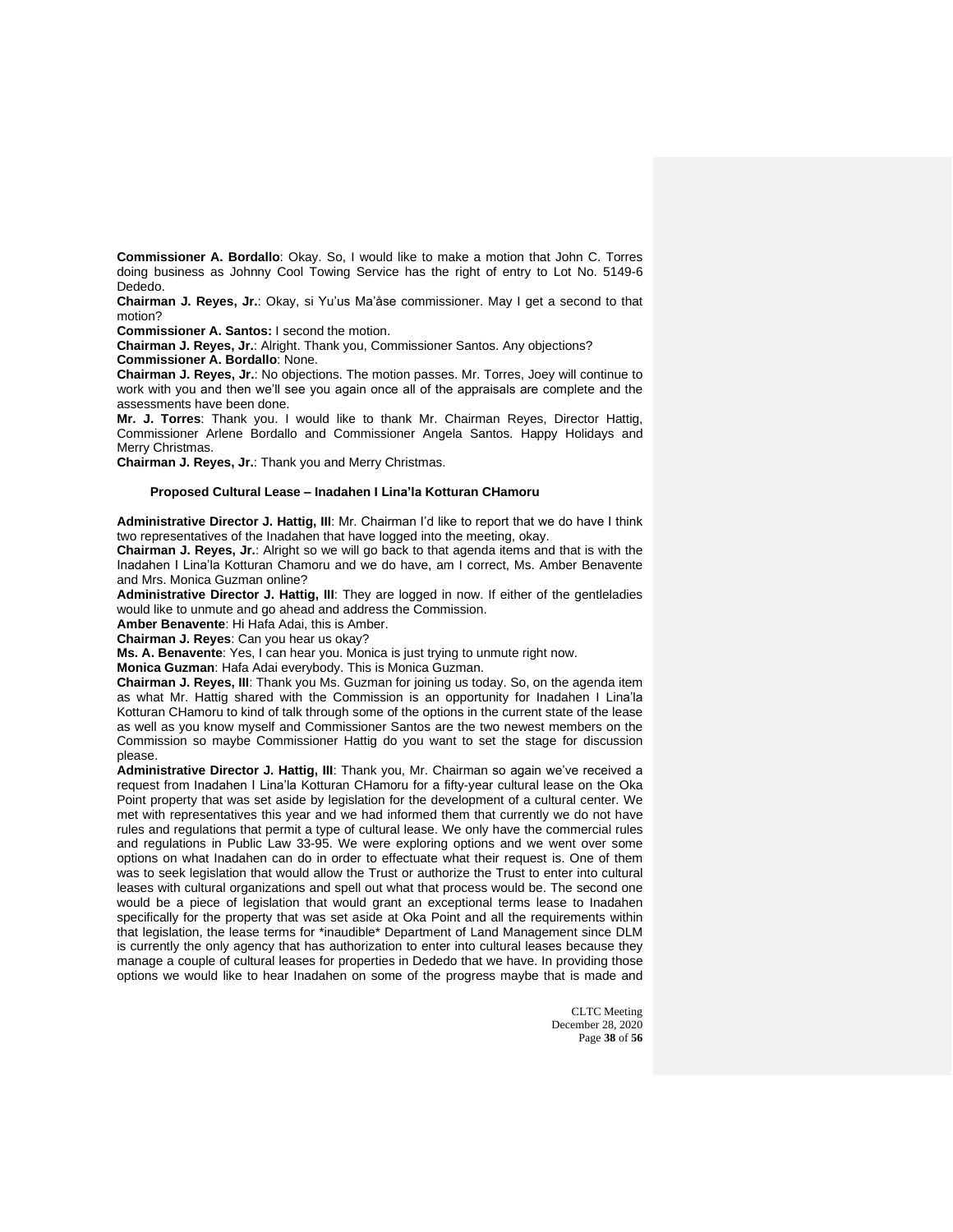**Commissioner A. Bordallo**: Okay. So, I would like to make a motion that John C. Torres doing business as Johnny Cool Towing Service has the right of entry to Lot No. 5149-6 Dededo.

**Chairman J. Reyes, Jr.**: Okay, si Yu'us Ma'åse commissioner. May I get a second to that motion?

**Commissioner A. Santos:** I second the motion.

**Chairman J. Reyes, Jr.**: Alright. Thank you, Commissioner Santos. Any objections?

**Commissioner A. Bordallo**: None.

**Chairman J. Reyes, Jr.**: No objections. The motion passes. Mr. Torres, Joey will continue to work with you and then we'll see you again once all of the appraisals are complete and the assessments have been done.

**Mr. J. Torres**: Thank you. I would like to thank Mr. Chairman Reyes, Director Hattig, Commissioner Arlene Bordallo and Commissioner Angela Santos. Happy Holidays and Merry Christmas.

**Chairman J. Reyes, Jr.**: Thank you and Merry Christmas.

### **Proposed Cultural Lease – Inadahen I Lina'la Kotturan CHamoru**

**Administrative Director J. Hattig, III**: Mr. Chairman I'd like to report that we do have I think two representatives of the Inadahen that have logged into the meeting, okay.

**Chairman J. Reyes, Jr.**: Alright so we will go back to that agenda items and that is with the Inadahen I Lina'la Kotturan Chamoru and we do have, am I correct, Ms. Amber Benavente and Mrs. Monica Guzman online?

**Administrative Director J. Hattig, III**: They are logged in now. If either of the gentleladies would like to unmute and go ahead and address the Commission.

**Amber Benavente**: Hi Hafa Adai, this is Amber.

**Chairman J. Reyes**: Can you hear us okay?

**Ms. A. Benavente**: Yes, I can hear you. Monica is just trying to unmute right now.

**Monica Guzman**: Hafa Adai everybody. This is Monica Guzman.

**Chairman J. Reyes, III**: Thank you Ms. Guzman for joining us today. So, on the agenda item as what Mr. Hattig shared with the Commission is an opportunity for Inadahen I Lina'la Kotturan CHamoru to kind of talk through some of the options in the current state of the lease as well as you know myself and Commissioner Santos are the two newest members on the Commission so maybe Commissioner Hattig do you want to set the stage for discussion please.

**Administrative Director J. Hattig, III**: Thank you, Mr. Chairman so again we've received a request from Inadahen I Lina'la Kotturan CHamoru for a fifty-year cultural lease on the Oka Point property that was set aside by legislation for the development of a cultural center. We met with representatives this year and we had informed them that currently we do not have rules and regulations that permit a type of cultural lease. We only have the commercial rules and regulations in Public Law 33-95. We were exploring options and we went over some options on what Inadahen can do in order to effectuate what their request is. One of them was to seek legislation that would allow the Trust or authorize the Trust to enter into cultural leases with cultural organizations and spell out what that process would be. The second one would be a piece of legislation that would grant an exceptional terms lease to Inadahen specifically for the property that was set aside at Oka Point and all the requirements within that legislation, the lease terms for \*inaudible\* Department of Land Management since DLM is currently the only agency that has authorization to enter into cultural leases because they manage a couple of cultural leases for properties in Dededo that we have. In providing those options we would like to hear Inadahen on some of the progress maybe that is made and

> CLTC Meeting December 28, 2020 Page **38** of **56**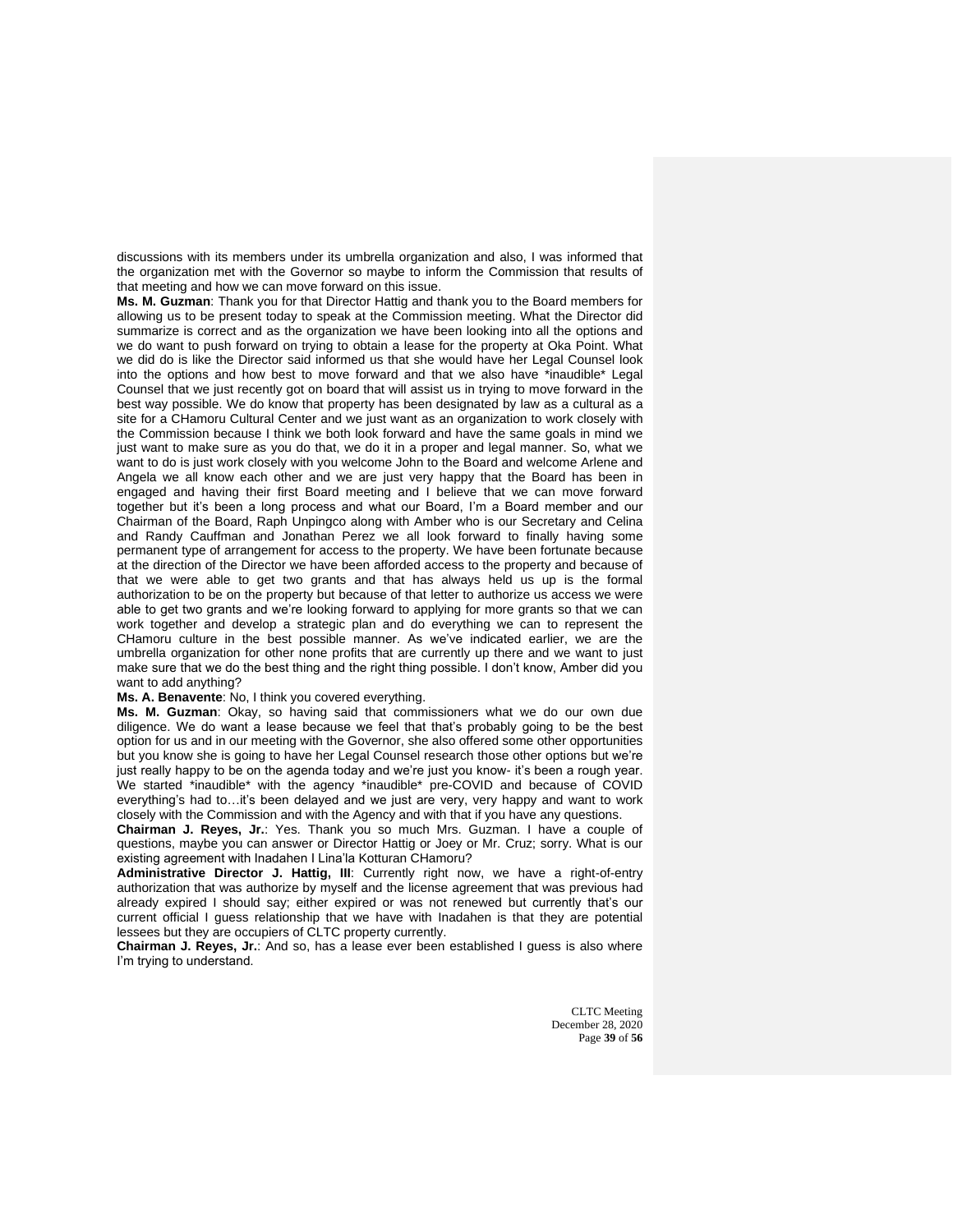discussions with its members under its umbrella organization and also, I was informed that the organization met with the Governor so maybe to inform the Commission that results of that meeting and how we can move forward on this issue.

**Ms. M. Guzman**: Thank you for that Director Hattig and thank you to the Board members for allowing us to be present today to speak at the Commission meeting. What the Director did summarize is correct and as the organization we have been looking into all the options and we do want to push forward on trying to obtain a lease for the property at Oka Point. What we did do is like the Director said informed us that she would have her Legal Counsel look into the options and how best to move forward and that we also have \*inaudible\* Legal Counsel that we just recently got on board that will assist us in trying to move forward in the best way possible. We do know that property has been designated by law as a cultural as a site for a CHamoru Cultural Center and we just want as an organization to work closely with the Commission because I think we both look forward and have the same goals in mind we just want to make sure as you do that, we do it in a proper and legal manner. So, what we want to do is just work closely with you welcome John to the Board and welcome Arlene and Angela we all know each other and we are just very happy that the Board has been in engaged and having their first Board meeting and I believe that we can move forward together but it's been a long process and what our Board, I'm a Board member and our Chairman of the Board, Raph Unpingco along with Amber who is our Secretary and Celina and Randy Cauffman and Jonathan Perez we all look forward to finally having some permanent type of arrangement for access to the property. We have been fortunate because at the direction of the Director we have been afforded access to the property and because of that we were able to get two grants and that has always held us up is the formal authorization to be on the property but because of that letter to authorize us access we were able to get two grants and we're looking forward to applying for more grants so that we can work together and develop a strategic plan and do everything we can to represent the CHamoru culture in the best possible manner. As we've indicated earlier, we are the umbrella organization for other none profits that are currently up there and we want to just make sure that we do the best thing and the right thing possible. I don't know, Amber did you want to add anything?

**Ms. A. Benavente**: No, I think you covered everything.

**Ms. M. Guzman**: Okay, so having said that commissioners what we do our own due diligence. We do want a lease because we feel that that's probably going to be the best option for us and in our meeting with the Governor, she also offered some other opportunities but you know she is going to have her Legal Counsel research those other options but we're just really happy to be on the agenda today and we're just you know- it's been a rough year. We started \*inaudible\* with the agency \*inaudible\* pre-COVID and because of COVID everything's had to…it's been delayed and we just are very, very happy and want to work closely with the Commission and with the Agency and with that if you have any questions.

**Chairman J. Reyes, Jr.**: Yes. Thank you so much Mrs. Guzman. I have a couple of questions, maybe you can answer or Director Hattig or Joey or Mr. Cruz; sorry. What is our existing agreement with Inadahen I Lina'la Kotturan CHamoru?

**Administrative Director J. Hattig, III**: Currently right now, we have a right-of-entry authorization that was authorize by myself and the license agreement that was previous had already expired I should say; either expired or was not renewed but currently that's our current official I guess relationship that we have with Inadahen is that they are potential lessees but they are occupiers of CLTC property currently.

**Chairman J. Reyes, Jr.**: And so, has a lease ever been established I guess is also where I'm trying to understand.

> CLTC Meeting December 28, 2020 Page **39** of **56**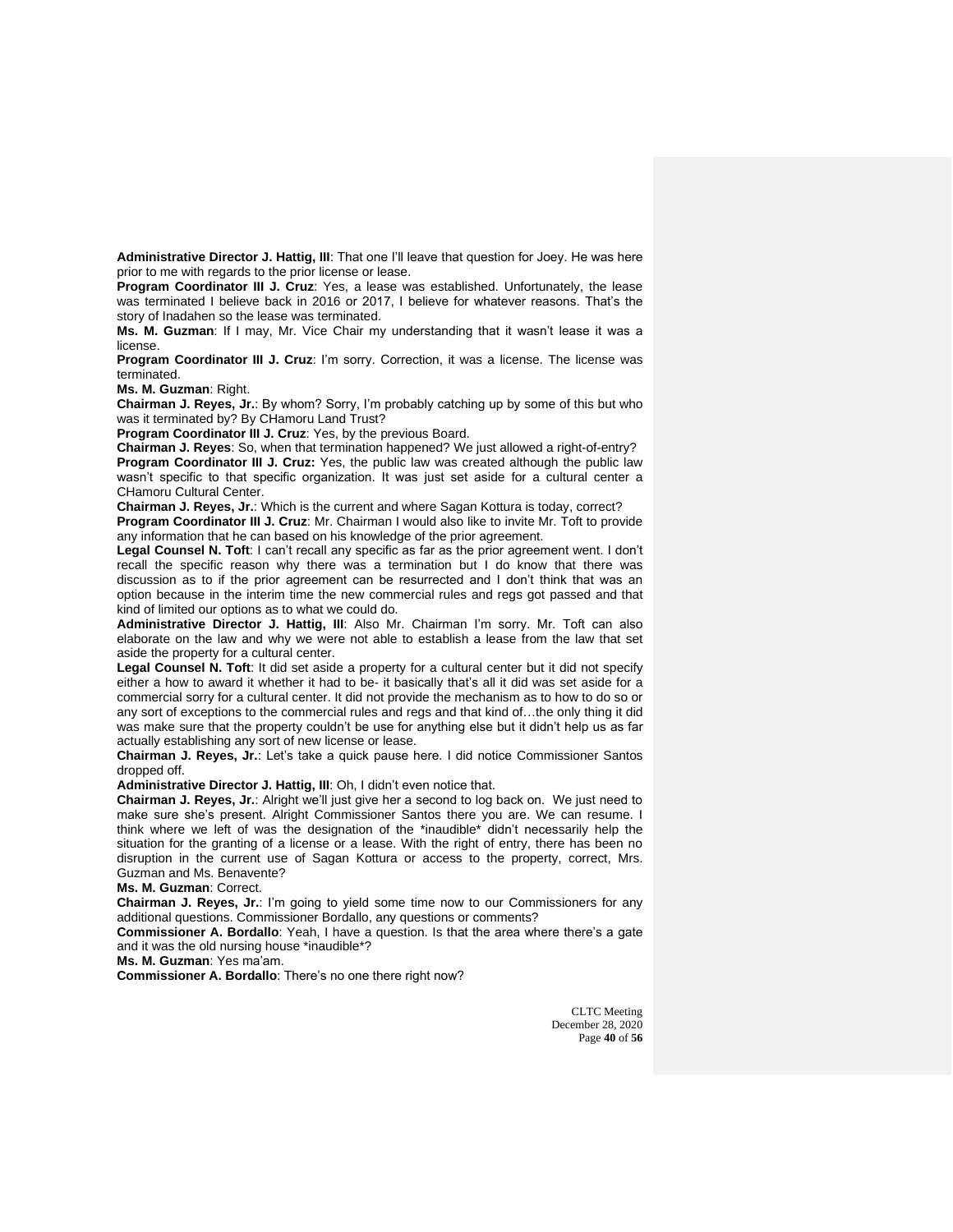**Administrative Director J. Hattig, III**: That one I'll leave that question for Joey. He was here prior to me with regards to the prior license or lease.

**Program Coordinator III J. Cruz**: Yes, a lease was established. Unfortunately, the lease was terminated I believe back in 2016 or 2017, I believe for whatever reasons. That's the story of Inadahen so the lease was terminated.

**Ms. M. Guzman**: If I may, Mr. Vice Chair my understanding that it wasn't lease it was a license.

**Program Coordinator III J. Cruz**: I'm sorry. Correction, it was a license. The license was terminated.

**Ms. M. Guzman**: Right.

**Chairman J. Reyes, Jr.**: By whom? Sorry, I'm probably catching up by some of this but who was it terminated by? By CHamoru Land Trust?

**Program Coordinator III J. Cruz**: Yes, by the previous Board.

**Chairman J. Reyes**: So, when that termination happened? We just allowed a right-of-entry?

**Program Coordinator III J. Cruz:** Yes, the public law was created although the public law wasn't specific to that specific organization. It was just set aside for a cultural center a CHamoru Cultural Center.

**Chairman J. Reyes, Jr.**: Which is the current and where Sagan Kottura is today, correct? **Program Coordinator III J. Cruz**: Mr. Chairman I would also like to invite Mr. Toft to provide

any information that he can based on his knowledge of the prior agreement.

**Legal Counsel N. Toft**: I can't recall any specific as far as the prior agreement went. I don't recall the specific reason why there was a termination but I do know that there was discussion as to if the prior agreement can be resurrected and I don't think that was an option because in the interim time the new commercial rules and regs got passed and that kind of limited our options as to what we could do.

**Administrative Director J. Hattig, III**: Also Mr. Chairman I'm sorry. Mr. Toft can also elaborate on the law and why we were not able to establish a lease from the law that set aside the property for a cultural center.

**Legal Counsel N. Toft**: It did set aside a property for a cultural center but it did not specify either a how to award it whether it had to be- it basically that's all it did was set aside for a commercial sorry for a cultural center. It did not provide the mechanism as to how to do so or any sort of exceptions to the commercial rules and regs and that kind of…the only thing it did was make sure that the property couldn't be use for anything else but it didn't help us as far actually establishing any sort of new license or lease.

**Chairman J. Reyes, Jr.**: Let's take a quick pause here. I did notice Commissioner Santos dropped off.

**Administrative Director J. Hattig, III**: Oh, I didn't even notice that.

**Chairman J. Reyes, Jr.**: Alright we'll just give her a second to log back on. We just need to make sure she's present. Alright Commissioner Santos there you are. We can resume. I think where we left of was the designation of the \*inaudible\* didn't necessarily help the situation for the granting of a license or a lease. With the right of entry, there has been no disruption in the current use of Sagan Kottura or access to the property, correct, Mrs. Guzman and Ms. Benavente?

**Ms. M. Guzman**: Correct.

**Chairman J. Reyes, Jr.**: I'm going to yield some time now to our Commissioners for any additional questions. Commissioner Bordallo, any questions or comments?

**Commissioner A. Bordallo**: Yeah, I have a question. Is that the area where there's a gate and it was the old nursing house \*inaudible\*?

**Ms. M. Guzman**: Yes ma'am.

**Commissioner A. Bordallo**: There's no one there right now?

CLTC Meeting December 28, 2020 Page **40** of **56**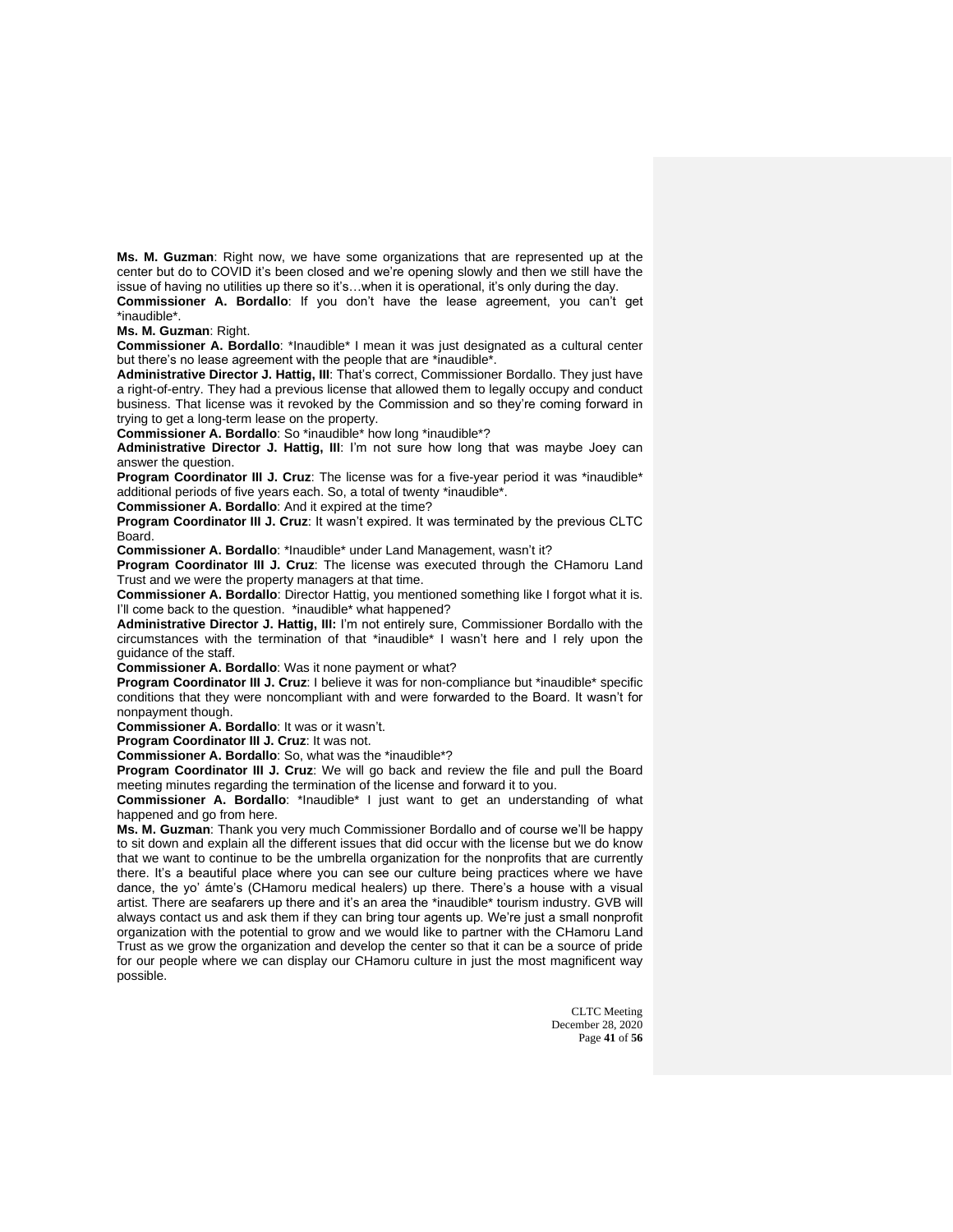**Ms. M. Guzman**: Right now, we have some organizations that are represented up at the center but do to COVID it's been closed and we're opening slowly and then we still have the issue of having no utilities up there so it's…when it is operational, it's only during the day.

**Commissioner A. Bordallo**: If you don't have the lease agreement, you can't get \*inaudible\*.

**Ms. M. Guzman**: Right.

**Commissioner A. Bordallo**: \*Inaudible\* I mean it was just designated as a cultural center but there's no lease agreement with the people that are \*inaudible\*.

**Administrative Director J. Hattig, III**: That's correct, Commissioner Bordallo. They just have a right-of-entry. They had a previous license that allowed them to legally occupy and conduct business. That license was it revoked by the Commission and so they're coming forward in trying to get a long-term lease on the property.

**Commissioner A. Bordallo**: So \*inaudible\* how long \*inaudible\*?

**Administrative Director J. Hattig, III**: I'm not sure how long that was maybe Joey can answer the question.

**Program Coordinator III J. Cruz**: The license was for a five-year period it was \*inaudible\* additional periods of five years each. So, a total of twenty \*inaudible\*.

**Commissioner A. Bordallo**: And it expired at the time?

**Program Coordinator III J. Cruz**: It wasn't expired. It was terminated by the previous CLTC Board.

**Commissioner A. Bordallo**: \*Inaudible\* under Land Management, wasn't it?

**Program Coordinator III J. Cruz**: The license was executed through the CHamoru Land Trust and we were the property managers at that time.

**Commissioner A. Bordallo**: Director Hattig, you mentioned something like I forgot what it is. I'll come back to the question. \*inaudible\* what happened?

**Administrative Director J. Hattig, III:** I'm not entirely sure, Commissioner Bordallo with the circumstances with the termination of that \*inaudible\* I wasn't here and I rely upon the guidance of the staff.

**Commissioner A. Bordallo**: Was it none payment or what?

**Program Coordinator III J. Cruz**: I believe it was for non-compliance but \*inaudible\* specific conditions that they were noncompliant with and were forwarded to the Board. It wasn't for nonpayment though.

**Commissioner A. Bordallo**: It was or it wasn't.

**Program Coordinator III J. Cruz**: It was not.

**Commissioner A. Bordallo**: So, what was the \*inaudible\*?

**Program Coordinator III J. Cruz**: We will go back and review the file and pull the Board meeting minutes regarding the termination of the license and forward it to you.

**Commissioner A. Bordallo**: \*Inaudible\* I just want to get an understanding of what happened and go from here.

**Ms. M. Guzman**: Thank you very much Commissioner Bordallo and of course we'll be happy to sit down and explain all the different issues that did occur with the license but we do know that we want to continue to be the umbrella organization for the nonprofits that are currently there. It's a beautiful place where you can see our culture being practices where we have dance, the yo' ámte's (CHamoru medical healers) up there. There's a house with a visual artist. There are seafarers up there and it's an area the \*inaudible\* tourism industry. GVB will always contact us and ask them if they can bring tour agents up. We're just a small nonprofit organization with the potential to grow and we would like to partner with the CHamoru Land Trust as we grow the organization and develop the center so that it can be a source of pride for our people where we can display our CHamoru culture in just the most magnificent way possible.

> CLTC Meeting December 28, 2020 Page **41** of **56**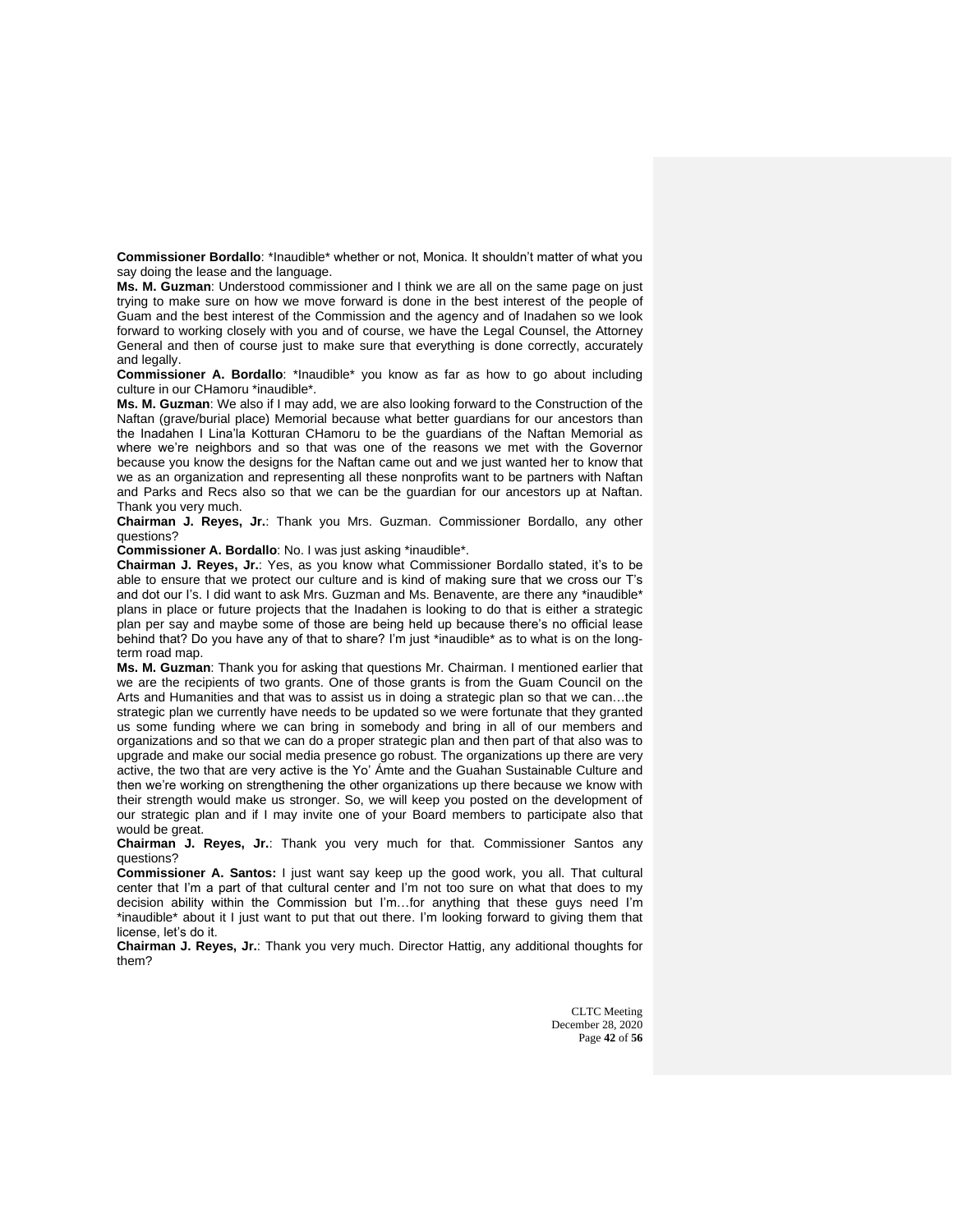**Commissioner Bordallo**: \*Inaudible\* whether or not, Monica. It shouldn't matter of what you say doing the lease and the language.

**Ms. M. Guzman**: Understood commissioner and I think we are all on the same page on just trying to make sure on how we move forward is done in the best interest of the people of Guam and the best interest of the Commission and the agency and of Inadahen so we look forward to working closely with you and of course, we have the Legal Counsel, the Attorney General and then of course just to make sure that everything is done correctly, accurately and legally.

**Commissioner A. Bordallo**: \*Inaudible\* you know as far as how to go about including culture in our CHamoru \*inaudible\*.

**Ms. M. Guzman**: We also if I may add, we are also looking forward to the Construction of the Naftan (grave/burial place) Memorial because what better guardians for our ancestors than the Inadahen I Lina'la Kotturan CHamoru to be the guardians of the Naftan Memorial as where we're neighbors and so that was one of the reasons we met with the Governor because you know the designs for the Naftan came out and we just wanted her to know that we as an organization and representing all these nonprofits want to be partners with Naftan and Parks and Recs also so that we can be the guardian for our ancestors up at Naftan. Thank you very much.

**Chairman J. Reyes, Jr.**: Thank you Mrs. Guzman. Commissioner Bordallo, any other questions?

**Commissioner A. Bordallo**: No. I was just asking \*inaudible\*.

**Chairman J. Reyes, Jr.**: Yes, as you know what Commissioner Bordallo stated, it's to be able to ensure that we protect our culture and is kind of making sure that we cross our T's and dot our I's. I did want to ask Mrs. Guzman and Ms. Benavente, are there any \*inaudible\* plans in place or future projects that the Inadahen is looking to do that is either a strategic plan per say and maybe some of those are being held up because there's no official lease behind that? Do you have any of that to share? I'm just \*inaudible\* as to what is on the longterm road map.

**Ms. M. Guzman**: Thank you for asking that questions Mr. Chairman. I mentioned earlier that we are the recipients of two grants. One of those grants is from the Guam Council on the Arts and Humanities and that was to assist us in doing a strategic plan so that we can…the strategic plan we currently have needs to be updated so we were fortunate that they granted us some funding where we can bring in somebody and bring in all of our members and organizations and so that we can do a proper strategic plan and then part of that also was to upgrade and make our social media presence go robust. The organizations up there are very active, the two that are very active is the Yo' Ámte and the Guahan Sustainable Culture and then we're working on strengthening the other organizations up there because we know with their strength would make us stronger. So, we will keep you posted on the development of our strategic plan and if I may invite one of your Board members to participate also that would be great.

**Chairman J. Reyes, Jr.**: Thank you very much for that. Commissioner Santos any questions?

**Commissioner A. Santos:** I just want say keep up the good work, you all. That cultural center that I'm a part of that cultural center and I'm not too sure on what that does to my decision ability within the Commission but I'm…for anything that these guys need I'm \*inaudible\* about it I just want to put that out there. I'm looking forward to giving them that license, let's do it.

**Chairman J. Reyes, Jr.**: Thank you very much. Director Hattig, any additional thoughts for them?

> CLTC Meeting December 28, 2020 Page **42** of **56**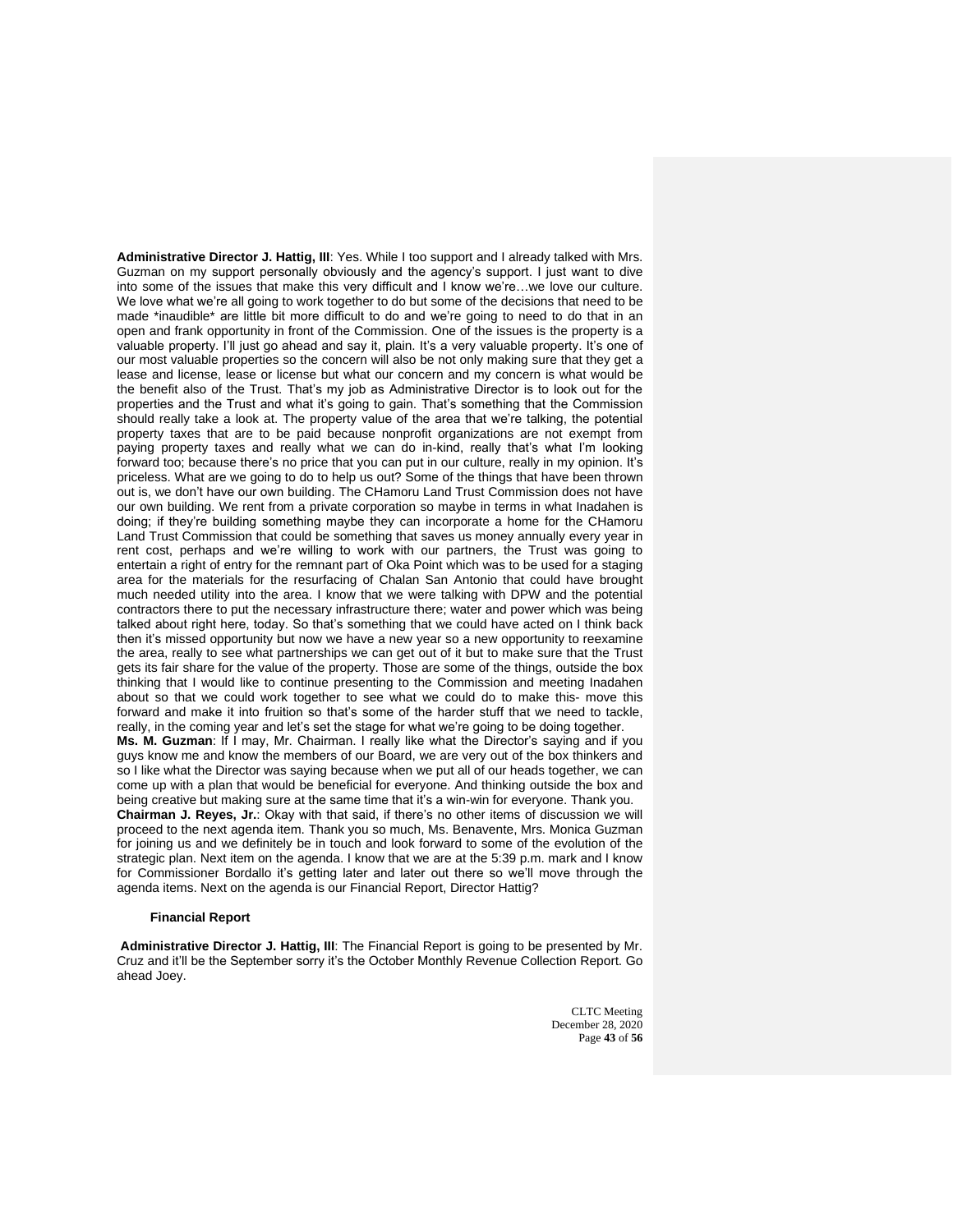**Administrative Director J. Hattig, III**: Yes. While I too support and I already talked with Mrs. Guzman on my support personally obviously and the agency's support. I just want to dive into some of the issues that make this very difficult and I know we're…we love our culture. We love what we're all going to work together to do but some of the decisions that need to be made \*inaudible\* are little bit more difficult to do and we're going to need to do that in an open and frank opportunity in front of the Commission. One of the issues is the property is a valuable property. I'll just go ahead and say it, plain. It's a very valuable property. It's one of our most valuable properties so the concern will also be not only making sure that they get a lease and license, lease or license but what our concern and my concern is what would be the benefit also of the Trust. That's my job as Administrative Director is to look out for the properties and the Trust and what it's going to gain. That's something that the Commission should really take a look at. The property value of the area that we're talking, the potential property taxes that are to be paid because nonprofit organizations are not exempt from paying property taxes and really what we can do in-kind, really that's what I'm looking forward too; because there's no price that you can put in our culture, really in my opinion. It's priceless. What are we going to do to help us out? Some of the things that have been thrown out is, we don't have our own building. The CHamoru Land Trust Commission does not have our own building. We rent from a private corporation so maybe in terms in what Inadahen is doing; if they're building something maybe they can incorporate a home for the CHamoru Land Trust Commission that could be something that saves us money annually every year in rent cost, perhaps and we're willing to work with our partners, the Trust was going to entertain a right of entry for the remnant part of Oka Point which was to be used for a staging area for the materials for the resurfacing of Chalan San Antonio that could have brought much needed utility into the area. I know that we were talking with DPW and the potential contractors there to put the necessary infrastructure there; water and power which was being talked about right here, today. So that's something that we could have acted on I think back then it's missed opportunity but now we have a new year so a new opportunity to reexamine the area, really to see what partnerships we can get out of it but to make sure that the Trust gets its fair share for the value of the property. Those are some of the things, outside the box thinking that I would like to continue presenting to the Commission and meeting Inadahen about so that we could work together to see what we could do to make this- move this forward and make it into fruition so that's some of the harder stuff that we need to tackle, really, in the coming year and let's set the stage for what we're going to be doing together. **Ms. M. Guzman**: If I may, Mr. Chairman. I really like what the Director's saying and if you guys know me and know the members of our Board, we are very out of the box thinkers and so I like what the Director was saying because when we put all of our heads together, we can come up with a plan that would be beneficial for everyone. And thinking outside the box and being creative but making sure at the same time that it's a win-win for everyone. Thank you. **Chairman J. Reyes, Jr.**: Okay with that said, if there's no other items of discussion we will

proceed to the next agenda item. Thank you so much, Ms. Benavente, Mrs. Monica Guzman for joining us and we definitely be in touch and look forward to some of the evolution of the strategic plan. Next item on the agenda. I know that we are at the 5:39 p.m. mark and I know for Commissioner Bordallo it's getting later and later out there so we'll move through the agenda items. Next on the agenda is our Financial Report, Director Hattig?

### **Financial Report**

**Administrative Director J. Hattig, III**: The Financial Report is going to be presented by Mr. Cruz and it'll be the September sorry it's the October Monthly Revenue Collection Report. Go ahead Joey.

> CLTC Meeting December 28, 2020 Page **43** of **56**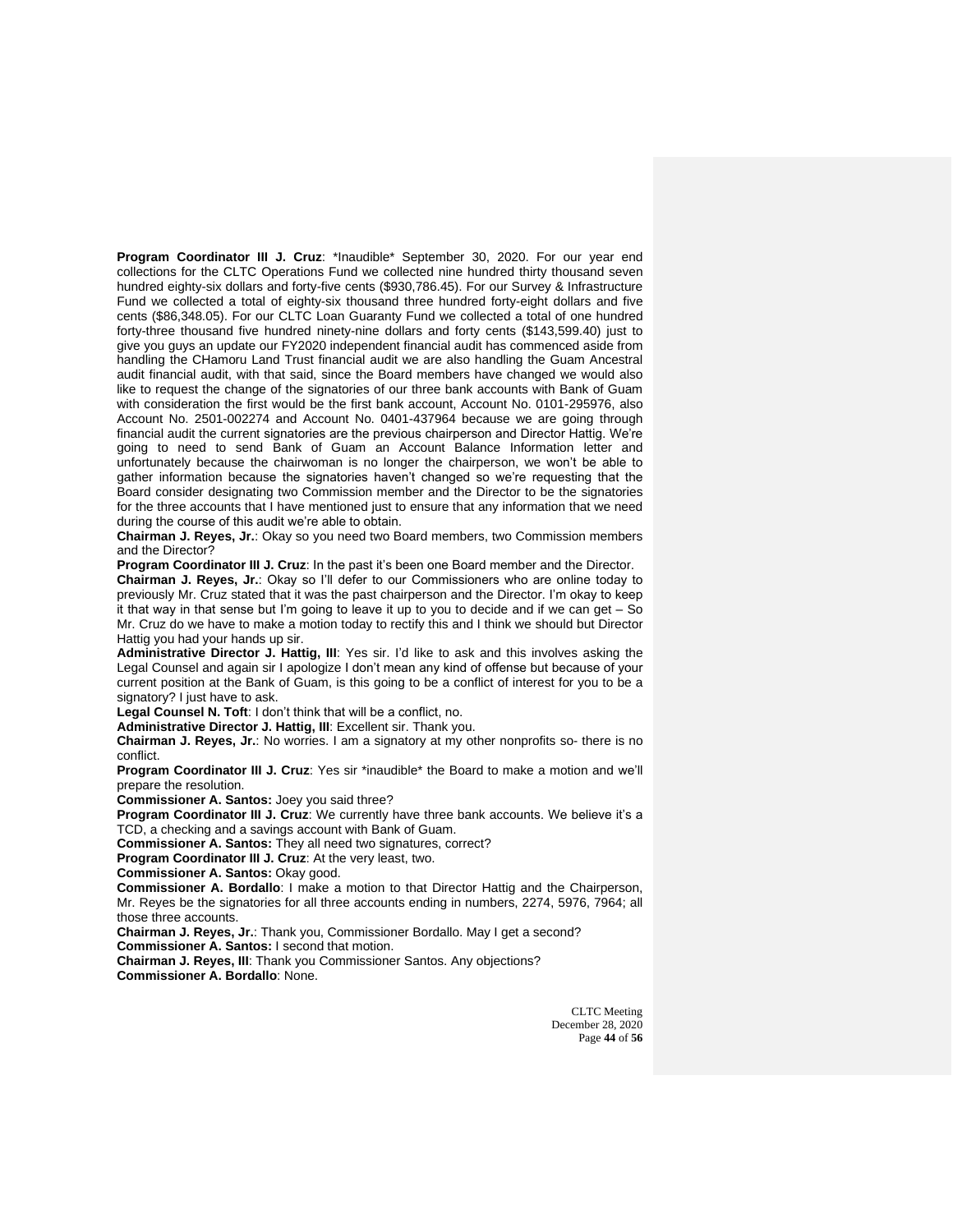**Program Coordinator III J. Cruz**: \*Inaudible\* September 30, 2020. For our year end collections for the CLTC Operations Fund we collected nine hundred thirty thousand seven hundred eighty-six dollars and forty-five cents (\$930,786.45). For our Survey & Infrastructure Fund we collected a total of eighty-six thousand three hundred forty-eight dollars and five cents (\$86,348.05). For our CLTC Loan Guaranty Fund we collected a total of one hundred forty-three thousand five hundred ninety-nine dollars and forty cents (\$143,599.40) just to give you guys an update our FY2020 independent financial audit has commenced aside from handling the CHamoru Land Trust financial audit we are also handling the Guam Ancestral audit financial audit, with that said, since the Board members have changed we would also like to request the change of the signatories of our three bank accounts with Bank of Guam with consideration the first would be the first bank account, Account No. 0101-295976, also Account No. 2501-002274 and Account No. 0401-437964 because we are going through financial audit the current signatories are the previous chairperson and Director Hattig. We're going to need to send Bank of Guam an Account Balance Information letter and unfortunately because the chairwoman is no longer the chairperson, we won't be able to gather information because the signatories haven't changed so we're requesting that the Board consider designating two Commission member and the Director to be the signatories for the three accounts that I have mentioned just to ensure that any information that we need during the course of this audit we're able to obtain.

**Chairman J. Reyes, Jr.**: Okay so you need two Board members, two Commission members and the Director?

**Program Coordinator III J. Cruz**: In the past it's been one Board member and the Director.

**Chairman J. Reyes, Jr.**: Okay so I'll defer to our Commissioners who are online today to previously Mr. Cruz stated that it was the past chairperson and the Director. I'm okay to keep it that way in that sense but I'm going to leave it up to you to decide and if we can get – So Mr. Cruz do we have to make a motion today to rectify this and I think we should but Director Hattig you had your hands up sir.

**Administrative Director J. Hattig, III**: Yes sir. I'd like to ask and this involves asking the Legal Counsel and again sir I apologize I don't mean any kind of offense but because of your current position at the Bank of Guam, is this going to be a conflict of interest for you to be a signatory? I just have to ask.

**Legal Counsel N. Toft**: I don't think that will be a conflict, no.

**Administrative Director J. Hattig, III**: Excellent sir. Thank you.

**Chairman J. Reyes, Jr.**: No worries. I am a signatory at my other nonprofits so- there is no conflict.

**Program Coordinator III J. Cruz**: Yes sir \*inaudible\* the Board to make a motion and we'll prepare the resolution.

**Commissioner A. Santos:** Joey you said three?

**Program Coordinator III J. Cruz**: We currently have three bank accounts. We believe it's a TCD, a checking and a savings account with Bank of Guam.

**Commissioner A. Santos:** They all need two signatures, correct?

**Program Coordinator III J. Cruz**: At the very least, two.

**Commissioner A. Santos:** Okay good.

**Commissioner A. Bordallo**: I make a motion to that Director Hattig and the Chairperson, Mr. Reyes be the signatories for all three accounts ending in numbers, 2274, 5976, 7964; all those three accounts.

**Chairman J. Reyes, Jr.**: Thank you, Commissioner Bordallo. May I get a second? **Commissioner A. Santos:** I second that motion.

**Chairman J. Reyes, III**: Thank you Commissioner Santos. Any objections? **Commissioner A. Bordallo**: None.

> CLTC Meeting December 28, 2020 Page **44** of **56**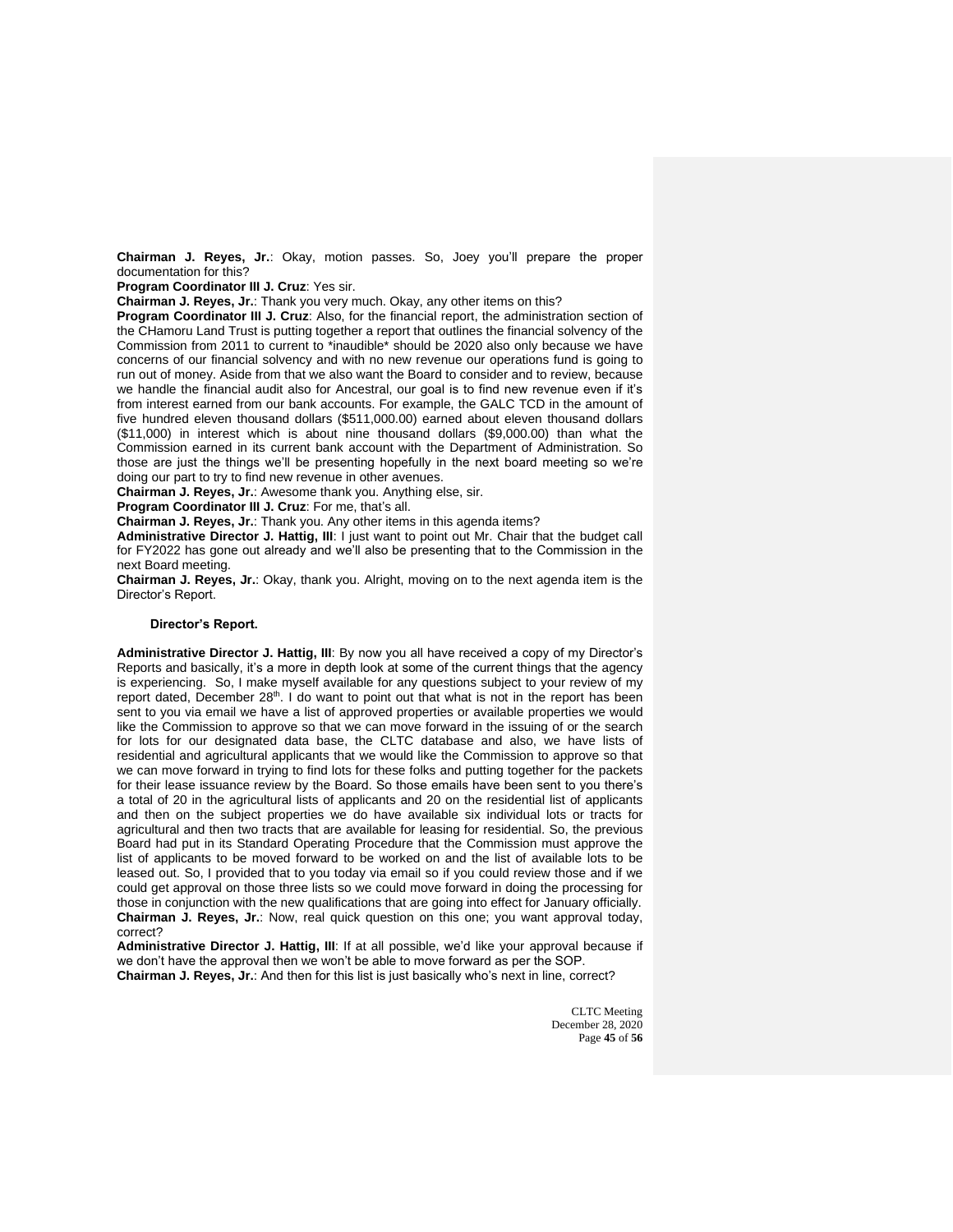**Chairman J. Reyes, Jr.**: Okay, motion passes. So, Joey you'll prepare the proper documentation for this?

**Program Coordinator III J. Cruz**: Yes sir.

**Chairman J. Reyes, Jr.**: Thank you very much. Okay, any other items on this?

**Program Coordinator III J. Cruz**: Also, for the financial report, the administration section of the CHamoru Land Trust is putting together a report that outlines the financial solvency of the Commission from 2011 to current to \*inaudible\* should be 2020 also only because we have concerns of our financial solvency and with no new revenue our operations fund is going to run out of money. Aside from that we also want the Board to consider and to review, because we handle the financial audit also for Ancestral, our goal is to find new revenue even if it's from interest earned from our bank accounts. For example, the GALC TCD in the amount of five hundred eleven thousand dollars (\$511,000.00) earned about eleven thousand dollars (\$11,000) in interest which is about nine thousand dollars (\$9,000.00) than what the Commission earned in its current bank account with the Department of Administration. So those are just the things we'll be presenting hopefully in the next board meeting so we're doing our part to try to find new revenue in other avenues.

**Chairman J. Reyes, Jr.**: Awesome thank you. Anything else, sir.

**Program Coordinator III J. Cruz**: For me, that's all.

**Chairman J. Reyes, Jr.**: Thank you. Any other items in this agenda items?

**Administrative Director J. Hattig, III**: I just want to point out Mr. Chair that the budget call for FY2022 has gone out already and we'll also be presenting that to the Commission in the next Board meeting.

**Chairman J. Reyes, Jr.**: Okay, thank you. Alright, moving on to the next agenda item is the Director's Report.

### **Director's Report.**

**Administrative Director J. Hattig, III**: By now you all have received a copy of my Director's Reports and basically, it's a more in depth look at some of the current things that the agency is experiencing. So, I make myself available for any questions subject to your review of my report dated, December  $28<sup>th</sup>$ . I do want to point out that what is not in the report has been sent to you via email we have a list of approved properties or available properties we would like the Commission to approve so that we can move forward in the issuing of or the search for lots for our designated data base, the CLTC database and also, we have lists of residential and agricultural applicants that we would like the Commission to approve so that we can move forward in trying to find lots for these folks and putting together for the packets for their lease issuance review by the Board. So those emails have been sent to you there's a total of 20 in the agricultural lists of applicants and 20 on the residential list of applicants and then on the subject properties we do have available six individual lots or tracts for agricultural and then two tracts that are available for leasing for residential. So, the previous Board had put in its Standard Operating Procedure that the Commission must approve the list of applicants to be moved forward to be worked on and the list of available lots to be leased out. So, I provided that to you today via email so if you could review those and if we could get approval on those three lists so we could move forward in doing the processing for those in conjunction with the new qualifications that are going into effect for January officially. **Chairman J. Reyes, Jr.**: Now, real quick question on this one; you want approval today, correct?

**Administrative Director J. Hattig, III**: If at all possible, we'd like your approval because if we don't have the approval then we won't be able to move forward as per the SOP. **Chairman J. Reyes, Jr.**: And then for this list is just basically who's next in line, correct?

> CLTC Meeting December 28, 2020 Page **45** of **56**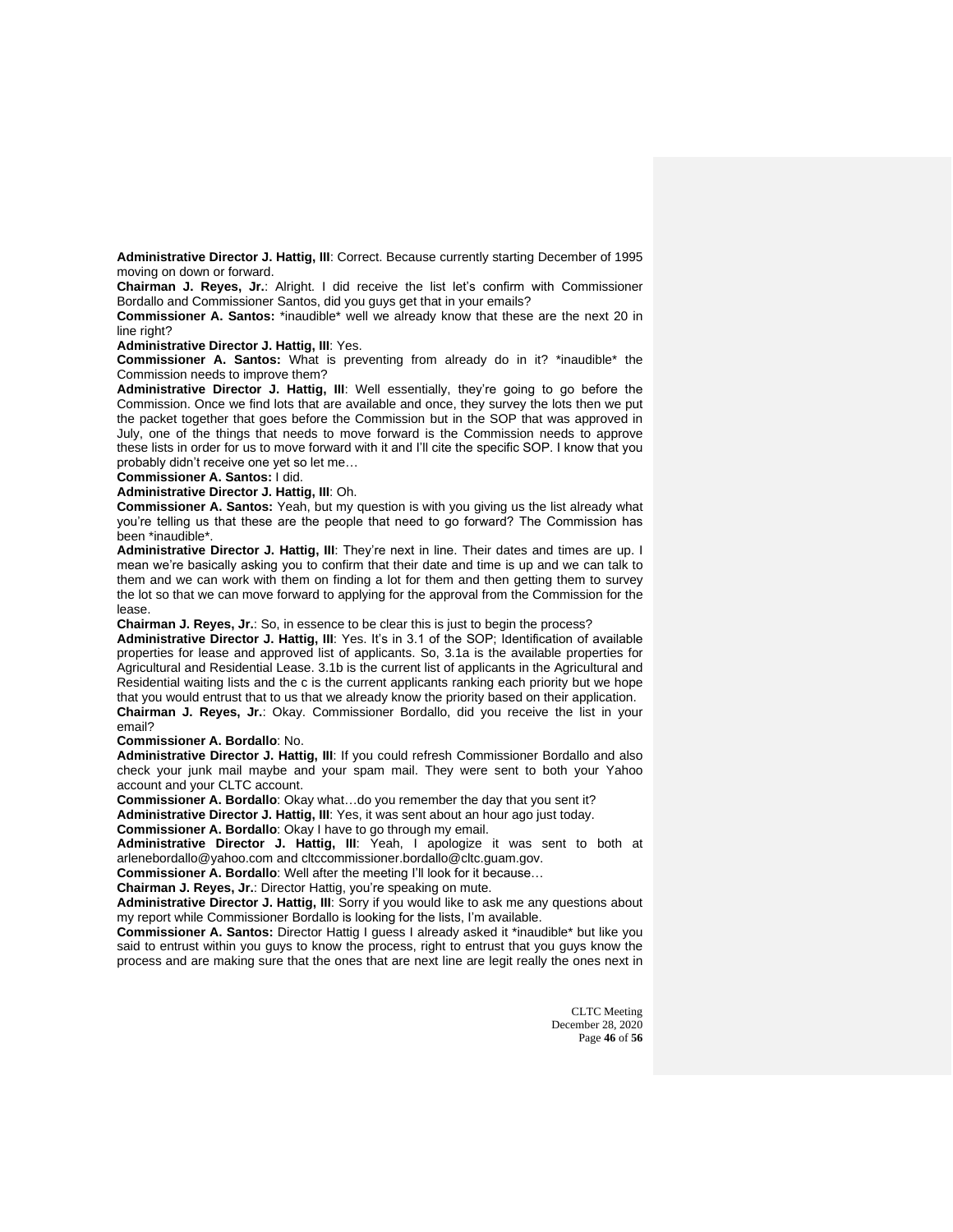**Administrative Director J. Hattig, III**: Correct. Because currently starting December of 1995 moving on down or forward.

**Chairman J. Reyes, Jr.**: Alright. I did receive the list let's confirm with Commissioner Bordallo and Commissioner Santos, did you guys get that in your emails?

**Commissioner A. Santos:** \*inaudible\* well we already know that these are the next 20 in line right?

**Administrative Director J. Hattig, III**: Yes.

**Commissioner A. Santos:** What is preventing from already do in it? \*inaudible\* the Commission needs to improve them?

**Administrative Director J. Hattig, III**: Well essentially, they're going to go before the Commission. Once we find lots that are available and once, they survey the lots then we put the packet together that goes before the Commission but in the SOP that was approved in July, one of the things that needs to move forward is the Commission needs to approve these lists in order for us to move forward with it and I'll cite the specific SOP. I know that you probably didn't receive one yet so let me…

# **Commissioner A. Santos:** I did.

**Administrative Director J. Hattig, III**: Oh.

**Commissioner A. Santos:** Yeah, but my question is with you giving us the list already what you're telling us that these are the people that need to go forward? The Commission has been \*inaudible\*.

**Administrative Director J. Hattig, III**: They're next in line. Their dates and times are up. I mean we're basically asking you to confirm that their date and time is up and we can talk to them and we can work with them on finding a lot for them and then getting them to survey the lot so that we can move forward to applying for the approval from the Commission for the lease.

**Chairman J. Reyes, Jr.**: So, in essence to be clear this is just to begin the process?

**Administrative Director J. Hattig, III**: Yes. It's in 3.1 of the SOP; Identification of available properties for lease and approved list of applicants. So, 3.1a is the available properties for Agricultural and Residential Lease. 3.1b is the current list of applicants in the Agricultural and Residential waiting lists and the c is the current applicants ranking each priority but we hope that you would entrust that to us that we already know the priority based on their application. **Chairman J. Reyes, Jr.**: Okay. Commissioner Bordallo, did you receive the list in your email?

# **Commissioner A. Bordallo**: No.

**Administrative Director J. Hattig, III**: If you could refresh Commissioner Bordallo and also check your junk mail maybe and your spam mail. They were sent to both your Yahoo account and your CLTC account.

**Commissioner A. Bordallo**: Okay what…do you remember the day that you sent it? **Administrative Director J. Hattig, III**: Yes, it was sent about an hour ago just today.

**Commissioner A. Bordallo**: Okay I have to go through my email.

**Administrative Director J. Hattig, III**: Yeah, I apologize it was sent to both at [arlenebordallo@yahoo.com](mailto:arlenebordallo@yahoo.com) and [cltccommissioner.bordallo@cltc.guam.gov.](mailto:cltccommissioner.bordallo@cltc.guam.gov)

**Commissioner A. Bordallo**: Well after the meeting I'll look for it because…

**Chairman J. Reyes, Jr.**: Director Hattig, you're speaking on mute.

**Administrative Director J. Hattig, III**: Sorry if you would like to ask me any questions about my report while Commissioner Bordallo is looking for the lists, I'm available.

**Commissioner A. Santos:** Director Hattig I guess I already asked it \*inaudible\* but like you said to entrust within you guys to know the process, right to entrust that you guys know the process and are making sure that the ones that are next line are legit really the ones next in

> CLTC Meeting December 28, 2020 Page **46** of **56**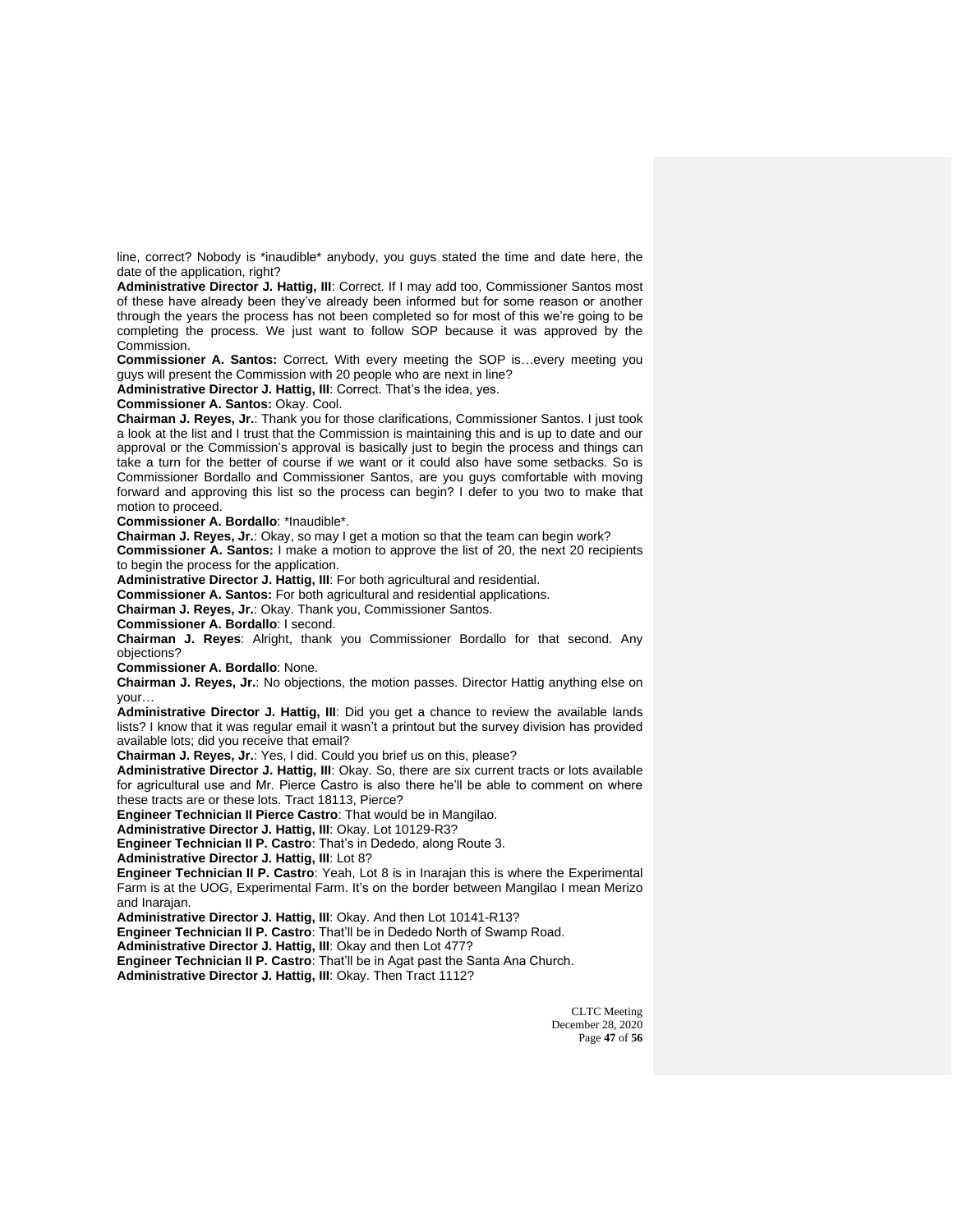line, correct? Nobody is \*inaudible\* anybody, you guys stated the time and date here, the date of the application, right?

**Administrative Director J. Hattig, III**: Correct. If I may add too, Commissioner Santos most of these have already been they've already been informed but for some reason or another through the years the process has not been completed so for most of this we're going to be completing the process. We just want to follow SOP because it was approved by the Commission.

**Commissioner A. Santos:** Correct. With every meeting the SOP is…every meeting you guys will present the Commission with 20 people who are next in line?

**Administrative Director J. Hattig, III**: Correct. That's the idea, yes.

**Commissioner A. Santos:** Okay. Cool.

**Chairman J. Reyes, Jr.**: Thank you for those clarifications, Commissioner Santos. I just took a look at the list and I trust that the Commission is maintaining this and is up to date and our approval or the Commission's approval is basically just to begin the process and things can take a turn for the better of course if we want or it could also have some setbacks. So is Commissioner Bordallo and Commissioner Santos, are you guys comfortable with moving forward and approving this list so the process can begin? I defer to you two to make that motion to proceed.

**Commissioner A. Bordallo**: \*Inaudible\*.

**Chairman J. Reyes, Jr.**: Okay, so may I get a motion so that the team can begin work?

**Commissioner A. Santos:** I make a motion to approve the list of 20, the next 20 recipients to begin the process for the application.

**Administrative Director J. Hattig, III**: For both agricultural and residential.

**Commissioner A. Santos:** For both agricultural and residential applications.

**Chairman J. Reyes, Jr.**: Okay. Thank you, Commissioner Santos.

**Commissioner A. Bordallo**: I second.

**Chairman J. Reyes**: Alright, thank you Commissioner Bordallo for that second. Any objections?

**Commissioner A. Bordallo**: None.

**Chairman J. Reyes, Jr.**: No objections, the motion passes. Director Hattig anything else on your…

**Administrative Director J. Hattig, III**: Did you get a chance to review the available lands lists? I know that it was regular email it wasn't a printout but the survey division has provided available lots; did you receive that email?

**Chairman J. Reyes, Jr.**: Yes, I did. Could you brief us on this, please?

**Administrative Director J. Hattig, III**: Okay. So, there are six current tracts or lots available for agricultural use and Mr. Pierce Castro is also there he'll be able to comment on where these tracts are or these lots. Tract 18113, Pierce?

**Engineer Technician II Pierce Castro**: That would be in Mangilao.

**Administrative Director J. Hattig, III**: Okay. Lot 10129-R3?

**Engineer Technician II P. Castro**: That's in Dededo, along Route 3.

**Administrative Director J. Hattig, III**: Lot 8?

**Engineer Technician II P. Castro**: Yeah, Lot 8 is in Inarajan this is where the Experimental Farm is at the UOG, Experimental Farm. It's on the border between Mangilao I mean Merizo and Inarajan.

**Administrative Director J. Hattig, III**: Okay. And then Lot 10141-R13?

**Engineer Technician II P. Castro**: That'll be in Dededo North of Swamp Road.

**Administrative Director J. Hattig, III**: Okay and then Lot 477?

**Engineer Technician II P. Castro**: That'll be in Agat past the Santa Ana Church.

**Administrative Director J. Hattig, III**: Okay. Then Tract 1112?

CLTC Meeting December 28, 2020 Page **47** of **56**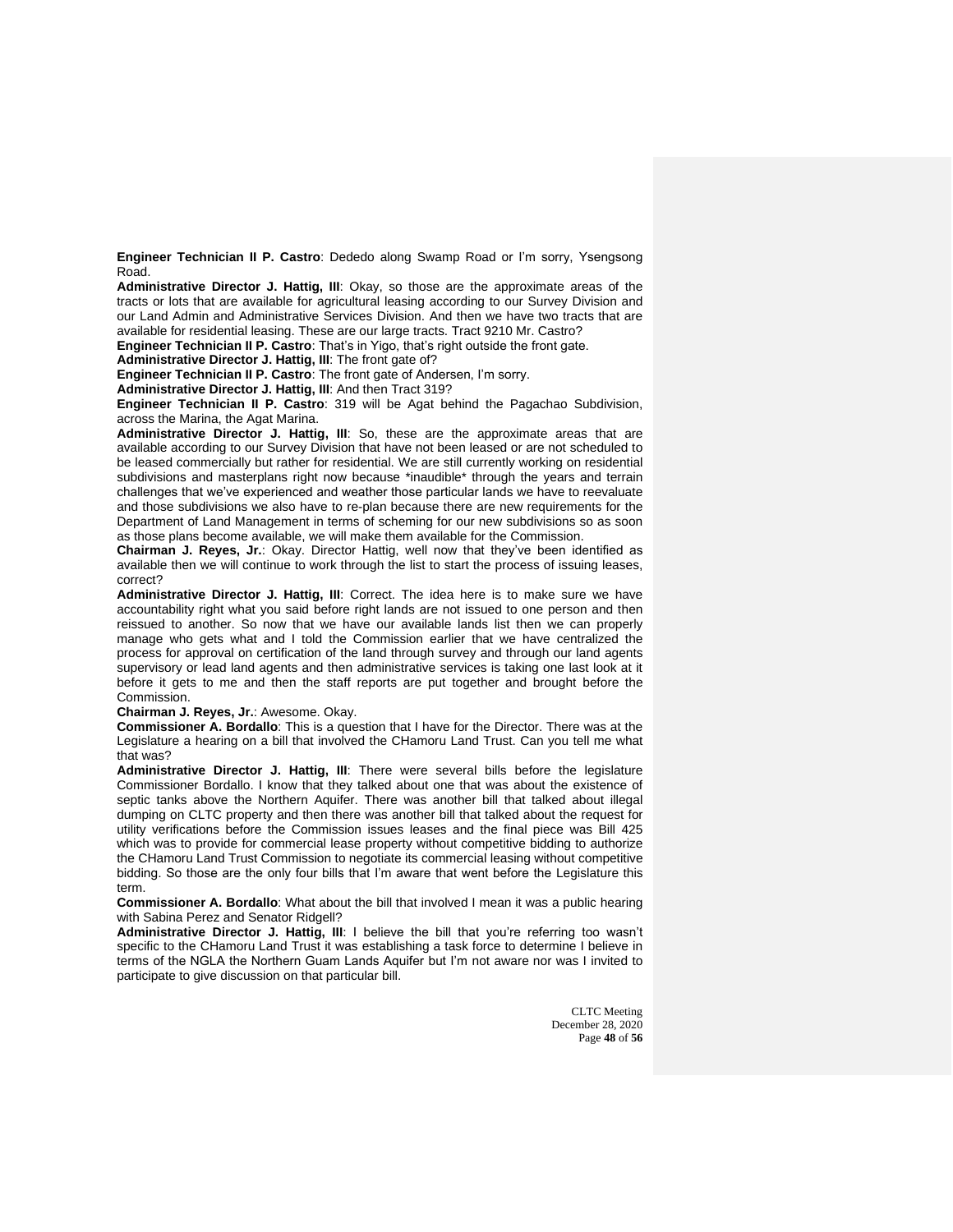**Engineer Technician II P. Castro**: Dededo along Swamp Road or I'm sorry, Ysengsong Road.

**Administrative Director J. Hattig, III**: Okay, so those are the approximate areas of the tracts or lots that are available for agricultural leasing according to our Survey Division and our Land Admin and Administrative Services Division. And then we have two tracts that are available for residential leasing. These are our large tracts. Tract 9210 Mr. Castro?

**Engineer Technician II P. Castro**: That's in Yigo, that's right outside the front gate.

**Administrative Director J. Hattig, III**: The front gate of?

**Engineer Technician II P. Castro**: The front gate of Andersen, I'm sorry.

**Administrative Director J. Hattig, III**: And then Tract 319?

**Engineer Technician II P. Castro**: 319 will be Agat behind the Pagachao Subdivision, across the Marina, the Agat Marina.

**Administrative Director J. Hattig, III**: So, these are the approximate areas that are available according to our Survey Division that have not been leased or are not scheduled to be leased commercially but rather for residential. We are still currently working on residential subdivisions and masterplans right now because \*inaudible\* through the years and terrain challenges that we've experienced and weather those particular lands we have to reevaluate and those subdivisions we also have to re-plan because there are new requirements for the Department of Land Management in terms of scheming for our new subdivisions so as soon as those plans become available, we will make them available for the Commission.

**Chairman J. Reyes, Jr.**: Okay. Director Hattig, well now that they've been identified as available then we will continue to work through the list to start the process of issuing leases, correct?

**Administrative Director J. Hattig, III**: Correct. The idea here is to make sure we have accountability right what you said before right lands are not issued to one person and then reissued to another. So now that we have our available lands list then we can properly manage who gets what and I told the Commission earlier that we have centralized the process for approval on certification of the land through survey and through our land agents supervisory or lead land agents and then administrative services is taking one last look at it before it gets to me and then the staff reports are put together and brought before the Commission.

### **Chairman J. Reyes, Jr.**: Awesome. Okay.

**Commissioner A. Bordallo**: This is a question that I have for the Director. There was at the Legislature a hearing on a bill that involved the CHamoru Land Trust. Can you tell me what that was?

**Administrative Director J. Hattig, III**: There were several bills before the legislature Commissioner Bordallo. I know that they talked about one that was about the existence of septic tanks above the Northern Aquifer. There was another bill that talked about illegal dumping on CLTC property and then there was another bill that talked about the request for utility verifications before the Commission issues leases and the final piece was Bill 425 which was to provide for commercial lease property without competitive bidding to authorize the CHamoru Land Trust Commission to negotiate its commercial leasing without competitive bidding. So those are the only four bills that I'm aware that went before the Legislature this term.

**Commissioner A. Bordallo**: What about the bill that involved I mean it was a public hearing with Sabina Perez and Senator Ridgell?

**Administrative Director J. Hattig, III**: I believe the bill that you're referring too wasn't specific to the CHamoru Land Trust it was establishing a task force to determine I believe in terms of the NGLA the Northern Guam Lands Aquifer but I'm not aware nor was I invited to participate to give discussion on that particular bill.

> CLTC Meeting December 28, 2020 Page **48** of **56**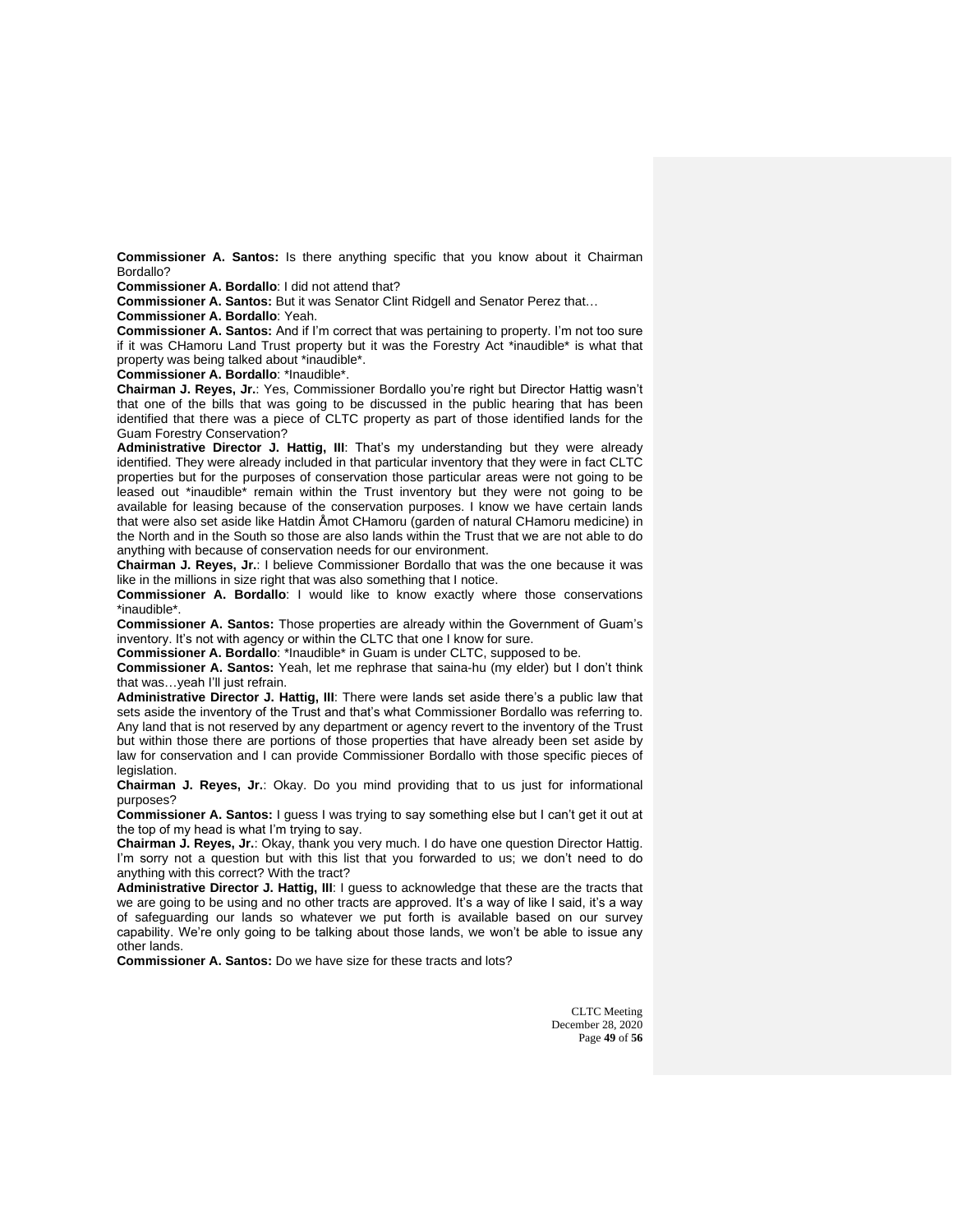**Commissioner A. Santos:** Is there anything specific that you know about it Chairman Bordallo?

**Commissioner A. Bordallo**: I did not attend that?

**Commissioner A. Santos:** But it was Senator Clint Ridgell and Senator Perez that…

**Commissioner A. Bordallo**: Yeah.

**Commissioner A. Santos:** And if I'm correct that was pertaining to property. I'm not too sure if it was CHamoru Land Trust property but it was the Forestry Act \*inaudible\* is what that property was being talked about \*inaudible\*.

**Commissioner A. Bordallo**: \*Inaudible\*.

**Chairman J. Reyes, Jr.**: Yes, Commissioner Bordallo you're right but Director Hattig wasn't that one of the bills that was going to be discussed in the public hearing that has been identified that there was a piece of CLTC property as part of those identified lands for the Guam Forestry Conservation?

**Administrative Director J. Hattig, III**: That's my understanding but they were already identified. They were already included in that particular inventory that they were in fact CLTC properties but for the purposes of conservation those particular areas were not going to be leased out \*inaudible\* remain within the Trust inventory but they were not going to be available for leasing because of the conservation purposes. I know we have certain lands that were also set aside like Hatdin Åmot CHamoru (garden of natural CHamoru medicine) in the North and in the South so those are also lands within the Trust that we are not able to do anything with because of conservation needs for our environment.

**Chairman J. Reyes, Jr.**: I believe Commissioner Bordallo that was the one because it was like in the millions in size right that was also something that I notice.

**Commissioner A. Bordallo**: I would like to know exactly where those conservations \*inaudible\*.

**Commissioner A. Santos:** Those properties are already within the Government of Guam's inventory. It's not with agency or within the CLTC that one I know for sure.

**Commissioner A. Bordallo**: \*Inaudible\* in Guam is under CLTC, supposed to be.

**Commissioner A. Santos:** Yeah, let me rephrase that saina-hu (my elder) but I don't think that was... veah I'll just refrain.

**Administrative Director J. Hattig, III**: There were lands set aside there's a public law that sets aside the inventory of the Trust and that's what Commissioner Bordallo was referring to. Any land that is not reserved by any department or agency revert to the inventory of the Trust but within those there are portions of those properties that have already been set aside by law for conservation and I can provide Commissioner Bordallo with those specific pieces of legislation.

**Chairman J. Reyes, Jr.**: Okay. Do you mind providing that to us just for informational purposes?

**Commissioner A. Santos:** I guess I was trying to say something else but I can't get it out at the top of my head is what I'm trying to say.

**Chairman J. Reyes, Jr.**: Okay, thank you very much. I do have one question Director Hattig. I'm sorry not a question but with this list that you forwarded to us; we don't need to do anything with this correct? With the tract?

**Administrative Director J. Hattig, III**: I guess to acknowledge that these are the tracts that we are going to be using and no other tracts are approved. It's a way of like I said, it's a way of safeguarding our lands so whatever we put forth is available based on our survey capability. We're only going to be talking about those lands, we won't be able to issue any other lands.

**Commissioner A. Santos:** Do we have size for these tracts and lots?

CLTC Meeting December 28, 2020 Page **49** of **56**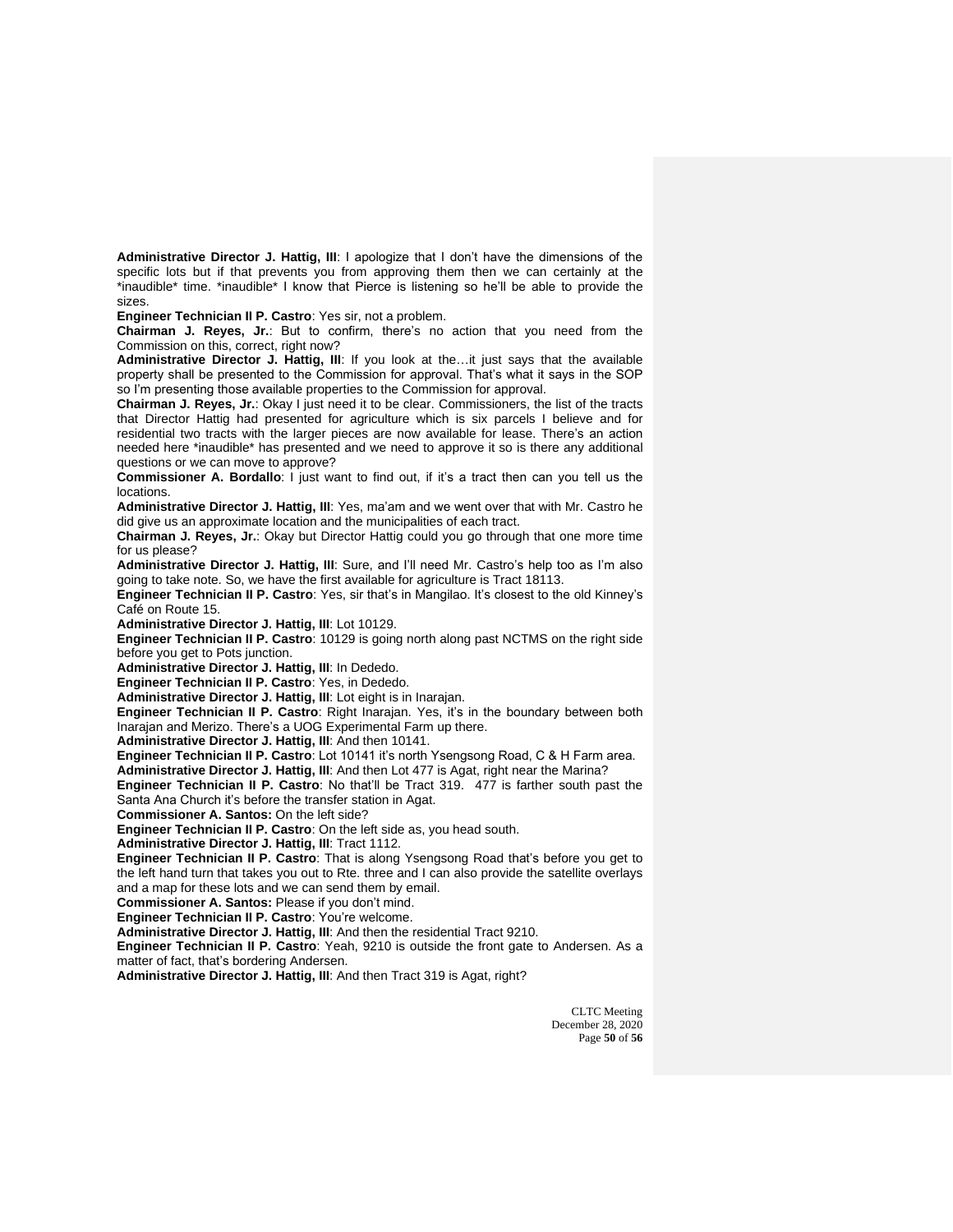**Administrative Director J. Hattig, III**: I apologize that I don't have the dimensions of the specific lots but if that prevents you from approving them then we can certainly at the \*inaudible\* time. \*inaudible\* I know that Pierce is listening so he'll be able to provide the sizes.

**Engineer Technician II P. Castro**: Yes sir, not a problem.

**Chairman J. Reyes, Jr.**: But to confirm, there's no action that you need from the Commission on this, correct, right now?

**Administrative Director J. Hattig, III**: If you look at the…it just says that the available property shall be presented to the Commission for approval. That's what it says in the SOP so I'm presenting those available properties to the Commission for approval.

**Chairman J. Reyes, Jr.**: Okay I just need it to be clear. Commissioners, the list of the tracts that Director Hattig had presented for agriculture which is six parcels I believe and for residential two tracts with the larger pieces are now available for lease. There's an action needed here \*inaudible\* has presented and we need to approve it so is there any additional questions or we can move to approve?

**Commissioner A. Bordallo**: I just want to find out, if it's a tract then can you tell us the locations.

**Administrative Director J. Hattig, III**: Yes, ma'am and we went over that with Mr. Castro he did give us an approximate location and the municipalities of each tract.

**Chairman J. Reyes, Jr.**: Okay but Director Hattig could you go through that one more time for us please?

**Administrative Director J. Hattig, III**: Sure, and I'll need Mr. Castro's help too as I'm also going to take note. So, we have the first available for agriculture is Tract 18113.

**Engineer Technician II P. Castro**: Yes, sir that's in Mangilao. It's closest to the old Kinney's Café on Route 15.

**Administrative Director J. Hattig, III**: Lot 10129.

**Engineer Technician II P. Castro**: 10129 is going north along past NCTMS on the right side before you get to Pots junction.

**Administrative Director J. Hattig, III**: In Dededo.

**Engineer Technician II P. Castro**: Yes, in Dededo.

**Administrative Director J. Hattig, III**: Lot eight is in Inarajan.

**Engineer Technician II P. Castro**: Right Inarajan. Yes, it's in the boundary between both Inarajan and Merizo. There's a UOG Experimental Farm up there.

**Administrative Director J. Hattig, III**: And then 10141.

**Engineer Technician II P. Castro**: Lot 10141 it's north Ysengsong Road, C & H Farm area. **Administrative Director J. Hattig, III**: And then Lot 477 is Agat, right near the Marina?

**Engineer Technician II P. Castro**: No that'll be Tract 319. 477 is farther south past the Santa Ana Church it's before the transfer station in Agat.

**Commissioner A. Santos:** On the left side?

**Engineer Technician II P. Castro**: On the left side as, you head south.

**Administrative Director J. Hattig, III**: Tract 1112.

**Engineer Technician II P. Castro**: That is along Ysengsong Road that's before you get to the left hand turn that takes you out to Rte. three and I can also provide the satellite overlays and a map for these lots and we can send them by email.

**Commissioner A. Santos:** Please if you don't mind.

**Engineer Technician II P. Castro**: You're welcome.

**Administrative Director J. Hattig, III**: And then the residential Tract 9210.

**Engineer Technician II P. Castro**: Yeah, 9210 is outside the front gate to Andersen. As a matter of fact, that's bordering Andersen.

**Administrative Director J. Hattig, III**: And then Tract 319 is Agat, right?

CLTC Meeting December 28, 2020 Page **50** of **56**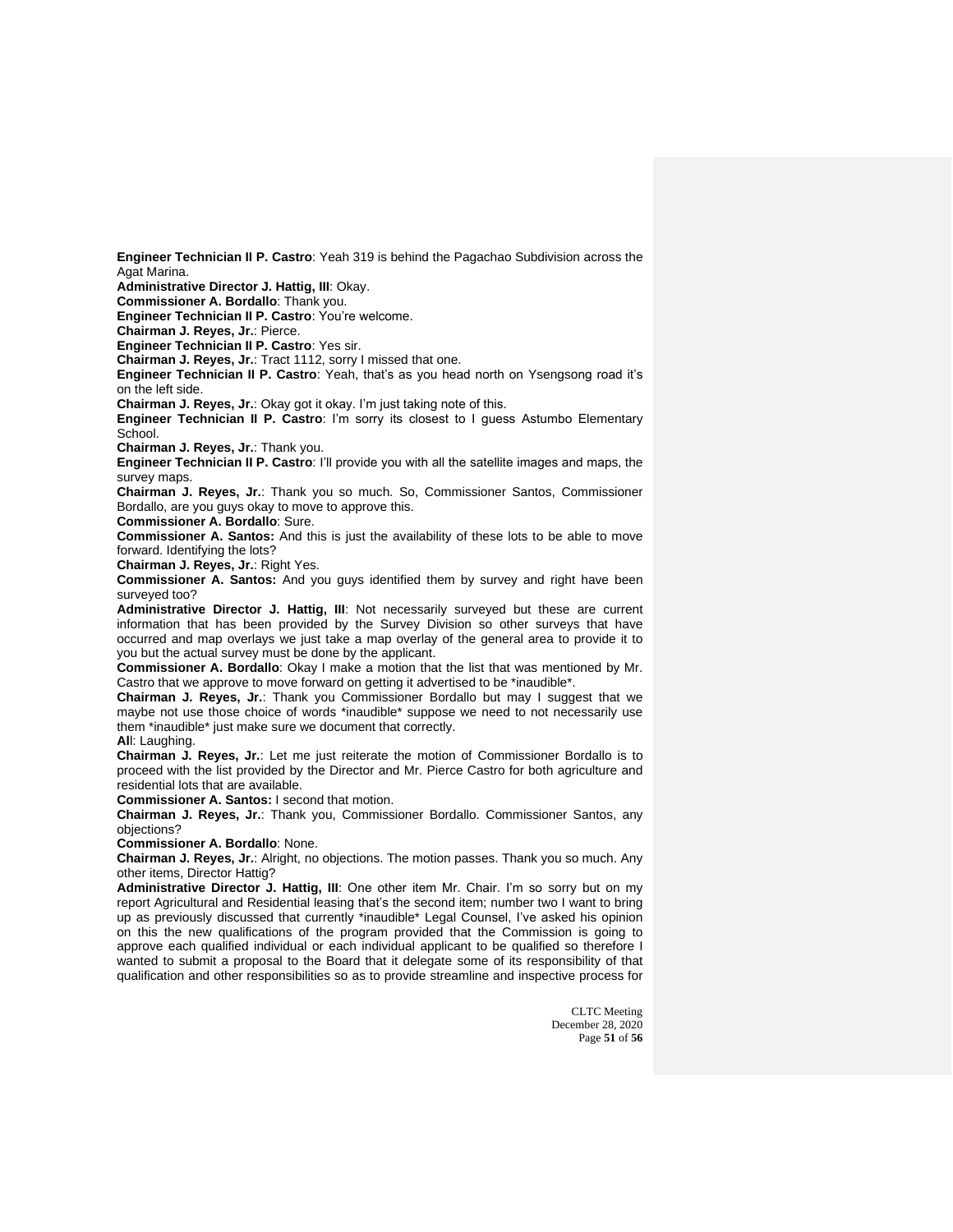**Engineer Technician II P. Castro**: Yeah 319 is behind the Pagachao Subdivision across the Agat Marina.

**Administrative Director J. Hattig, III**: Okay.

**Commissioner A. Bordallo**: Thank you.

**Engineer Technician II P. Castro**: You're welcome.

**Chairman J. Reyes, Jr.**: Pierce.

**Engineer Technician II P. Castro**: Yes sir.

**Chairman J. Reyes, Jr.**: Tract 1112, sorry I missed that one.

**Engineer Technician II P. Castro**: Yeah, that's as you head north on Ysengsong road it's on the left side.

**Chairman J. Reyes, Jr.**: Okay got it okay. I'm just taking note of this.

**Engineer Technician II P. Castro**: I'm sorry its closest to I guess Astumbo Elementary School.

**Chairman J. Reyes, Jr.**: Thank you.

**Engineer Technician II P. Castro**: I'll provide you with all the satellite images and maps, the survey maps.

**Chairman J. Reyes, Jr.**: Thank you so much. So, Commissioner Santos, Commissioner Bordallo, are you guys okay to move to approve this.

**Commissioner A. Bordallo**: Sure.

**Commissioner A. Santos:** And this is just the availability of these lots to be able to move forward. Identifying the lots?

**Chairman J. Reyes, Jr.**: Right Yes.

**Commissioner A. Santos:** And you guys identified them by survey and right have been surveyed too?

**Administrative Director J. Hattig, III**: Not necessarily surveyed but these are current information that has been provided by the Survey Division so other surveys that have occurred and map overlays we just take a map overlay of the general area to provide it to you but the actual survey must be done by the applicant.

**Commissioner A. Bordallo**: Okay I make a motion that the list that was mentioned by Mr. Castro that we approve to move forward on getting it advertised to be \*inaudible\*.

**Chairman J. Reyes, Jr.**: Thank you Commissioner Bordallo but may I suggest that we maybe not use those choice of words \*inaudible\* suppose we need to not necessarily use them \*inaudible\* just make sure we document that correctly.

**Al**l: Laughing.

**Chairman J. Reyes, Jr.**: Let me just reiterate the motion of Commissioner Bordallo is to proceed with the list provided by the Director and Mr. Pierce Castro for both agriculture and residential lots that are available.

**Commissioner A. Santos:** I second that motion.

**Chairman J. Reyes, Jr.**: Thank you, Commissioner Bordallo. Commissioner Santos, any objections?

**Commissioner A. Bordallo**: None.

**Chairman J. Reyes, Jr.**: Alright, no objections. The motion passes. Thank you so much. Any other items, Director Hattig?

**Administrative Director J. Hattig, III**: One other item Mr. Chair. I'm so sorry but on my report Agricultural and Residential leasing that's the second item; number two I want to bring up as previously discussed that currently \*inaudible\* Legal Counsel, I've asked his opinion on this the new qualifications of the program provided that the Commission is going to approve each qualified individual or each individual applicant to be qualified so therefore I wanted to submit a proposal to the Board that it delegate some of its responsibility of that qualification and other responsibilities so as to provide streamline and inspective process for

> CLTC Meeting December 28, 2020 Page **51** of **56**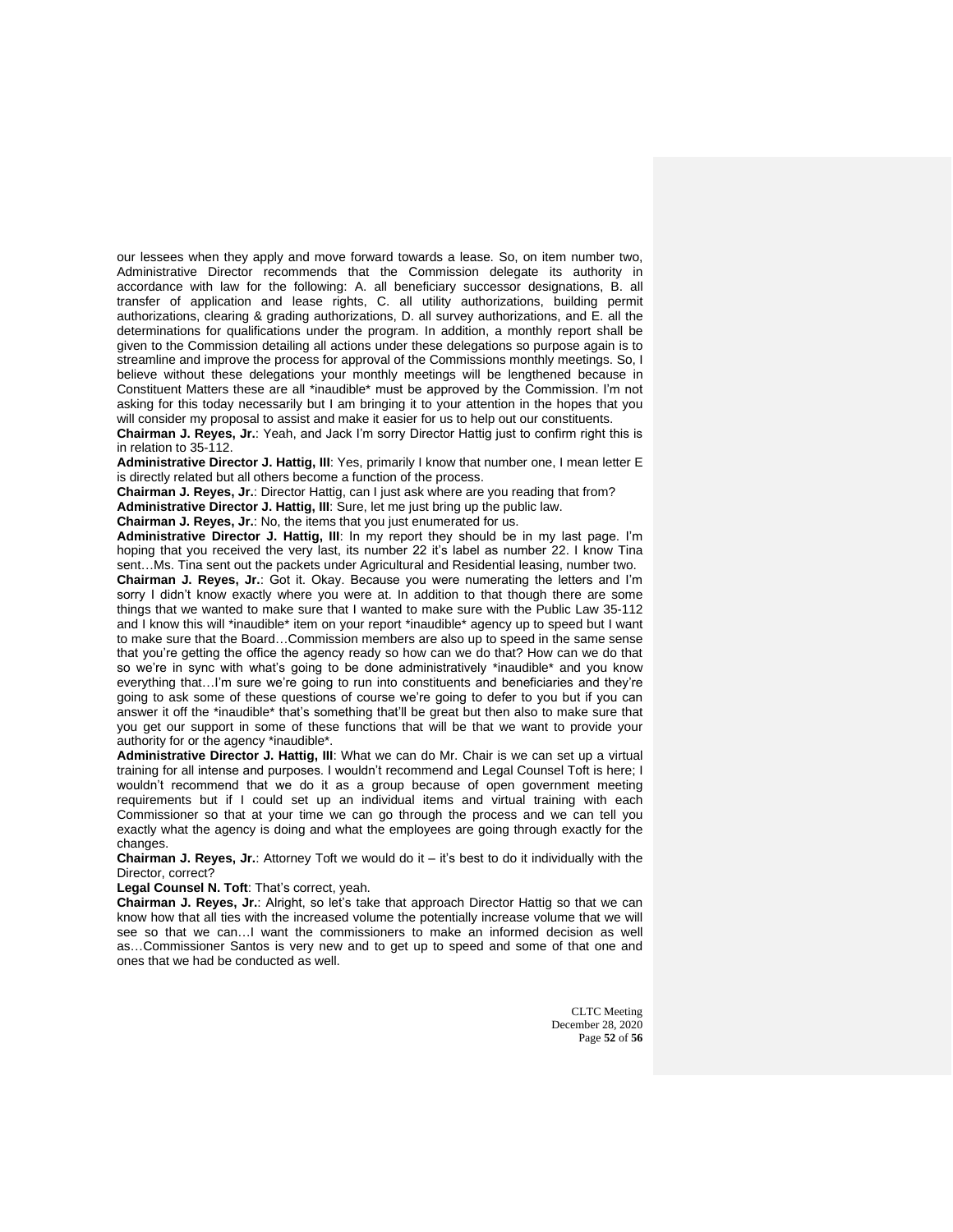our lessees when they apply and move forward towards a lease. So, on item number two, Administrative Director recommends that the Commission delegate its authority in accordance with law for the following: A. all beneficiary successor designations, B. all transfer of application and lease rights, C. all utility authorizations, building permit authorizations, clearing & grading authorizations, D. all survey authorizations, and E. all the determinations for qualifications under the program. In addition, a monthly report shall be given to the Commission detailing all actions under these delegations so purpose again is to streamline and improve the process for approval of the Commissions monthly meetings. So, I believe without these delegations your monthly meetings will be lengthened because in Constituent Matters these are all \*inaudible\* must be approved by the Commission. I'm not asking for this today necessarily but I am bringing it to your attention in the hopes that you will consider my proposal to assist and make it easier for us to help out our constituents.

**Chairman J. Reyes, Jr.**: Yeah, and Jack I'm sorry Director Hattig just to confirm right this is in relation to 35-112.

**Administrative Director J. Hattig, III**: Yes, primarily I know that number one, I mean letter E is directly related but all others become a function of the process.

**Chairman J. Reyes, Jr.**: Director Hattig, can I just ask where are you reading that from? **Administrative Director J. Hattig, III**: Sure, let me just bring up the public law.

**Chairman J. Reyes, Jr.**: No, the items that you just enumerated for us.

**Administrative Director J. Hattig, III**: In my report they should be in my last page. I'm hoping that you received the very last, its number 22 it's label as number 22. I know Tina sent…Ms. Tina sent out the packets under Agricultural and Residential leasing, number two.

**Chairman J. Reyes, Jr.**: Got it. Okay. Because you were numerating the letters and I'm sorry I didn't know exactly where you were at. In addition to that though there are some things that we wanted to make sure that I wanted to make sure with the Public Law 35-112 and I know this will \*inaudible\* item on your report \*inaudible\* agency up to speed but I want to make sure that the Board…Commission members are also up to speed in the same sense that you're getting the office the agency ready so how can we do that? How can we do that so we're in sync with what's going to be done administratively \*inaudible\* and you know everything that…I'm sure we're going to run into constituents and beneficiaries and they're going to ask some of these questions of course we're going to defer to you but if you can answer it off the \*inaudible\* that's something that'll be great but then also to make sure that you get our support in some of these functions that will be that we want to provide your authority for or the agency \*inaudible\*.

**Administrative Director J. Hattig, III**: What we can do Mr. Chair is we can set up a virtual training for all intense and purposes. I wouldn't recommend and Legal Counsel Toft is here; I wouldn't recommend that we do it as a group because of open government meeting requirements but if I could set up an individual items and virtual training with each Commissioner so that at your time we can go through the process and we can tell you exactly what the agency is doing and what the employees are going through exactly for the changes.

**Chairman J. Reyes, Jr.**: Attorney Toft we would do it – it's best to do it individually with the Director, correct?

**Legal Counsel N. Toft**: That's correct, yeah.

**Chairman J. Reyes, Jr.**: Alright, so let's take that approach Director Hattig so that we can know how that all ties with the increased volume the potentially increase volume that we will see so that we can…I want the commissioners to make an informed decision as well as…Commissioner Santos is very new and to get up to speed and some of that one and ones that we had be conducted as well.

> CLTC Meeting December 28, 2020 Page **52** of **56**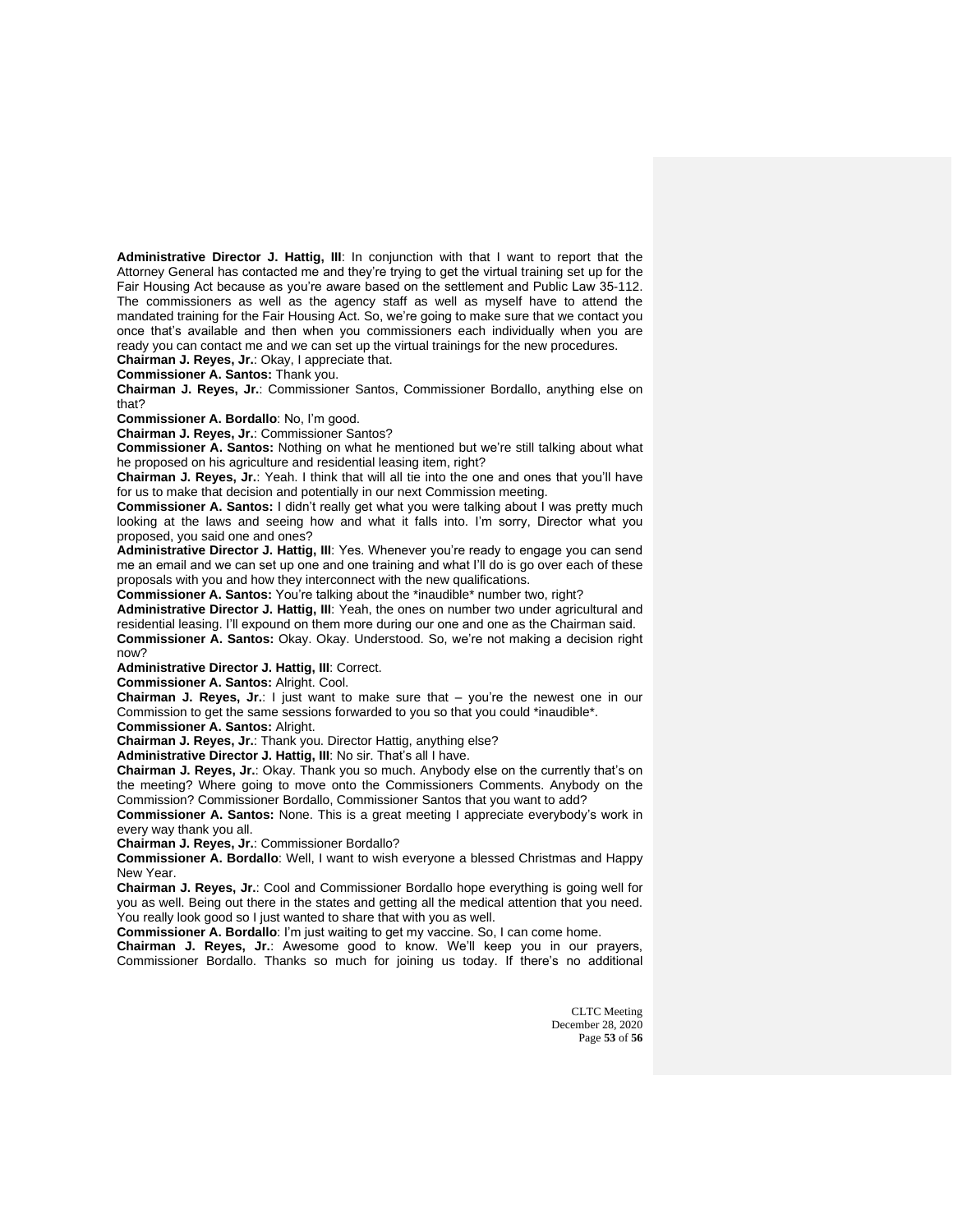**Administrative Director J. Hattig, III**: In conjunction with that I want to report that the Attorney General has contacted me and they're trying to get the virtual training set up for the Fair Housing Act because as you're aware based on the settlement and Public Law 35-112. The commissioners as well as the agency staff as well as myself have to attend the mandated training for the Fair Housing Act. So, we're going to make sure that we contact you once that's available and then when you commissioners each individually when you are ready you can contact me and we can set up the virtual trainings for the new procedures.

**Chairman J. Reyes, Jr.**: Okay, I appreciate that.

**Commissioner A. Santos:** Thank you.

**Chairman J. Reyes, Jr.**: Commissioner Santos, Commissioner Bordallo, anything else on that?

**Commissioner A. Bordallo**: No, I'm good.

**Chairman J. Reyes, Jr.**: Commissioner Santos?

**Commissioner A. Santos:** Nothing on what he mentioned but we're still talking about what he proposed on his agriculture and residential leasing item, right?

**Chairman J. Reyes, Jr.**: Yeah. I think that will all tie into the one and ones that you'll have for us to make that decision and potentially in our next Commission meeting.

**Commissioner A. Santos:** I didn't really get what you were talking about I was pretty much looking at the laws and seeing how and what it falls into. I'm sorry, Director what you proposed, you said one and ones?

**Administrative Director J. Hattig, III**: Yes. Whenever you're ready to engage you can send me an email and we can set up one and one training and what I'll do is go over each of these proposals with you and how they interconnect with the new qualifications.

**Commissioner A. Santos:** You're talking about the \*inaudible\* number two, right?

**Administrative Director J. Hattig, III**: Yeah, the ones on number two under agricultural and residential leasing. I'll expound on them more during our one and one as the Chairman said. **Commissioner A. Santos:** Okay. Okay. Understood. So, we're not making a decision right now?

**Administrative Director J. Hattig, III**: Correct.

**Commissioner A. Santos:** Alright. Cool.

**Chairman J. Reyes, Jr.**: I just want to make sure that – you're the newest one in our Commission to get the same sessions forwarded to you so that you could \*inaudible\*.

**Commissioner A. Santos:** Alright.

**Chairman J. Reyes, Jr.**: Thank you. Director Hattig, anything else?

**Administrative Director J. Hattig, III**: No sir. That's all I have.

**Chairman J. Reyes, Jr.**: Okay. Thank you so much. Anybody else on the currently that's on the meeting? Where going to move onto the Commissioners Comments. Anybody on the Commission? Commissioner Bordallo, Commissioner Santos that you want to add?

**Commissioner A. Santos:** None. This is a great meeting I appreciate everybody's work in every way thank you all.

**Chairman J. Reyes, Jr.**: Commissioner Bordallo?

**Commissioner A. Bordallo**: Well, I want to wish everyone a blessed Christmas and Happy New Year.

**Chairman J. Reyes, Jr.**: Cool and Commissioner Bordallo hope everything is going well for you as well. Being out there in the states and getting all the medical attention that you need. You really look good so I just wanted to share that with you as well.

**Commissioner A. Bordallo**: I'm just waiting to get my vaccine. So, I can come home.

**Chairman J. Reyes, Jr.**: Awesome good to know. We'll keep you in our prayers, Commissioner Bordallo. Thanks so much for joining us today. If there's no additional

> CLTC Meeting December 28, 2020 Page **53** of **56**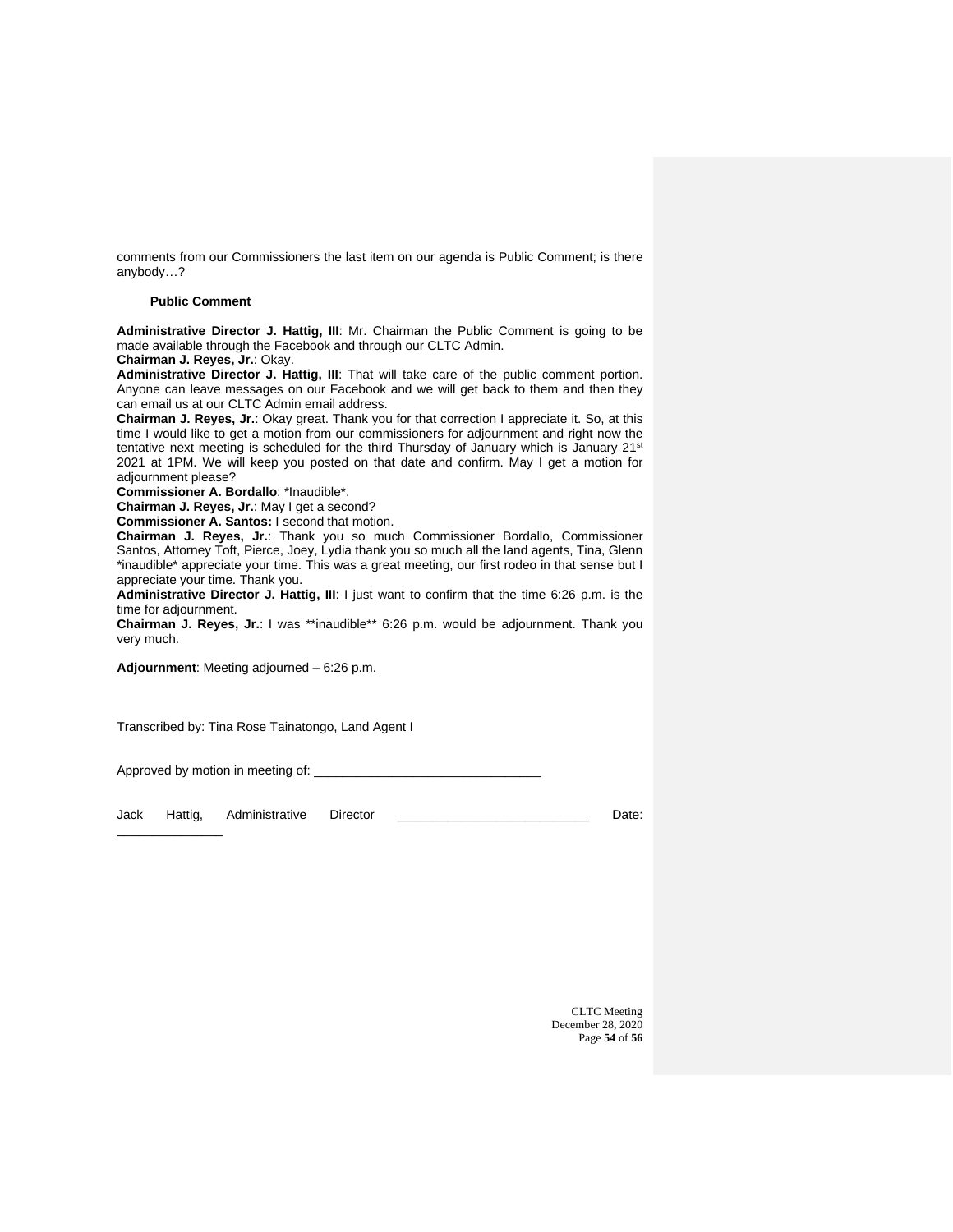comments from our Commissioners the last item on our agenda is Public Comment; is there anybody…?

# **Public Comment**

**Administrative Director J. Hattig, III**: Mr. Chairman the Public Comment is going to be made available through the Facebook and through our CLTC Admin.

**Chairman J. Reyes, Jr.**: Okay.

**Administrative Director J. Hattig, III**: That will take care of the public comment portion. Anyone can leave messages on our Facebook and we will get back to them and then they can email us at our CLTC Admin email address.

**Chairman J. Reyes, Jr.**: Okay great. Thank you for that correction I appreciate it. So, at this time I would like to get a motion from our commissioners for adjournment and right now the tentative next meeting is scheduled for the third Thursday of January which is January 21st 2021 at 1PM. We will keep you posted on that date and confirm. May I get a motion for adjournment please?

**Commissioner A. Bordallo**: \*Inaudible\*.

**Chairman J. Reyes, Jr.**: May I get a second?

**Commissioner A. Santos:** I second that motion.

**Chairman J. Reyes, Jr.**: Thank you so much Commissioner Bordallo, Commissioner Santos, Attorney Toft, Pierce, Joey, Lydia thank you so much all the land agents, Tina, Glenn \*inaudible\* appreciate your time. This was a great meeting, our first rodeo in that sense but I appreciate your time. Thank you.

**Administrative Director J. Hattig, III**: I just want to confirm that the time 6:26 p.m. is the time for adjournment.

**Chairman J. Reyes, Jr.**: I was \*\*inaudible\*\* 6:26 p.m. would be adjournment. Thank you very much.

**Adjournment**: Meeting adjourned – 6:26 p.m.

Transcribed by: Tina Rose Tainatongo, Land Agent I

Approved by motion in meeting of: \_

\_\_\_\_\_\_\_\_\_\_\_\_\_\_\_

Jack Hattig, Administrative Director \_\_\_\_\_\_\_\_\_\_\_\_\_\_\_\_\_\_\_\_\_\_\_\_\_\_\_ Date:

CLTC Meeting December 28, 2020 Page **54** of **56**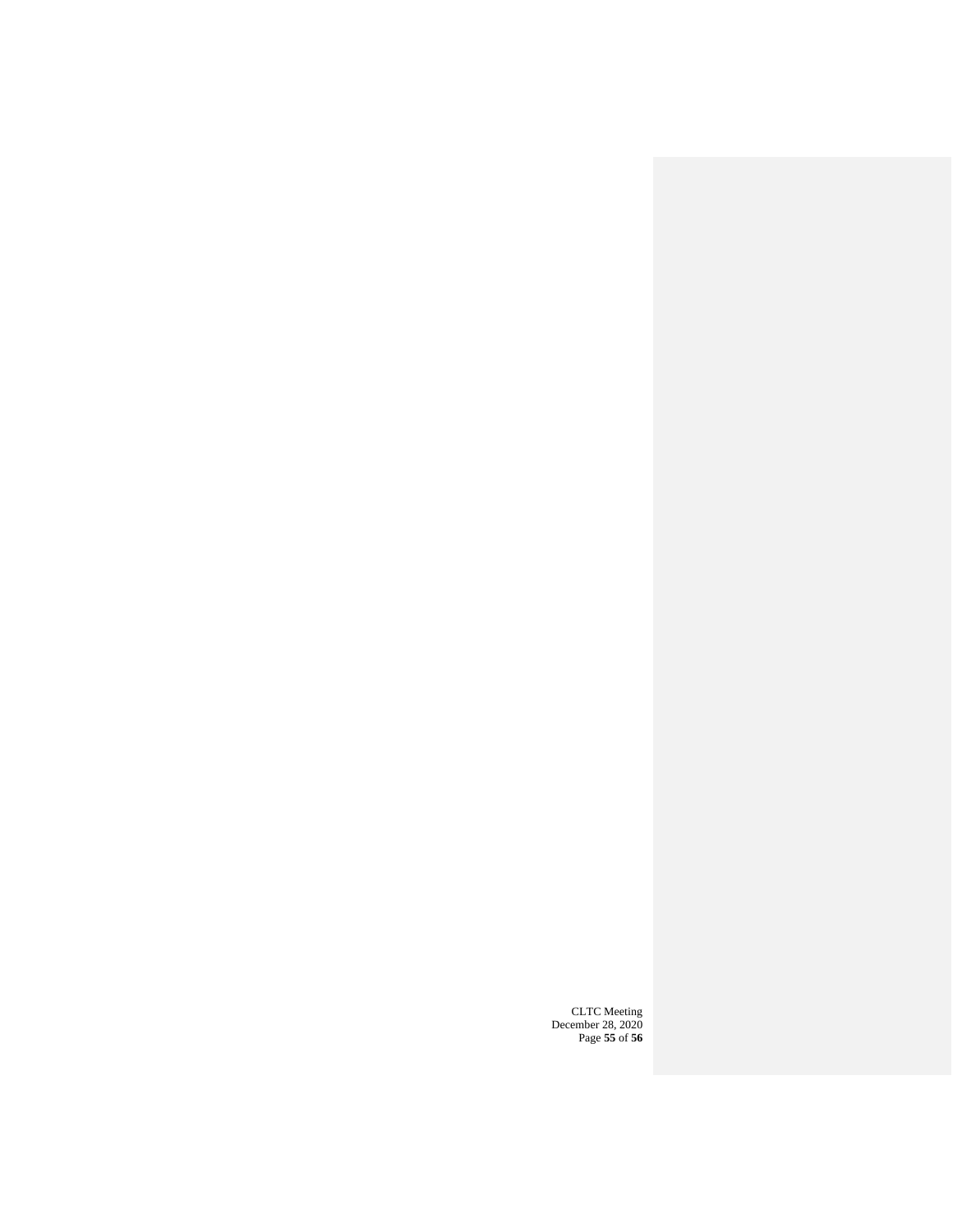CLTC Meeting December 28, 2020 Page **55** of **56**